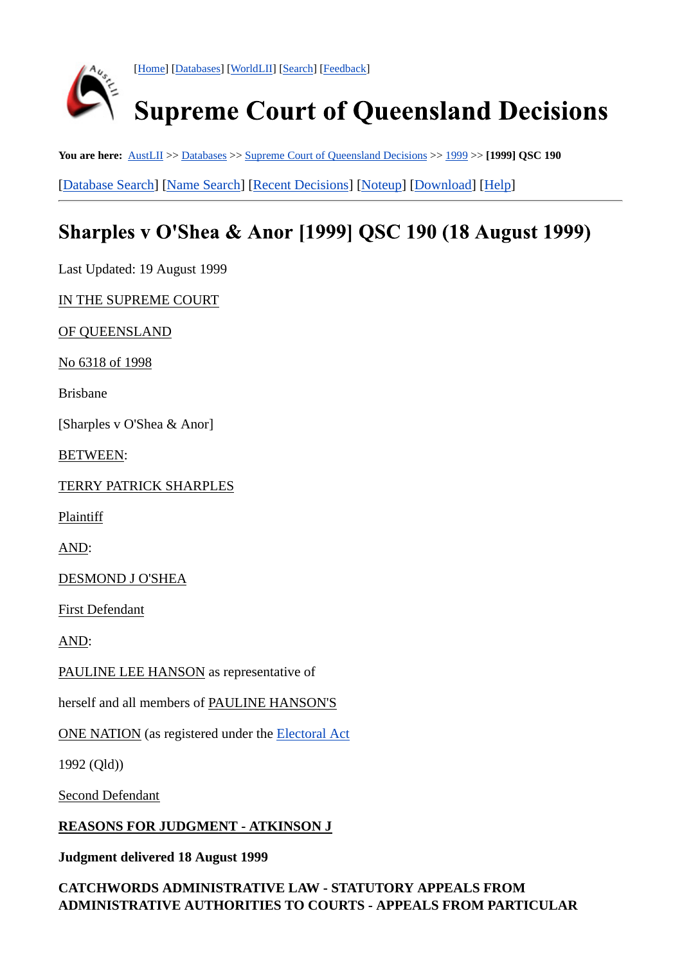

[Home] [Databases] [WorldLII] [Search] [Feedback]

# **Supreme Court of Queensland Decisions**

You are here:  $\Delta$ ustLII >> Databases >> Supreme Court of Queensland Decisions >> 1999 >> [1999] QSC 190

[Database Search] [Name Search] [Recent Decisions] [Noteup] [Download] [Help]

## Sharples v O'Shea & Anor [1999] QSC 190 (18 August 1999)

Last Updated: 19 August 1999

IN THE SUPREME COURT

OF QUEENSLAND

No 6318 of 1998

Brisbane

[Sharples v O'Shea & Anor]

BETWEEN:

TERRY PATRICK SHARPLES

Plaintiff

AND:

DESMOND J O'SHEA

First Defendant

AND:

PAULINE LEE HANSON as representative of

herself and all members of PAULINE HANSON'S

ONE NATION (as registered under the Electoral Act

1992 (Qld))

Second Defendant

#### **REASONS FOR JUDGMENT - ATKINSON J**

**Judgment delivered 18 August 1999**

#### **CATCHWORDS ADMINISTRATIVE LAW - STATUTORY APPEALS FROM ADMINISTRATIVE AUTHORITIES TO COURTS - APPEALS FROM PARTICULAR**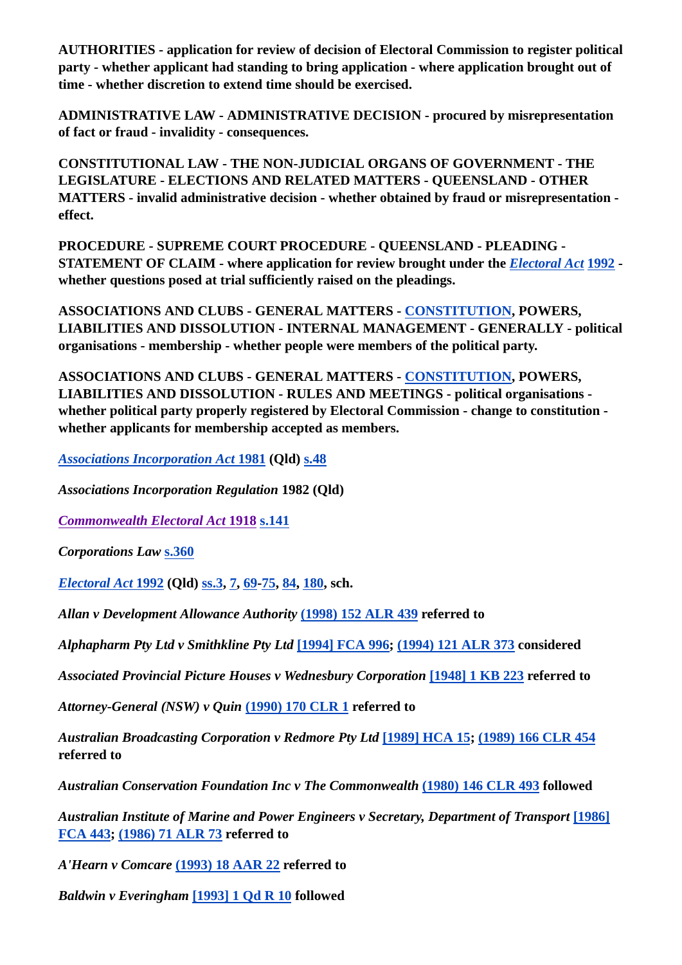**AUTHORITIES - application for review of decision of Electoral Commission to register political party - whether applicant had standing to bring application - where application brought out of time - whether discretion to extend time should be exercised.**

**ADMINISTRATIVE LAW - ADMINISTRATIVE DECISION - procured by misrepresentation of fact or fraud - invalidity - consequences.**

**CONSTITUTIONAL LAW - THE NON-JUDICIAL ORGANS OF GOVERNMENT - THE LEGISLATURE - ELECTIONS AND RELATED MATTERS - QUEENSLAND - OTHER MATTERS - invalid administrative decision - whether obtained by fraud or misrepresentation effect.**

**PROCEDURE - SUPREME COURT PROCEDURE - QUEENSLAND - PLEADING - STATEMENT OF CLAIM - where application for review brought under the** *Electoral Act* **1992 whether questions posed at trial sufficiently raised on the pleadings.**

**ASSOCIATIONS AND CLUBS - GENERAL MATTERS - CONSTITUTION, POWERS, LIABILITIES AND DISSOLUTION - INTERNAL MANAGEMENT - GENERALLY - political organisations - membership - whether people were members of the political party.**

**ASSOCIATIONS AND CLUBS - GENERAL MATTERS - CONSTITUTION, POWERS, LIABILITIES AND DISSOLUTION - RULES AND MEETINGS - political organisations whether political party properly registered by Electoral Commission - change to constitution whether applicants for membership accepted as members.**

*Associations Incorporation Act* **1981 (Qld) s.48**

*Associations Incorporation Regulation* **1982 (Qld)**

*Commonwealth Electoral Act* **1918 s.141**

*Corporations Law* **s.360**

*Electoral Act* **1992 (Qld) ss.3, 7, 69-75, 84, 180, sch.**

*Allan v Development Allowance Authority* **(1998) 152 ALR 439 referred to**

*Alphapharm Pty Ltd v Smithkline Pty Ltd* **[1994] FCA 996; (1994) 121 ALR 373 considered**

*Associated Provincial Picture Houses v Wednesbury Corporation* **[1948] 1 KB 223 referred to**

*Attorney-General (NSW) v Quin* **(1990) 170 CLR 1 referred to**

*Australian Broadcasting Corporation v Redmore Pty Ltd* **[1989] HCA 15; (1989) 166 CLR 454 referred to**

*Australian Conservation Foundation Inc v The Commonwealth* **(1980) 146 CLR 493 followed**

*Australian Institute of Marine and Power Engineers v Secretary, Department of Transport* **[1986] FCA 443; (1986) 71 ALR 73 referred to**

*A'Hearn v Comcare* **(1993) 18 AAR 22 referred to**

*Baldwin v Everingham* **[1993] 1 Qd R 10 followed**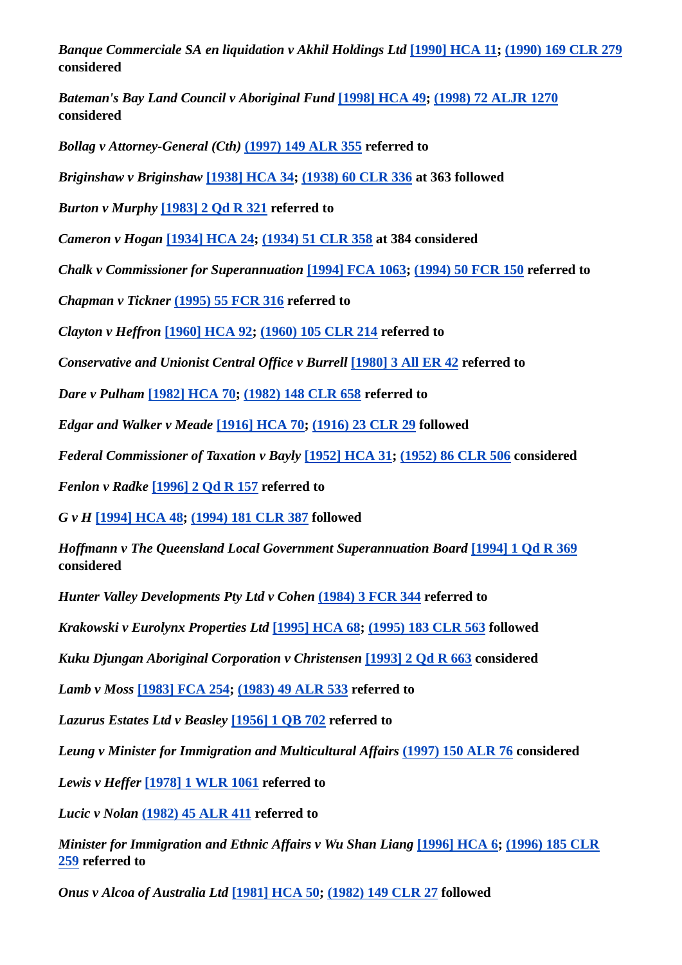*Banque Commerciale SA en liquidation v Akhil Holdings Ltd* **[1990] HCA 11; (1990) 169 CLR 279 considered**

*Bateman's Bay Land Council v Aboriginal Fund* **[1998] HCA 49; (1998) 72 ALJR 1270 considered**

*Bollag v Attorney-General (Cth)* **(1997) 149 ALR 355 referred to**

*Briginshaw v Briginshaw* **[1938] HCA 34; (1938) 60 CLR 336 at 363 followed**

*Burton v Murphy* **[1983] 2 Qd R 321 referred to**

*Cameron v Hogan* **[1934] HCA 24; (1934) 51 CLR 358 at 384 considered**

*Chalk v Commissioner for Superannuation* **[1994] FCA 1063; (1994) 50 FCR 150 referred to**

*Chapman v Tickner* **(1995) 55 FCR 316 referred to**

*Clayton v Heffron* **[1960] HCA 92; (1960) 105 CLR 214 referred to**

*Conservative and Unionist Central Office v Burrell* **[1980] 3 All ER 42 referred to**

*Dare v Pulham* **[1982] HCA 70; (1982) 148 CLR 658 referred to**

*Edgar and Walker v Meade* **[1916] HCA 70; (1916) 23 CLR 29 followed**

*Federal Commissioner of Taxation v Bayly* **[1952] HCA 31; (1952) 86 CLR 506 considered**

*Fenlon v Radke* **[1996] 2 Qd R 157 referred to**

*G v H* **[1994] HCA 48; (1994) 181 CLR 387 followed**

*Hoffmann v The Queensland Local Government Superannuation Board* **[1994] 1 Qd R 369 considered**

*Hunter Valley Developments Pty Ltd v Cohen* **(1984) 3 FCR 344 referred to**

*Krakowski v Eurolynx Properties Ltd* **[1995] HCA 68; (1995) 183 CLR 563 followed**

*Kuku Djungan Aboriginal Corporation v Christensen* **[1993] 2 Qd R 663 considered**

*Lamb v Moss* **[1983] FCA 254; (1983) 49 ALR 533 referred to**

*Lazurus Estates Ltd v Beasley* **[1956] 1 QB 702 referred to**

*Leung v Minister for Immigration and Multicultural Affairs* **(1997) 150 ALR 76 considered**

*Lewis v Heffer* **[1978] 1 WLR 1061 referred to**

*Lucic v Nolan* **(1982) 45 ALR 411 referred to**

*Minister for Immigration and Ethnic Affairs v Wu Shan Liang* [1996] HCA 6; (1996) 185 CLR **259 referred to**

*Onus v Alcoa of Australia Ltd* **[1981] HCA 50; (1982) 149 CLR 27 followed**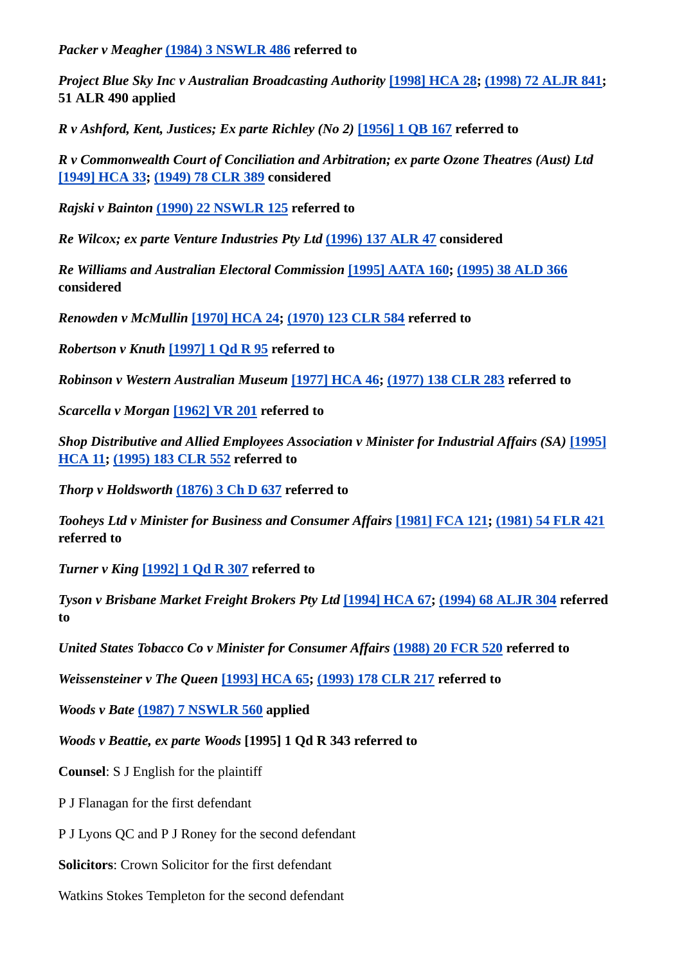*Packer v Meagher* **(1984) 3 NSWLR 486 referred to**

*Project Blue Sky Inc v Australian Broadcasting Authority* **[1998] HCA 28; (1998) 72 ALJR 841; 51 ALR 490 applied**

*R v Ashford, Kent, Justices; Ex parte Richley (No 2)* **[1956] 1 QB 167 referred to**

*R v Commonwealth Court of Conciliation and Arbitration; ex parte Ozone Theatres (Aust) Ltd* **[1949] HCA 33; (1949) 78 CLR 389 considered**

*Rajski v Bainton* **(1990) 22 NSWLR 125 referred to**

*Re Wilcox; ex parte Venture Industries Pty Ltd* **(1996) 137 ALR 47 considered**

*Re Williams and Australian Electoral Commission* **[1995] AATA 160; (1995) 38 ALD 366 considered**

*Renowden v McMullin* **[1970] HCA 24; (1970) 123 CLR 584 referred to**

*Robertson v Knuth* **[1997] 1 Qd R 95 referred to**

*Robinson v Western Australian Museum* **[1977] HCA 46; (1977) 138 CLR 283 referred to**

*Scarcella v Morgan* **[1962] VR 201 referred to**

*Shop Distributive and Allied Employees Association v Minister for Industrial Affairs (SA)* **[1995] HCA 11; (1995) 183 CLR 552 referred to**

*Thorp v Holdsworth* **(1876) 3 Ch D 637 referred to**

*Tooheys Ltd v Minister for Business and Consumer Affairs* **[1981] FCA 121; (1981) 54 FLR 421 referred to**

*Turner v King* **[1992] 1 Qd R 307 referred to**

*Tyson v Brisbane Market Freight Brokers Pty Ltd* **[1994] HCA 67; (1994) 68 ALJR 304 referred to**

*United States Tobacco Co v Minister for Consumer Affairs* **(1988) 20 FCR 520 referred to**

*Weissensteiner v The Queen* **[1993] HCA 65; (1993) 178 CLR 217 referred to**

*Woods v Bate* **(1987) 7 NSWLR 560 applied**

*Woods v Beattie, ex parte Woods* **[1995] 1 Qd R 343 referred to**

**Counsel**: S J English for the plaintiff

P J Flanagan for the first defendant

P J Lyons QC and P J Roney for the second defendant

**Solicitors**: Crown Solicitor for the first defendant

Watkins Stokes Templeton for the second defendant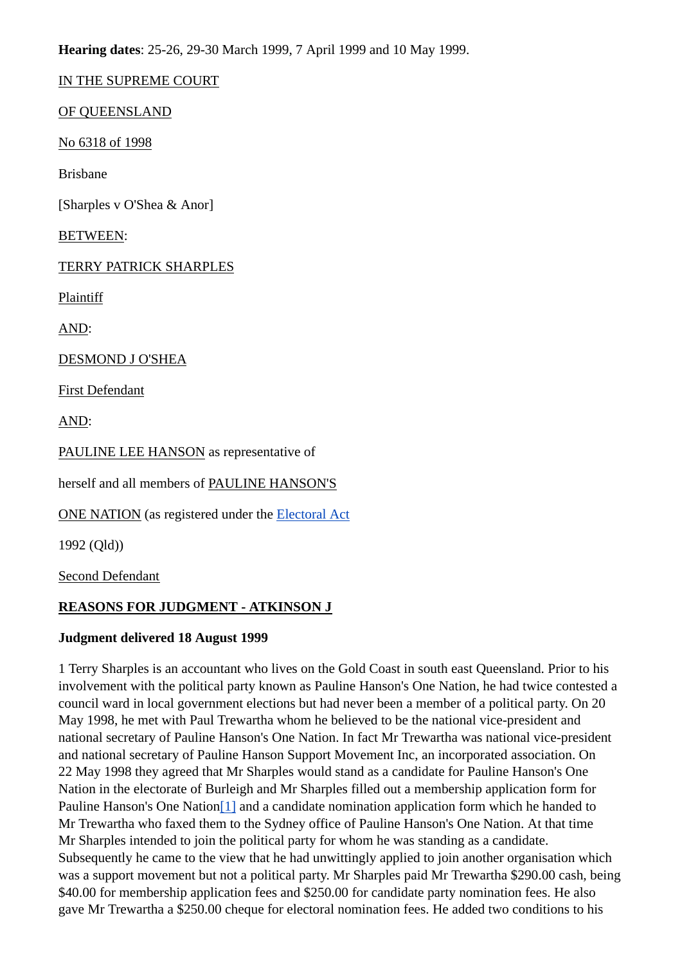**Hearing dates**: 25-26, 29-30 March 1999, 7 April 1999 and 10 May 1999.

IN THE SUPREME COURT

OF QUEENSLAND

No 6318 of 1998

Brisbane

[Sharples v O'Shea & Anor]

BETWEEN:

TERRY PATRICK SHARPLES

Plaintiff

AND:

DESMOND J O'SHEA

First Defendant

AND:

PAULINE LEE HANSON as representative of

herself and all members of PAULINE HANSON'S

ONE NATION (as registered under the Electoral Act

1992 (Qld))

Second Defendant

#### **REASONS FOR JUDGMENT - ATKINSON J**

#### **Judgment delivered 18 August 1999**

1 Terry Sharples is an accountant who lives on the Gold Coast in south east Queensland. Prior to his involvement with the political party known as Pauline Hanson's One Nation, he had twice contested a council ward in local government elections but had never been a member of a political party. On 20 May 1998, he met with Paul Trewartha whom he believed to be the national vice-president and national secretary of Pauline Hanson's One Nation. In fact Mr Trewartha was national vice-president and national secretary of Pauline Hanson Support Movement Inc, an incorporated association. On 22 May 1998 they agreed that Mr Sharples would stand as a candidate for Pauline Hanson's One Nation in the electorate of Burleigh and Mr Sharples filled out a membership application form for Pauline Hanson's One Nation<sup>[1]</sup> and a candidate nomination application form which he handed to Mr Trewartha who faxed them to the Sydney office of Pauline Hanson's One Nation. At that time Mr Sharples intended to join the political party for whom he was standing as a candidate. Subsequently he came to the view that he had unwittingly applied to join another organisation which was a support movement but not a political party. Mr Sharples paid Mr Trewartha \$290.00 cash, being \$40.00 for membership application fees and \$250.00 for candidate party nomination fees. He also gave Mr Trewartha a \$250.00 cheque for electoral nomination fees. He added two conditions to his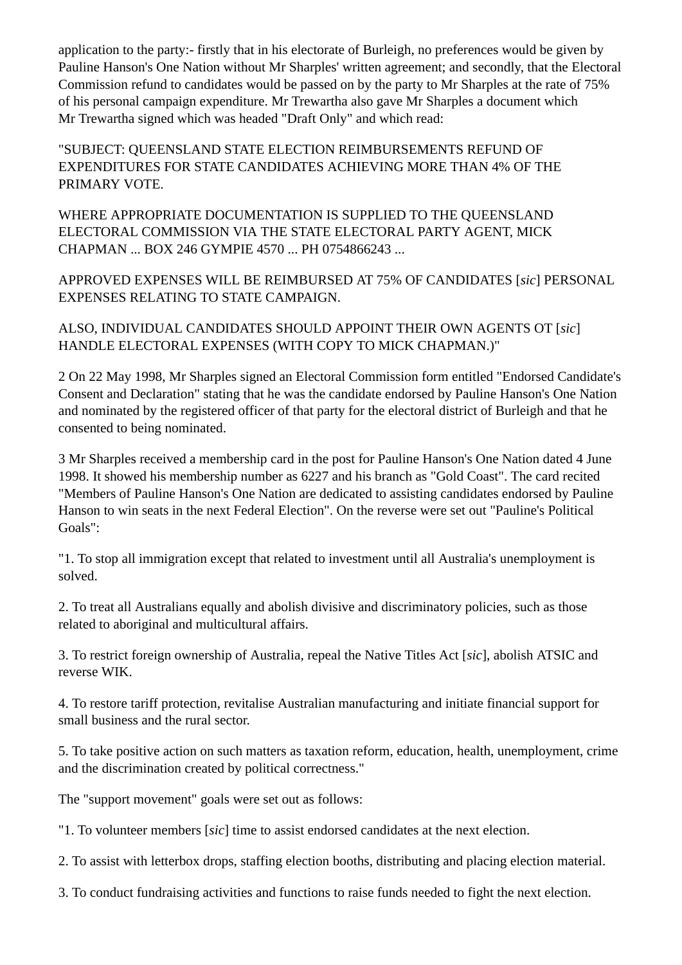application to the party:- firstly that in his electorate of Burleigh, no preferences would be given by Pauline Hanson's One Nation without Mr Sharples' written agreement; and secondly, that the Electoral Commission refund to candidates would be passed on by the party to Mr Sharples at the rate of 75% of his personal campaign expenditure. Mr Trewartha also gave Mr Sharples a document which Mr Trewartha signed which was headed "Draft Only" and which read:

"SUBJECT: QUEENSLAND STATE ELECTION REIMBURSEMENTS REFUND OF EXPENDITURES FOR STATE CANDIDATES ACHIEVING MORE THAN 4% OF THE PRIMARY VOTE.

WHERE APPROPRIATE DOCUMENTATION IS SUPPLIED TO THE QUEENSLAND ELECTORAL COMMISSION VIA THE STATE ELECTORAL PARTY AGENT, MICK CHAPMAN ... BOX 246 GYMPIE 4570 ... PH 0754866243 ...

APPROVED EXPENSES WILL BE REIMBURSED AT 75% OF CANDIDATES [*sic*] PERSONAL EXPENSES RELATING TO STATE CAMPAIGN.

ALSO, INDIVIDUAL CANDIDATES SHOULD APPOINT THEIR OWN AGENTS OT [*sic*] HANDLE ELECTORAL EXPENSES (WITH COPY TO MICK CHAPMAN.)"

2 On 22 May 1998, Mr Sharples signed an Electoral Commission form entitled "Endorsed Candidate's Consent and Declaration" stating that he was the candidate endorsed by Pauline Hanson's One Nation and nominated by the registered officer of that party for the electoral district of Burleigh and that he consented to being nominated.

3 Mr Sharples received a membership card in the post for Pauline Hanson's One Nation dated 4 June 1998. It showed his membership number as 6227 and his branch as "Gold Coast". The card recited "Members of Pauline Hanson's One Nation are dedicated to assisting candidates endorsed by Pauline Hanson to win seats in the next Federal Election". On the reverse were set out "Pauline's Political Goals":

"1. To stop all immigration except that related to investment until all Australia's unemployment is solved.

2. To treat all Australians equally and abolish divisive and discriminatory policies, such as those related to aboriginal and multicultural affairs.

3. To restrict foreign ownership of Australia, repeal the Native Titles Act [*sic*], abolish ATSIC and reverse WIK.

4. To restore tariff protection, revitalise Australian manufacturing and initiate financial support for small business and the rural sector.

5. To take positive action on such matters as taxation reform, education, health, unemployment, crime and the discrimination created by political correctness."

The "support movement" goals were set out as follows:

"1. To volunteer members [*sic*] time to assist endorsed candidates at the next election.

2. To assist with letterbox drops, staffing election booths, distributing and placing election material.

3. To conduct fundraising activities and functions to raise funds needed to fight the next election.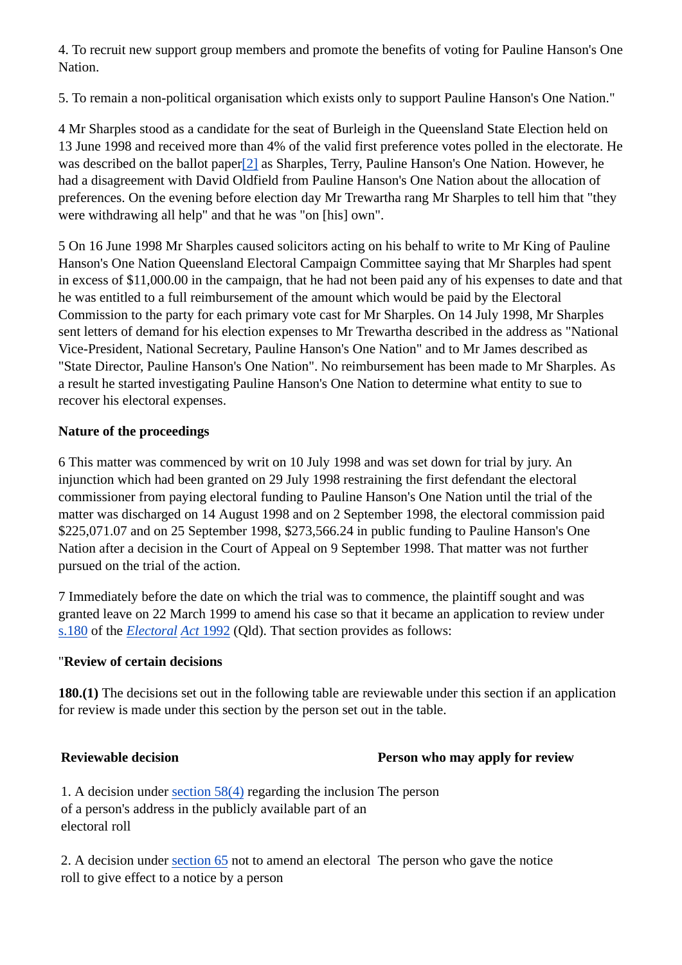4. To recruit new support group members and promote the benefits of voting for Pauline Hanson's One Nation.

5. To remain a non-political organisation which exists only to support Pauline Hanson's One Nation."

4 Mr Sharples stood as a candidate for the seat of Burleigh in the Queensland State Election held on 13 June 1998 and received more than 4% of the valid first preference votes polled in the electorate. He was described on the ballot paper[2] as Sharples, Terry, Pauline Hanson's One Nation. However, he had a disagreement with David Oldfield from Pauline Hanson's One Nation about the allocation of preferences. On the evening before election day Mr Trewartha rang Mr Sharples to tell him that "they were withdrawing all help" and that he was "on [his] own".

5 On 16 June 1998 Mr Sharples caused solicitors acting on his behalf to write to Mr King of Pauline Hanson's One Nation Queensland Electoral Campaign Committee saying that Mr Sharples had spent in excess of \$11,000.00 in the campaign, that he had not been paid any of his expenses to date and that he was entitled to a full reimbursement of the amount which would be paid by the Electoral Commission to the party for each primary vote cast for Mr Sharples. On 14 July 1998, Mr Sharples sent letters of demand for his election expenses to Mr Trewartha described in the address as "National Vice-President, National Secretary, Pauline Hanson's One Nation" and to Mr James described as "State Director, Pauline Hanson's One Nation". No reimbursement has been made to Mr Sharples. As a result he started investigating Pauline Hanson's One Nation to determine what entity to sue to recover his electoral expenses.

#### **Nature of the proceedings**

6 This matter was commenced by writ on 10 July 1998 and was set down for trial by jury. An injunction which had been granted on 29 July 1998 restraining the first defendant the electoral commissioner from paying electoral funding to Pauline Hanson's One Nation until the trial of the matter was discharged on 14 August 1998 and on 2 September 1998, the electoral commission paid \$225,071.07 and on 25 September 1998, \$273,566.24 in public funding to Pauline Hanson's One Nation after a decision in the Court of Appeal on 9 September 1998. That matter was not further pursued on the trial of the action.

7 Immediately before the date on which the trial was to commence, the plaintiff sought and was granted leave on 22 March 1999 to amend his case so that it became an application to review under s.180 of the *Electoral Act* 1992 (Qld). That section provides as follows:

#### "**Review of certain decisions**

**180.(1)** The decisions set out in the following table are reviewable under this section if an application for review is made under this section by the person set out in the table.

#### **Reviewable decision Person who may apply for review**

1. A decision under section 58(4) regarding the inclusion The person of a person's address in the publicly available part of an electoral roll

2. A decision under section 65 not to amend an electoral The person who gave the notice roll to give effect to a notice by a person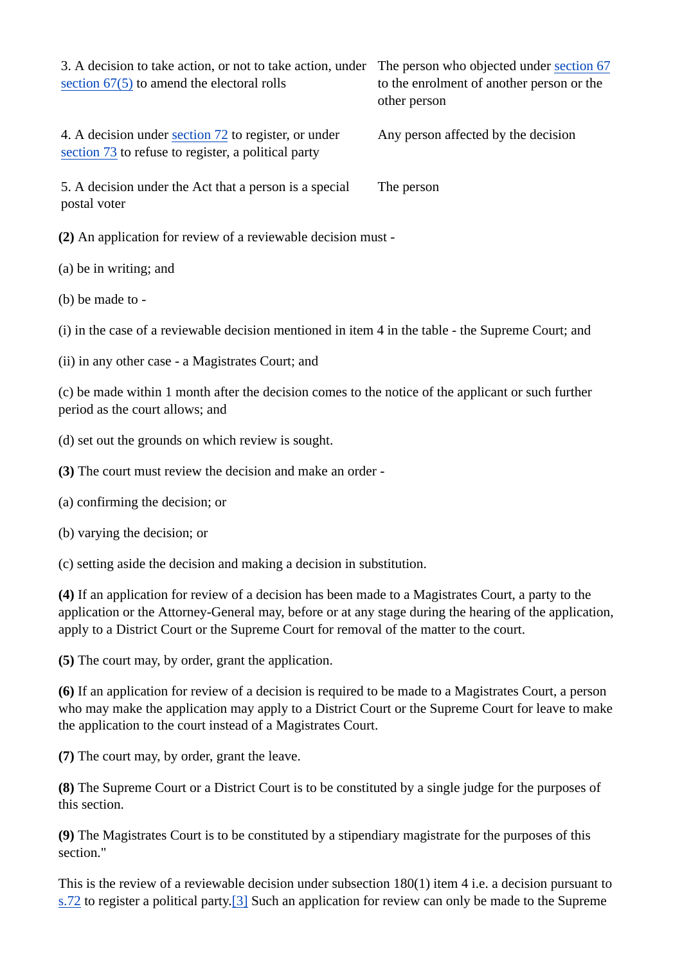| 3. A decision to take action, or not to take action, under<br>section $67(5)$ to amend the electoral rolls                                                                                                                                                                                              | The person who objected under section 67<br>to the enrolment of another person or the<br>other person |
|---------------------------------------------------------------------------------------------------------------------------------------------------------------------------------------------------------------------------------------------------------------------------------------------------------|-------------------------------------------------------------------------------------------------------|
| 4. A decision under section 72 to register, or under<br>section 73 to refuse to register, a political party                                                                                                                                                                                             | Any person affected by the decision                                                                   |
| 5. A decision under the Act that a person is a special<br>postal voter                                                                                                                                                                                                                                  | The person                                                                                            |
| (2) An application for review of a reviewable decision must -                                                                                                                                                                                                                                           |                                                                                                       |
| (a) be in writing; and                                                                                                                                                                                                                                                                                  |                                                                                                       |
| (b) be made to -                                                                                                                                                                                                                                                                                        |                                                                                                       |
| (i) in the case of a reviewable decision mentioned in item 4 in the table - the Supreme Court; and                                                                                                                                                                                                      |                                                                                                       |
| (ii) in any other case - a Magistrates Court; and                                                                                                                                                                                                                                                       |                                                                                                       |
| (c) be made within 1 month after the decision comes to the notice of the applicant or such further<br>period as the court allows; and                                                                                                                                                                   |                                                                                                       |
| (d) set out the grounds on which review is sought.                                                                                                                                                                                                                                                      |                                                                                                       |
| (3) The court must review the decision and make an order -                                                                                                                                                                                                                                              |                                                                                                       |
| (a) confirming the decision; or                                                                                                                                                                                                                                                                         |                                                                                                       |
| (b) varying the decision; or                                                                                                                                                                                                                                                                            |                                                                                                       |
| (c) setting aside the decision and making a decision in substitution.                                                                                                                                                                                                                                   |                                                                                                       |
| (4) If an application for review of a decision has been made to a Magistrates Court, a party to the<br>application or the Attorney-General may, before or at any stage during the hearing of the application,<br>apply to a District Court or the Supreme Court for removal of the matter to the court. |                                                                                                       |
| (5) The court may, by order, grant the application.                                                                                                                                                                                                                                                     |                                                                                                       |
| (6) If an application for review of a decision is required to be made to a Magistrates Court, a person<br>who may make the application may apply to a District Court or the Supreme Court for leave to make<br>the application to the court instead of a Magistrates Court.                             |                                                                                                       |

**(7)** The court may, by order, grant the leave.

**(8)** The Supreme Court or a District Court is to be constituted by a single judge for the purposes of this section.

**(9)** The Magistrates Court is to be constituted by a stipendiary magistrate for the purposes of this section."

This is the review of a reviewable decision under subsection 180(1) item 4 i.e. a decision pursuant to s.72 to register a political party.<sup>[3]</sup> Such an application for review can only be made to the Supreme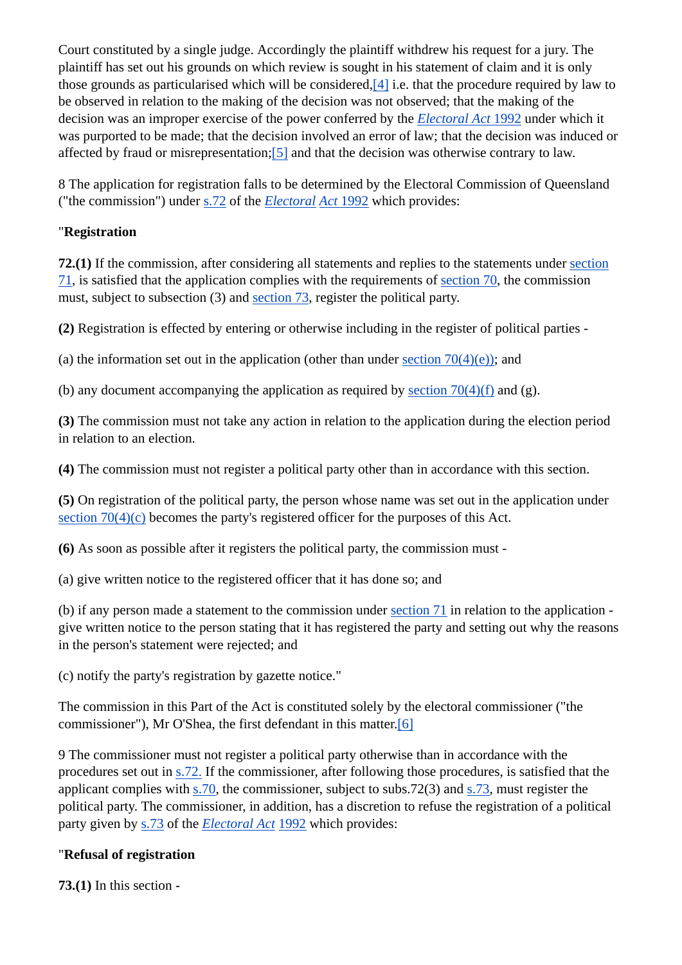Court constituted by a single judge. Accordingly the plaintiff withdrew his request for a jury. The plaintiff has set out his grounds on which review is sought in his statement of claim and it is only those grounds as particularised which will be considered,[4] i.e. that the procedure required by law to be observed in relation to the making of the decision was not observed; that the making of the decision was an improper exercise of the power conferred by the *Electoral Act* 1992 under which it was purported to be made; that the decision involved an error of law; that the decision was induced or affected by fraud or misrepresentation;[5] and that the decision was otherwise contrary to law.

8 The application for registration falls to be determined by the Electoral Commission of Queensland ("the commission") under s.72 of the *Electoral Act* 1992 which provides:

#### "**Registration**

**72.(1)** If the commission, after considering all statements and replies to the statements under section 71, is satisfied that the application complies with the requirements of section 70, the commission must, subject to subsection (3) and section 73, register the political party.

**(2)** Registration is effected by entering or otherwise including in the register of political parties -

(a) the information set out in the application (other than under section  $70(4)(e)$ ); and

(b) any document accompanying the application as required by section  $70(4)(f)$  and (g).

**(3)** The commission must not take any action in relation to the application during the election period in relation to an election.

**(4)** The commission must not register a political party other than in accordance with this section.

**(5)** On registration of the political party, the person whose name was set out in the application under section 70(4)(c) becomes the party's registered officer for the purposes of this Act.

**(6)** As soon as possible after it registers the political party, the commission must -

(a) give written notice to the registered officer that it has done so; and

(b) if any person made a statement to the commission under section 71 in relation to the application give written notice to the person stating that it has registered the party and setting out why the reasons in the person's statement were rejected; and

(c) notify the party's registration by gazette notice."

The commission in this Part of the Act is constituted solely by the electoral commissioner ("the commissioner"), Mr O'Shea, the first defendant in this matter.[6]

9 The commissioner must not register a political party otherwise than in accordance with the procedures set out in s.72. If the commissioner, after following those procedures, is satisfied that the applicant complies with s.70, the commissioner, subject to subs.72(3) and s.73, must register the political party. The commissioner, in addition, has a discretion to refuse the registration of a political party given by s.73 of the *Electoral Act* 1992 which provides:

#### "**Refusal of registration**

**73.(1)** In this section -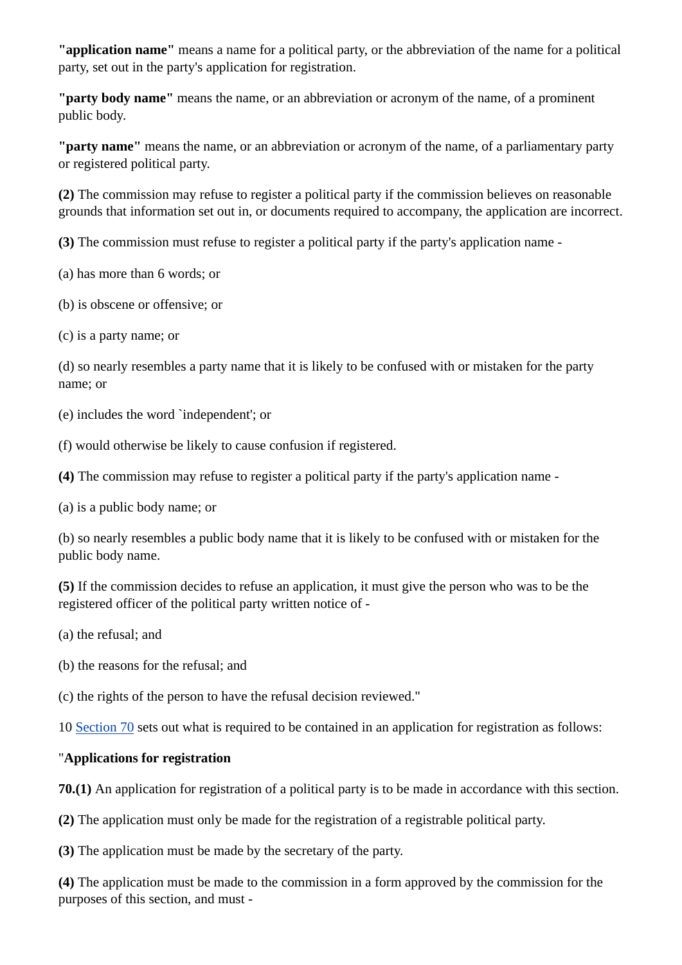**"application name"** means a name for a political party, or the abbreviation of the name for a political party, set out in the party's application for registration.

**"party body name"** means the name, or an abbreviation or acronym of the name, of a prominent public body.

**"party name"** means the name, or an abbreviation or acronym of the name, of a parliamentary party or registered political party.

**(2)** The commission may refuse to register a political party if the commission believes on reasonable grounds that information set out in, or documents required to accompany, the application are incorrect.

**(3)** The commission must refuse to register a political party if the party's application name -

(a) has more than 6 words; or

(b) is obscene or offensive; or

(c) is a party name; or

(d) so nearly resembles a party name that it is likely to be confused with or mistaken for the party name; or

(e) includes the word `independent'; or

(f) would otherwise be likely to cause confusion if registered.

**(4)** The commission may refuse to register a political party if the party's application name -

(a) is a public body name; or

(b) so nearly resembles a public body name that it is likely to be confused with or mistaken for the public body name.

**(5)** If the commission decides to refuse an application, it must give the person who was to be the registered officer of the political party written notice of -

(a) the refusal; and

(b) the reasons for the refusal; and

(c) the rights of the person to have the refusal decision reviewed."

10 Section 70 sets out what is required to be contained in an application for registration as follows:

#### "**Applications for registration**

**70.(1)** An application for registration of a political party is to be made in accordance with this section.

**(2)** The application must only be made for the registration of a registrable political party.

**(3)** The application must be made by the secretary of the party.

**(4)** The application must be made to the commission in a form approved by the commission for the purposes of this section, and must -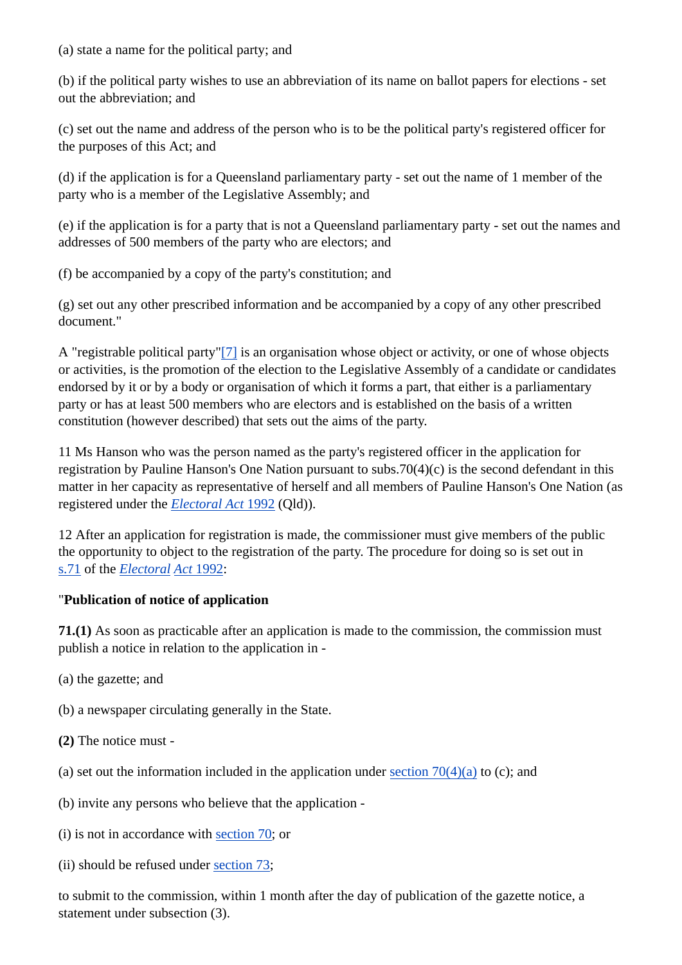(a) state a name for the political party; and

(b) if the political party wishes to use an abbreviation of its name on ballot papers for elections - set out the abbreviation; and

(c) set out the name and address of the person who is to be the political party's registered officer for the purposes of this Act; and

(d) if the application is for a Queensland parliamentary party - set out the name of 1 member of the party who is a member of the Legislative Assembly; and

(e) if the application is for a party that is not a Queensland parliamentary party - set out the names and addresses of 500 members of the party who are electors; and

(f) be accompanied by a copy of the party's constitution; and

(g) set out any other prescribed information and be accompanied by a copy of any other prescribed document."

A "registrable political party"[7] is an organisation whose object or activity, or one of whose objects or activities, is the promotion of the election to the Legislative Assembly of a candidate or candidates endorsed by it or by a body or organisation of which it forms a part, that either is a parliamentary party or has at least 500 members who are electors and is established on the basis of a written constitution (however described) that sets out the aims of the party.

11 Ms Hanson who was the person named as the party's registered officer in the application for registration by Pauline Hanson's One Nation pursuant to subs.70(4)(c) is the second defendant in this matter in her capacity as representative of herself and all members of Pauline Hanson's One Nation (as registered under the *Electoral Act* 1992 (Qld)).

12 After an application for registration is made, the commissioner must give members of the public the opportunity to object to the registration of the party. The procedure for doing so is set out in s.71 of the *Electoral Act* 1992:

#### "**Publication of notice of application**

**71.(1)** As soon as practicable after an application is made to the commission, the commission must publish a notice in relation to the application in -

- (a) the gazette; and
- (b) a newspaper circulating generally in the State.
- **(2)** The notice must -
- (a) set out the information included in the application under section  $70(4)(a)$  to (c); and
- (b) invite any persons who believe that the application -
- (i) is not in accordance with section 70; or
- (ii) should be refused under section 73;

to submit to the commission, within 1 month after the day of publication of the gazette notice, a statement under subsection (3).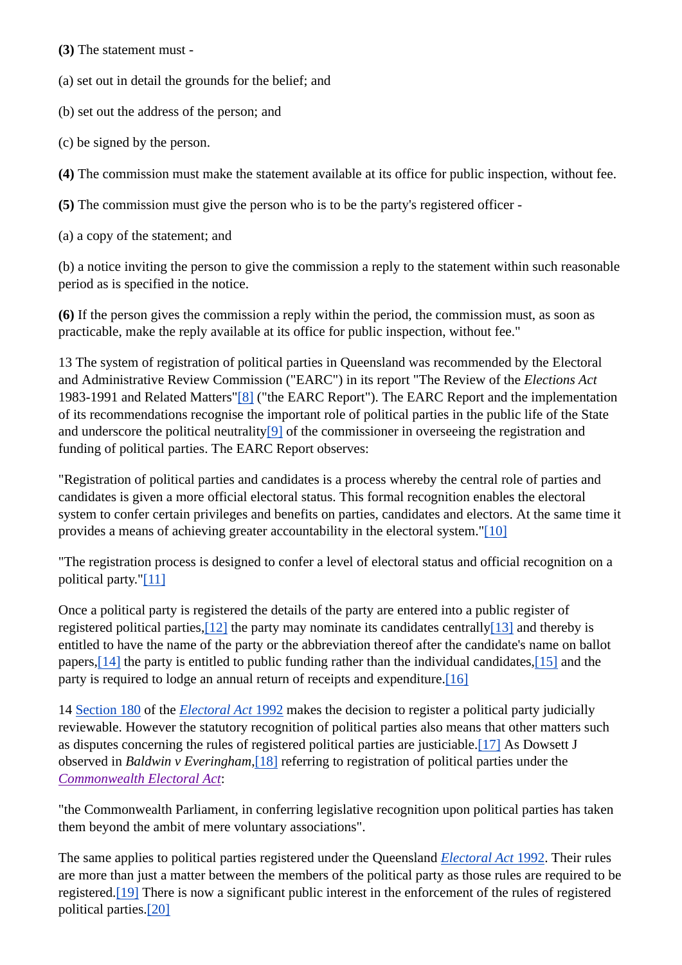**(3)** The statement must -

(a) set out in detail the grounds for the belief; and

(b) set out the address of the person; and

(c) be signed by the person.

**(4)** The commission must make the statement available at its office for public inspection, without fee.

**(5)** The commission must give the person who is to be the party's registered officer -

(a) a copy of the statement; and

(b) a notice inviting the person to give the commission a reply to the statement within such reasonable period as is specified in the notice.

**(6)** If the person gives the commission a reply within the period, the commission must, as soon as practicable, make the reply available at its office for public inspection, without fee."

13 The system of registration of political parties in Queensland was recommended by the Electoral and Administrative Review Commission ("EARC") in its report "The Review of the *Elections Act* 1983-1991 and Related Matters"[8] ("the EARC Report"). The EARC Report and the implementation of its recommendations recognise the important role of political parties in the public life of the State and underscore the political neutrality[9] of the commissioner in overseeing the registration and funding of political parties. The EARC Report observes:

"Registration of political parties and candidates is a process whereby the central role of parties and candidates is given a more official electoral status. This formal recognition enables the electoral system to confer certain privileges and benefits on parties, candidates and electors. At the same time it provides a means of achieving greater accountability in the electoral system."[10]

"The registration process is designed to confer a level of electoral status and official recognition on a political party."[11]

Once a political party is registered the details of the party are entered into a public register of registered political parties, $[12]$  the party may nominate its candidates centrally $[13]$  and thereby is entitled to have the name of the party or the abbreviation thereof after the candidate's name on ballot papers,[14] the party is entitled to public funding rather than the individual candidates,[15] and the party is required to lodge an annual return of receipts and expenditure.<sup>[16]</sup>

14 Section 180 of the *Electoral Act* 1992 makes the decision to register a political party judicially reviewable. However the statutory recognition of political parties also means that other matters such as disputes concerning the rules of registered political parties are justiciable.[17] As Dowsett J observed in *Baldwin v Everingham*,[18] referring to registration of political parties under the *Commonwealth Electoral Act*:

"the Commonwealth Parliament, in conferring legislative recognition upon political parties has taken them beyond the ambit of mere voluntary associations".

The same applies to political parties registered under the Queensland *Electoral Act* 1992. Their rules are more than just a matter between the members of the political party as those rules are required to be registered.[19] There is now a significant public interest in the enforcement of the rules of registered political parties.[20]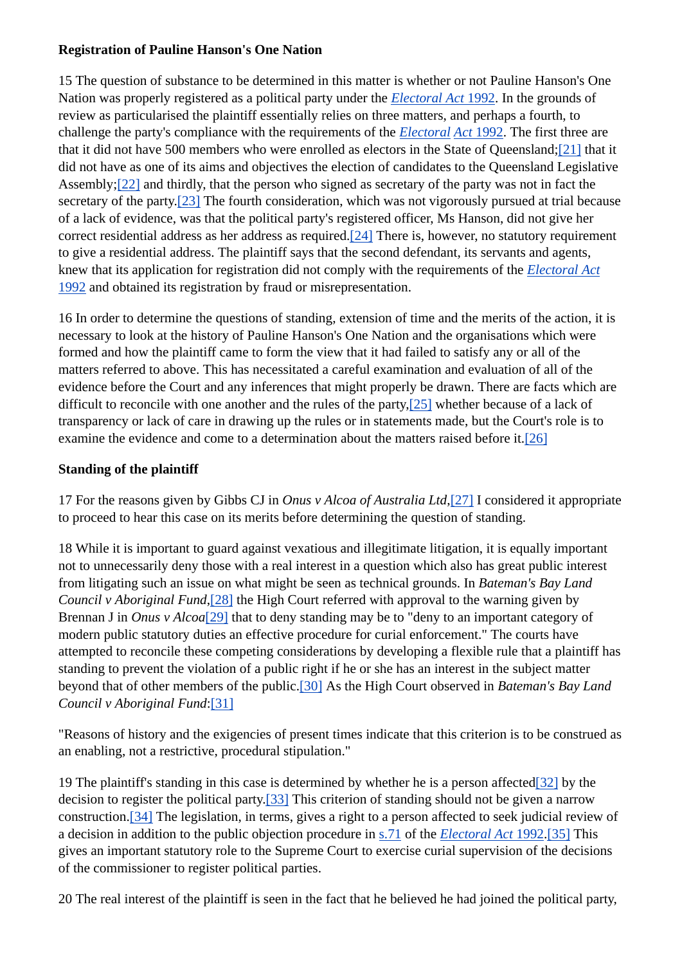#### **Registration of Pauline Hanson's One Nation**

15 The question of substance to be determined in this matter is whether or not Pauline Hanson's One Nation was properly registered as a political party under the *Electoral Act* 1992. In the grounds of review as particularised the plaintiff essentially relies on three matters, and perhaps a fourth, to challenge the party's compliance with the requirements of the *Electoral Act* 1992. The first three are that it did not have 500 members who were enrolled as electors in the State of Queensland;[21] that it did not have as one of its aims and objectives the election of candidates to the Queensland Legislative Assembly;[22] and thirdly, that the person who signed as secretary of the party was not in fact the secretary of the party.[23] The fourth consideration, which was not vigorously pursued at trial because of a lack of evidence, was that the political party's registered officer, Ms Hanson, did not give her correct residential address as her address as required.[24] There is, however, no statutory requirement to give a residential address. The plaintiff says that the second defendant, its servants and agents, knew that its application for registration did not comply with the requirements of the *Electoral Act* 1992 and obtained its registration by fraud or misrepresentation.

16 In order to determine the questions of standing, extension of time and the merits of the action, it is necessary to look at the history of Pauline Hanson's One Nation and the organisations which were formed and how the plaintiff came to form the view that it had failed to satisfy any or all of the matters referred to above. This has necessitated a careful examination and evaluation of all of the evidence before the Court and any inferences that might properly be drawn. There are facts which are difficult to reconcile with one another and the rules of the party,[25] whether because of a lack of transparency or lack of care in drawing up the rules or in statements made, but the Court's role is to examine the evidence and come to a determination about the matters raised before it.[26]

#### **Standing of the plaintiff**

17 For the reasons given by Gibbs CJ in *Onus v Alcoa of Australia Ltd*,[27] I considered it appropriate to proceed to hear this case on its merits before determining the question of standing.

18 While it is important to guard against vexatious and illegitimate litigation, it is equally important not to unnecessarily deny those with a real interest in a question which also has great public interest from litigating such an issue on what might be seen as technical grounds. In *Bateman's Bay Land Council v Aboriginal Fund*,[28] the High Court referred with approval to the warning given by Brennan J in *Onus v Alcoa*[29] that to deny standing may be to "deny to an important category of modern public statutory duties an effective procedure for curial enforcement." The courts have attempted to reconcile these competing considerations by developing a flexible rule that a plaintiff has standing to prevent the violation of a public right if he or she has an interest in the subject matter beyond that of other members of the public.[30] As the High Court observed in *Bateman's Bay Land Council v Aboriginal Fund*:[31]

"Reasons of history and the exigencies of present times indicate that this criterion is to be construed as an enabling, not a restrictive, procedural stipulation."

19 The plaintiff's standing in this case is determined by whether he is a person affected[32] by the decision to register the political party.[33] This criterion of standing should not be given a narrow construction.[34] The legislation, in terms, gives a right to a person affected to seek judicial review of a decision in addition to the public objection procedure in s.71 of the *Electoral Act* 1992.[35] This gives an important statutory role to the Supreme Court to exercise curial supervision of the decisions of the commissioner to register political parties.

20 The real interest of the plaintiff is seen in the fact that he believed he had joined the political party,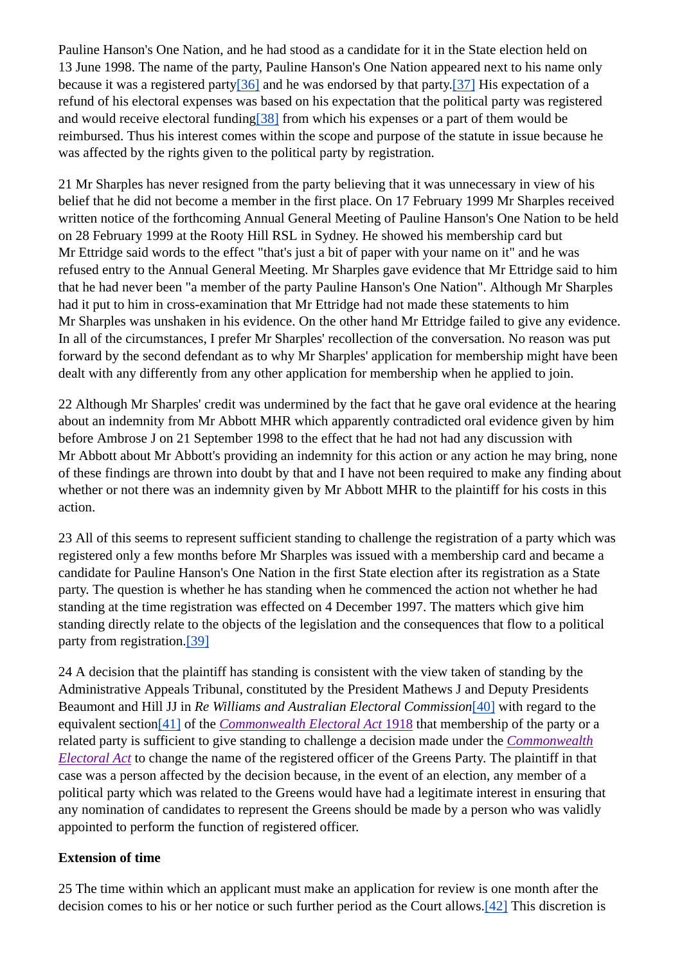Pauline Hanson's One Nation, and he had stood as a candidate for it in the State election held on 13 June 1998. The name of the party, Pauline Hanson's One Nation appeared next to his name only because it was a registered party[36] and he was endorsed by that party.[37] His expectation of a refund of his electoral expenses was based on his expectation that the political party was registered and would receive electoral funding[38] from which his expenses or a part of them would be reimbursed. Thus his interest comes within the scope and purpose of the statute in issue because he was affected by the rights given to the political party by registration.

21 Mr Sharples has never resigned from the party believing that it was unnecessary in view of his belief that he did not become a member in the first place. On 17 February 1999 Mr Sharples received written notice of the forthcoming Annual General Meeting of Pauline Hanson's One Nation to be held on 28 February 1999 at the Rooty Hill RSL in Sydney. He showed his membership card but Mr Ettridge said words to the effect "that's just a bit of paper with your name on it" and he was refused entry to the Annual General Meeting. Mr Sharples gave evidence that Mr Ettridge said to him that he had never been "a member of the party Pauline Hanson's One Nation". Although Mr Sharples had it put to him in cross-examination that Mr Ettridge had not made these statements to him Mr Sharples was unshaken in his evidence. On the other hand Mr Ettridge failed to give any evidence. In all of the circumstances, I prefer Mr Sharples' recollection of the conversation. No reason was put forward by the second defendant as to why Mr Sharples' application for membership might have been dealt with any differently from any other application for membership when he applied to join.

22 Although Mr Sharples' credit was undermined by the fact that he gave oral evidence at the hearing about an indemnity from Mr Abbott MHR which apparently contradicted oral evidence given by him before Ambrose J on 21 September 1998 to the effect that he had not had any discussion with Mr Abbott about Mr Abbott's providing an indemnity for this action or any action he may bring, none of these findings are thrown into doubt by that and I have not been required to make any finding about whether or not there was an indemnity given by Mr Abbott MHR to the plaintiff for his costs in this action.

23 All of this seems to represent sufficient standing to challenge the registration of a party which was registered only a few months before Mr Sharples was issued with a membership card and became a candidate for Pauline Hanson's One Nation in the first State election after its registration as a State party. The question is whether he has standing when he commenced the action not whether he had standing at the time registration was effected on 4 December 1997. The matters which give him standing directly relate to the objects of the legislation and the consequences that flow to a political party from registration.[39]

24 A decision that the plaintiff has standing is consistent with the view taken of standing by the Administrative Appeals Tribunal, constituted by the President Mathews J and Deputy Presidents Beaumont and Hill JJ in *Re Williams and Australian Electoral Commission*[40] with regard to the equivalent section[41] of the *Commonwealth Electoral Act* 1918 that membership of the party or a related party is sufficient to give standing to challenge a decision made under the *Commonwealth Electoral Act* to change the name of the registered officer of the Greens Party. The plaintiff in that case was a person affected by the decision because, in the event of an election, any member of a political party which was related to the Greens would have had a legitimate interest in ensuring that any nomination of candidates to represent the Greens should be made by a person who was validly appointed to perform the function of registered officer.

#### **Extension of time**

25 The time within which an applicant must make an application for review is one month after the decision comes to his or her notice or such further period as the Court allows.[42] This discretion is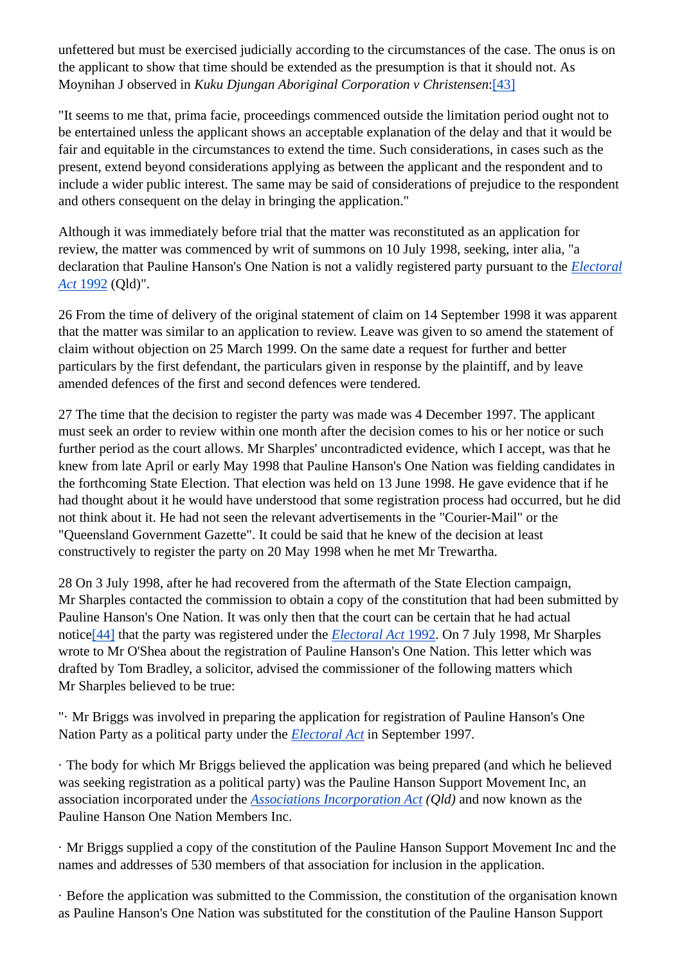unfettered but must be exercised judicially according to the circumstances of the case. The onus is on the applicant to show that time should be extended as the presumption is that it should not. As Moynihan J observed in *Kuku Djungan Aboriginal Corporation v Christensen*:[43]

"It seems to me that, prima facie, proceedings commenced outside the limitation period ought not to be entertained unless the applicant shows an acceptable explanation of the delay and that it would be fair and equitable in the circumstances to extend the time. Such considerations, in cases such as the present, extend beyond considerations applying as between the applicant and the respondent and to include a wider public interest. The same may be said of considerations of prejudice to the respondent and others consequent on the delay in bringing the application."

Although it was immediately before trial that the matter was reconstituted as an application for review, the matter was commenced by writ of summons on 10 July 1998, seeking, inter alia, "a declaration that Pauline Hanson's One Nation is not a validly registered party pursuant to the *Electoral Act* 1992 (Qld)".

26 From the time of delivery of the original statement of claim on 14 September 1998 it was apparent that the matter was similar to an application to review. Leave was given to so amend the statement of claim without objection on 25 March 1999. On the same date a request for further and better particulars by the first defendant, the particulars given in response by the plaintiff, and by leave amended defences of the first and second defences were tendered.

27 The time that the decision to register the party was made was 4 December 1997. The applicant must seek an order to review within one month after the decision comes to his or her notice or such further period as the court allows. Mr Sharples' uncontradicted evidence, which I accept, was that he knew from late April or early May 1998 that Pauline Hanson's One Nation was fielding candidates in the forthcoming State Election. That election was held on 13 June 1998. He gave evidence that if he had thought about it he would have understood that some registration process had occurred, but he did not think about it. He had not seen the relevant advertisements in the "Courier-Mail" or the "Queensland Government Gazette". It could be said that he knew of the decision at least constructively to register the party on 20 May 1998 when he met Mr Trewartha.

28 On 3 July 1998, after he had recovered from the aftermath of the State Election campaign, Mr Sharples contacted the commission to obtain a copy of the constitution that had been submitted by Pauline Hanson's One Nation. It was only then that the court can be certain that he had actual notice[44] that the party was registered under the *Electoral Act* 1992. On 7 July 1998, Mr Sharples wrote to Mr O'Shea about the registration of Pauline Hanson's One Nation. This letter which was drafted by Tom Bradley, a solicitor, advised the commissioner of the following matters which Mr Sharples believed to be true:

"· Mr Briggs was involved in preparing the application for registration of Pauline Hanson's One Nation Party as a political party under the *Electoral Act* in September 1997.

· The body for which Mr Briggs believed the application was being prepared (and which he believed was seeking registration as a political party) was the Pauline Hanson Support Movement Inc, an association incorporated under the *Associations Incorporation Act (Qld)* and now known as the Pauline Hanson One Nation Members Inc.

· Mr Briggs supplied a copy of the constitution of the Pauline Hanson Support Movement Inc and the names and addresses of 530 members of that association for inclusion in the application.

· Before the application was submitted to the Commission, the constitution of the organisation known as Pauline Hanson's One Nation was substituted for the constitution of the Pauline Hanson Support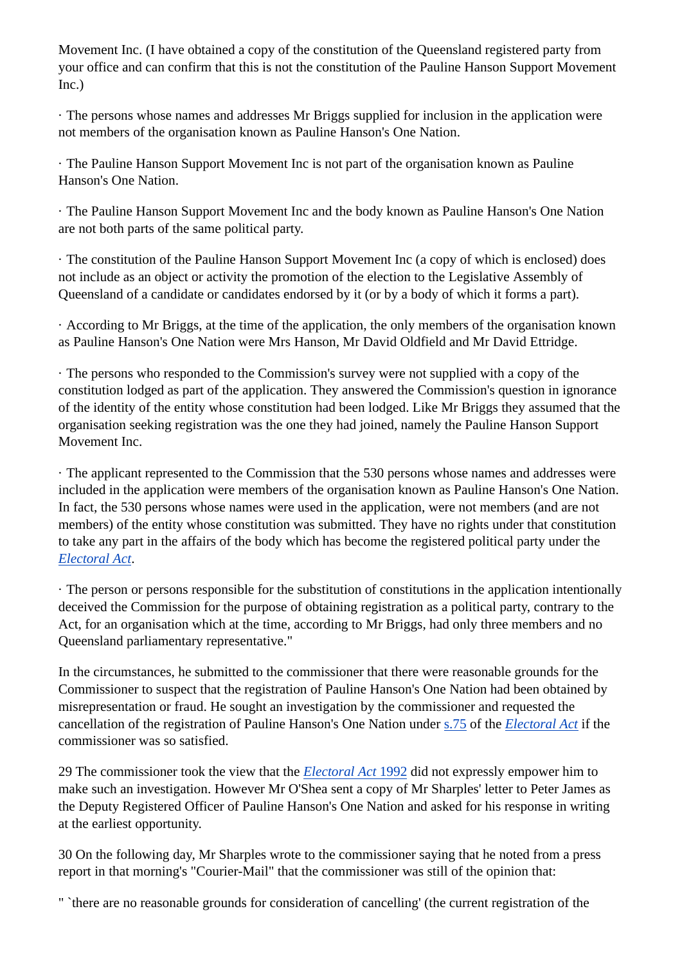Movement Inc. (I have obtained a copy of the constitution of the Queensland registered party from your office and can confirm that this is not the constitution of the Pauline Hanson Support Movement  $Inc.)$ 

· The persons whose names and addresses Mr Briggs supplied for inclusion in the application were not members of the organisation known as Pauline Hanson's One Nation.

· The Pauline Hanson Support Movement Inc is not part of the organisation known as Pauline Hanson's One Nation.

· The Pauline Hanson Support Movement Inc and the body known as Pauline Hanson's One Nation are not both parts of the same political party.

· The constitution of the Pauline Hanson Support Movement Inc (a copy of which is enclosed) does not include as an object or activity the promotion of the election to the Legislative Assembly of Queensland of a candidate or candidates endorsed by it (or by a body of which it forms a part).

· According to Mr Briggs, at the time of the application, the only members of the organisation known as Pauline Hanson's One Nation were Mrs Hanson, Mr David Oldfield and Mr David Ettridge.

· The persons who responded to the Commission's survey were not supplied with a copy of the constitution lodged as part of the application. They answered the Commission's question in ignorance of the identity of the entity whose constitution had been lodged. Like Mr Briggs they assumed that the organisation seeking registration was the one they had joined, namely the Pauline Hanson Support Movement Inc.

· The applicant represented to the Commission that the 530 persons whose names and addresses were included in the application were members of the organisation known as Pauline Hanson's One Nation. In fact, the 530 persons whose names were used in the application, were not members (and are not members) of the entity whose constitution was submitted. They have no rights under that constitution to take any part in the affairs of the body which has become the registered political party under the *Electoral Act*.

· The person or persons responsible for the substitution of constitutions in the application intentionally deceived the Commission for the purpose of obtaining registration as a political party, contrary to the Act, for an organisation which at the time, according to Mr Briggs, had only three members and no Queensland parliamentary representative."

In the circumstances, he submitted to the commissioner that there were reasonable grounds for the Commissioner to suspect that the registration of Pauline Hanson's One Nation had been obtained by misrepresentation or fraud. He sought an investigation by the commissioner and requested the cancellation of the registration of Pauline Hanson's One Nation under s.75 of the *Electoral Act* if the commissioner was so satisfied.

29 The commissioner took the view that the *Electoral Act* 1992 did not expressly empower him to make such an investigation. However Mr O'Shea sent a copy of Mr Sharples' letter to Peter James as the Deputy Registered Officer of Pauline Hanson's One Nation and asked for his response in writing at the earliest opportunity.

30 On the following day, Mr Sharples wrote to the commissioner saying that he noted from a press report in that morning's "Courier-Mail" that the commissioner was still of the opinion that:

" `there are no reasonable grounds for consideration of cancelling' (the current registration of the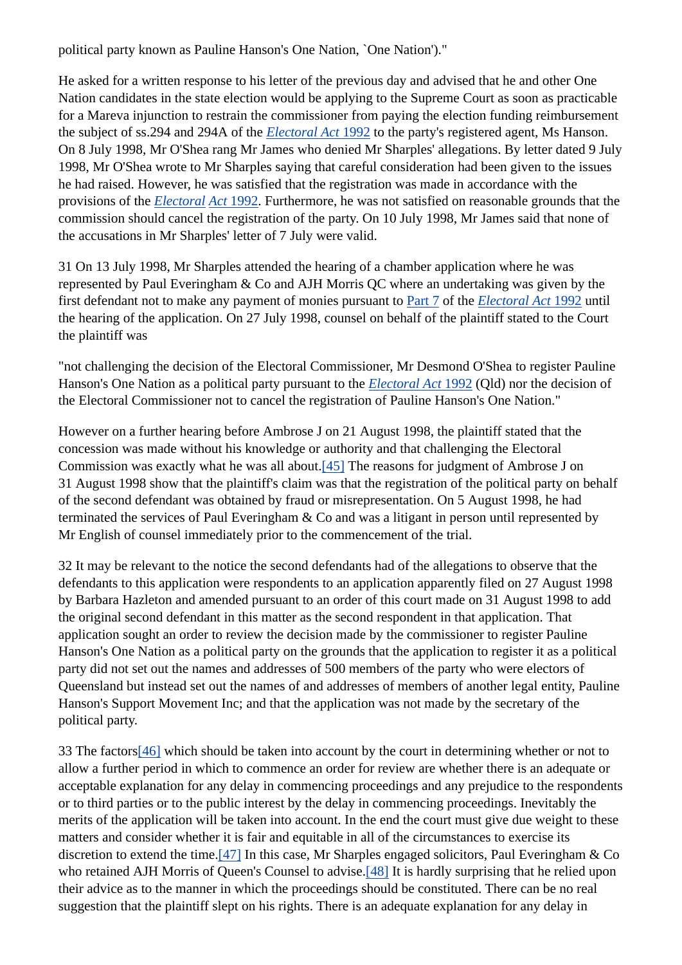political party known as Pauline Hanson's One Nation, `One Nation')."

He asked for a written response to his letter of the previous day and advised that he and other One Nation candidates in the state election would be applying to the Supreme Court as soon as practicable for a Mareva injunction to restrain the commissioner from paying the election funding reimbursement the subject of ss.294 and 294A of the *Electoral Act* 1992 to the party's registered agent, Ms Hanson. On 8 July 1998, Mr O'Shea rang Mr James who denied Mr Sharples' allegations. By letter dated 9 July 1998, Mr O'Shea wrote to Mr Sharples saying that careful consideration had been given to the issues he had raised. However, he was satisfied that the registration was made in accordance with the provisions of the *Electoral Act* 1992. Furthermore, he was not satisfied on reasonable grounds that the commission should cancel the registration of the party. On 10 July 1998, Mr James said that none of the accusations in Mr Sharples' letter of 7 July were valid.

31 On 13 July 1998, Mr Sharples attended the hearing of a chamber application where he was represented by Paul Everingham & Co and AJH Morris QC where an undertaking was given by the first defendant not to make any payment of monies pursuant to Part 7 of the *Electoral Act* 1992 until the hearing of the application. On 27 July 1998, counsel on behalf of the plaintiff stated to the Court the plaintiff was

"not challenging the decision of the Electoral Commissioner, Mr Desmond O'Shea to register Pauline Hanson's One Nation as a political party pursuant to the *Electoral Act* 1992 (Qld) nor the decision of the Electoral Commissioner not to cancel the registration of Pauline Hanson's One Nation."

However on a further hearing before Ambrose J on 21 August 1998, the plaintiff stated that the concession was made without his knowledge or authority and that challenging the Electoral Commission was exactly what he was all about.[45] The reasons for judgment of Ambrose J on 31 August 1998 show that the plaintiff's claim was that the registration of the political party on behalf of the second defendant was obtained by fraud or misrepresentation. On 5 August 1998, he had terminated the services of Paul Everingham & Co and was a litigant in person until represented by Mr English of counsel immediately prior to the commencement of the trial.

32 It may be relevant to the notice the second defendants had of the allegations to observe that the defendants to this application were respondents to an application apparently filed on 27 August 1998 by Barbara Hazleton and amended pursuant to an order of this court made on 31 August 1998 to add the original second defendant in this matter as the second respondent in that application. That application sought an order to review the decision made by the commissioner to register Pauline Hanson's One Nation as a political party on the grounds that the application to register it as a political party did not set out the names and addresses of 500 members of the party who were electors of Queensland but instead set out the names of and addresses of members of another legal entity, Pauline Hanson's Support Movement Inc; and that the application was not made by the secretary of the political party.

33 The factors[46] which should be taken into account by the court in determining whether or not to allow a further period in which to commence an order for review are whether there is an adequate or acceptable explanation for any delay in commencing proceedings and any prejudice to the respondents or to third parties or to the public interest by the delay in commencing proceedings. Inevitably the merits of the application will be taken into account. In the end the court must give due weight to these matters and consider whether it is fair and equitable in all of the circumstances to exercise its discretion to extend the time.[47] In this case, Mr Sharples engaged solicitors, Paul Everingham & Co who retained AJH Morris of Queen's Counsel to advise.<sup>[48]</sup> It is hardly surprising that he relied upon their advice as to the manner in which the proceedings should be constituted. There can be no real suggestion that the plaintiff slept on his rights. There is an adequate explanation for any delay in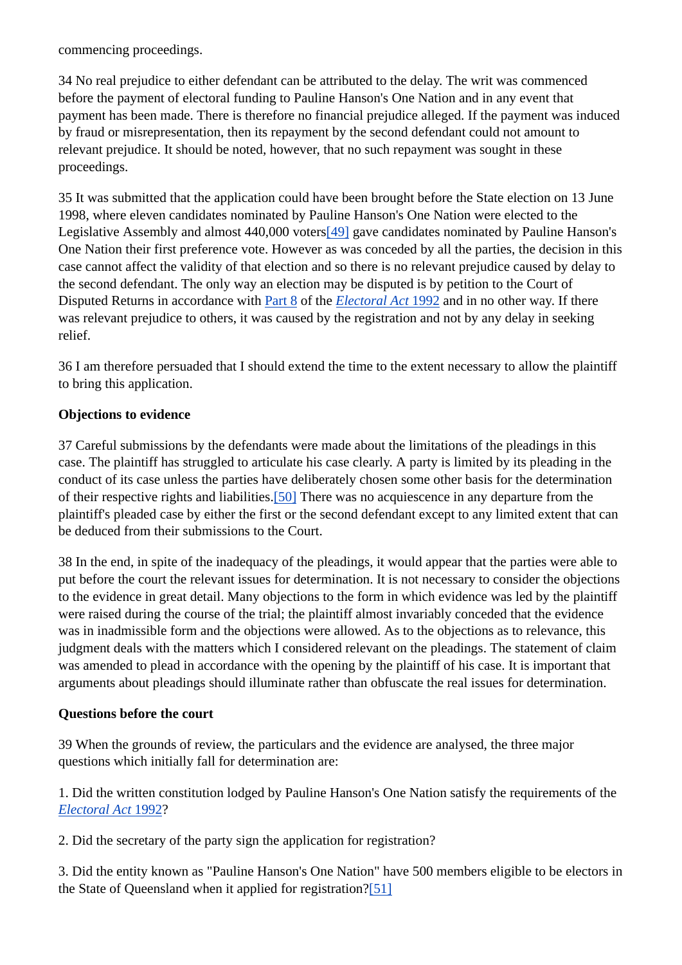commencing proceedings.

34 No real prejudice to either defendant can be attributed to the delay. The writ was commenced before the payment of electoral funding to Pauline Hanson's One Nation and in any event that payment has been made. There is therefore no financial prejudice alleged. If the payment was induced by fraud or misrepresentation, then its repayment by the second defendant could not amount to relevant prejudice. It should be noted, however, that no such repayment was sought in these proceedings.

35 It was submitted that the application could have been brought before the State election on 13 June 1998, where eleven candidates nominated by Pauline Hanson's One Nation were elected to the Legislative Assembly and almost 440,000 voters[49] gave candidates nominated by Pauline Hanson's One Nation their first preference vote. However as was conceded by all the parties, the decision in this case cannot affect the validity of that election and so there is no relevant prejudice caused by delay to the second defendant. The only way an election may be disputed is by petition to the Court of Disputed Returns in accordance with Part 8 of the *Electoral Act* 1992 and in no other way. If there was relevant prejudice to others, it was caused by the registration and not by any delay in seeking relief.

36 I am therefore persuaded that I should extend the time to the extent necessary to allow the plaintiff to bring this application.

#### **Objections to evidence**

37 Careful submissions by the defendants were made about the limitations of the pleadings in this case. The plaintiff has struggled to articulate his case clearly. A party is limited by its pleading in the conduct of its case unless the parties have deliberately chosen some other basis for the determination of their respective rights and liabilities.[50] There was no acquiescence in any departure from the plaintiff's pleaded case by either the first or the second defendant except to any limited extent that can be deduced from their submissions to the Court.

38 In the end, in spite of the inadequacy of the pleadings, it would appear that the parties were able to put before the court the relevant issues for determination. It is not necessary to consider the objections to the evidence in great detail. Many objections to the form in which evidence was led by the plaintiff were raised during the course of the trial; the plaintiff almost invariably conceded that the evidence was in inadmissible form and the objections were allowed. As to the objections as to relevance, this judgment deals with the matters which I considered relevant on the pleadings. The statement of claim was amended to plead in accordance with the opening by the plaintiff of his case. It is important that arguments about pleadings should illuminate rather than obfuscate the real issues for determination.

#### **Questions before the court**

39 When the grounds of review, the particulars and the evidence are analysed, the three major questions which initially fall for determination are:

1. Did the written constitution lodged by Pauline Hanson's One Nation satisfy the requirements of the *Electoral Act* 1992?

2. Did the secretary of the party sign the application for registration?

3. Did the entity known as "Pauline Hanson's One Nation" have 500 members eligible to be electors in the State of Queensland when it applied for registration?[51]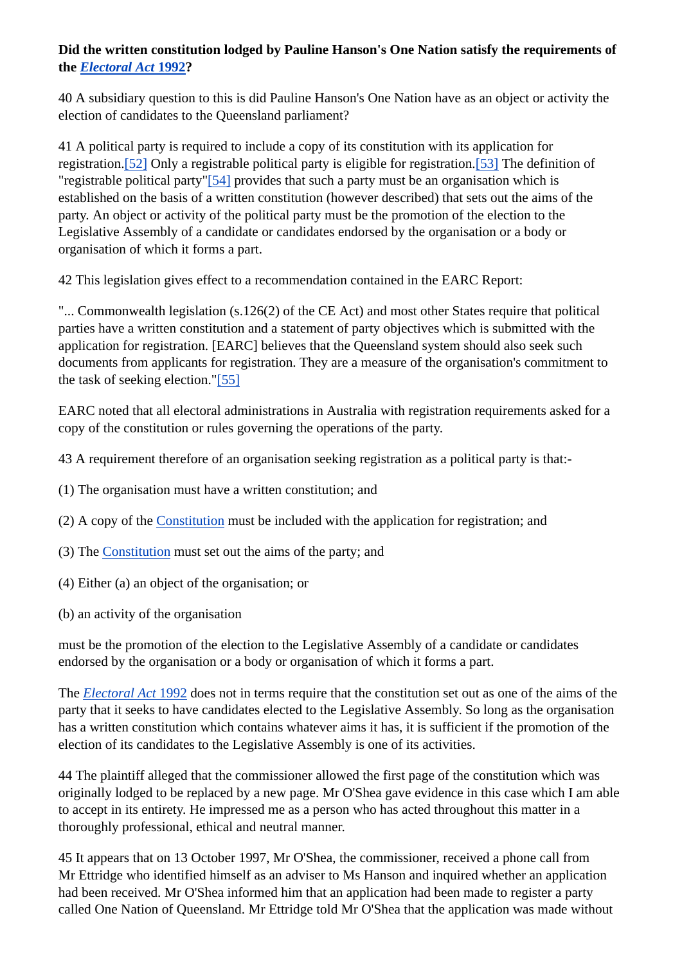#### **Did the written constitution lodged by Pauline Hanson's One Nation satisfy the requirements of the** *Electoral Act* **1992?**

40 A subsidiary question to this is did Pauline Hanson's One Nation have as an object or activity the election of candidates to the Queensland parliament?

41 A political party is required to include a copy of its constitution with its application for registration.[52] Only a registrable political party is eligible for registration.[53] The definition of "registrable political party"[54] provides that such a party must be an organisation which is established on the basis of a written constitution (however described) that sets out the aims of the party. An object or activity of the political party must be the promotion of the election to the Legislative Assembly of a candidate or candidates endorsed by the organisation or a body or organisation of which it forms a part.

42 This legislation gives effect to a recommendation contained in the EARC Report:

"... Commonwealth legislation (s.126(2) of the CE Act) and most other States require that political parties have a written constitution and a statement of party objectives which is submitted with the application for registration. [EARC] believes that the Queensland system should also seek such documents from applicants for registration. They are a measure of the organisation's commitment to the task of seeking election."[55]

EARC noted that all electoral administrations in Australia with registration requirements asked for a copy of the constitution or rules governing the operations of the party.

43 A requirement therefore of an organisation seeking registration as a political party is that:-

- (1) The organisation must have a written constitution; and
- (2) A copy of the Constitution must be included with the application for registration; and
- (3) The Constitution must set out the aims of the party; and
- (4) Either (a) an object of the organisation; or
- (b) an activity of the organisation

must be the promotion of the election to the Legislative Assembly of a candidate or candidates endorsed by the organisation or a body or organisation of which it forms a part.

The *Electoral Act* 1992 does not in terms require that the constitution set out as one of the aims of the party that it seeks to have candidates elected to the Legislative Assembly. So long as the organisation has a written constitution which contains whatever aims it has, it is sufficient if the promotion of the election of its candidates to the Legislative Assembly is one of its activities.

44 The plaintiff alleged that the commissioner allowed the first page of the constitution which was originally lodged to be replaced by a new page. Mr O'Shea gave evidence in this case which I am able to accept in its entirety. He impressed me as a person who has acted throughout this matter in a thoroughly professional, ethical and neutral manner.

45 It appears that on 13 October 1997, Mr O'Shea, the commissioner, received a phone call from Mr Ettridge who identified himself as an adviser to Ms Hanson and inquired whether an application had been received. Mr O'Shea informed him that an application had been made to register a party called One Nation of Queensland. Mr Ettridge told Mr O'Shea that the application was made without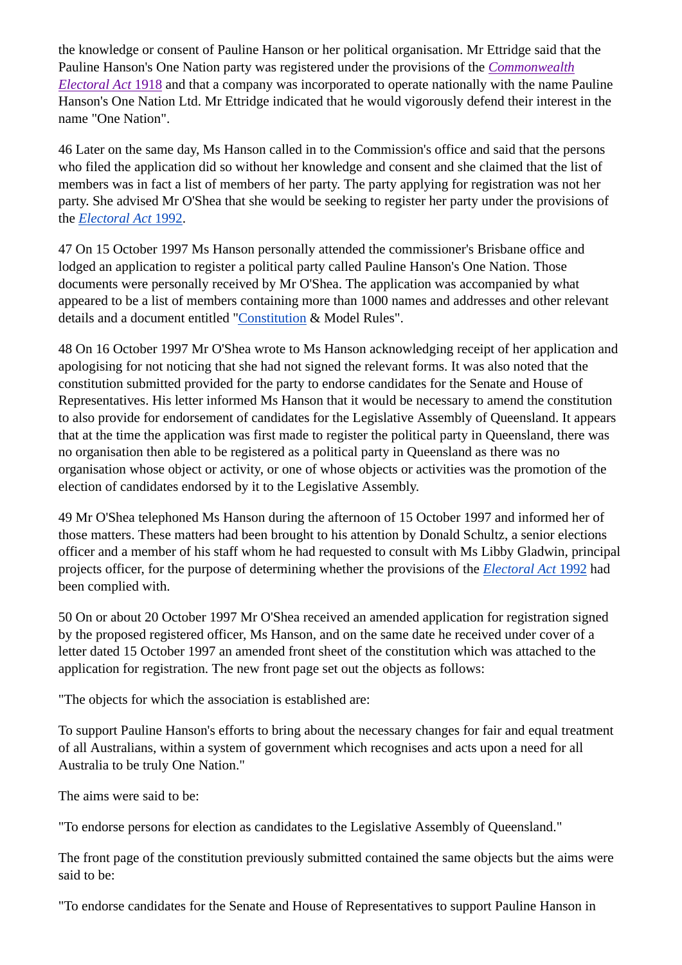the knowledge or consent of Pauline Hanson or her political organisation. Mr Ettridge said that the Pauline Hanson's One Nation party was registered under the provisions of the *Commonwealth Electoral Act* 1918 and that a company was incorporated to operate nationally with the name Pauline Hanson's One Nation Ltd. Mr Ettridge indicated that he would vigorously defend their interest in the name "One Nation".

46 Later on the same day, Ms Hanson called in to the Commission's office and said that the persons who filed the application did so without her knowledge and consent and she claimed that the list of members was in fact a list of members of her party. The party applying for registration was not her party. She advised Mr O'Shea that she would be seeking to register her party under the provisions of the *Electoral Act* 1992.

47 On 15 October 1997 Ms Hanson personally attended the commissioner's Brisbane office and lodged an application to register a political party called Pauline Hanson's One Nation. Those documents were personally received by Mr O'Shea. The application was accompanied by what appeared to be a list of members containing more than 1000 names and addresses and other relevant details and a document entitled "Constitution & Model Rules".

48 On 16 October 1997 Mr O'Shea wrote to Ms Hanson acknowledging receipt of her application and apologising for not noticing that she had not signed the relevant forms. It was also noted that the constitution submitted provided for the party to endorse candidates for the Senate and House of Representatives. His letter informed Ms Hanson that it would be necessary to amend the constitution to also provide for endorsement of candidates for the Legislative Assembly of Queensland. It appears that at the time the application was first made to register the political party in Queensland, there was no organisation then able to be registered as a political party in Queensland as there was no organisation whose object or activity, or one of whose objects or activities was the promotion of the election of candidates endorsed by it to the Legislative Assembly.

49 Mr O'Shea telephoned Ms Hanson during the afternoon of 15 October 1997 and informed her of those matters. These matters had been brought to his attention by Donald Schultz, a senior elections officer and a member of his staff whom he had requested to consult with Ms Libby Gladwin, principal projects officer, for the purpose of determining whether the provisions of the *Electoral Act* 1992 had been complied with.

50 On or about 20 October 1997 Mr O'Shea received an amended application for registration signed by the proposed registered officer, Ms Hanson, and on the same date he received under cover of a letter dated 15 October 1997 an amended front sheet of the constitution which was attached to the application for registration. The new front page set out the objects as follows:

"The objects for which the association is established are:

To support Pauline Hanson's efforts to bring about the necessary changes for fair and equal treatment of all Australians, within a system of government which recognises and acts upon a need for all Australia to be truly One Nation."

The aims were said to be:

"To endorse persons for election as candidates to the Legislative Assembly of Queensland."

The front page of the constitution previously submitted contained the same objects but the aims were said to be:

"To endorse candidates for the Senate and House of Representatives to support Pauline Hanson in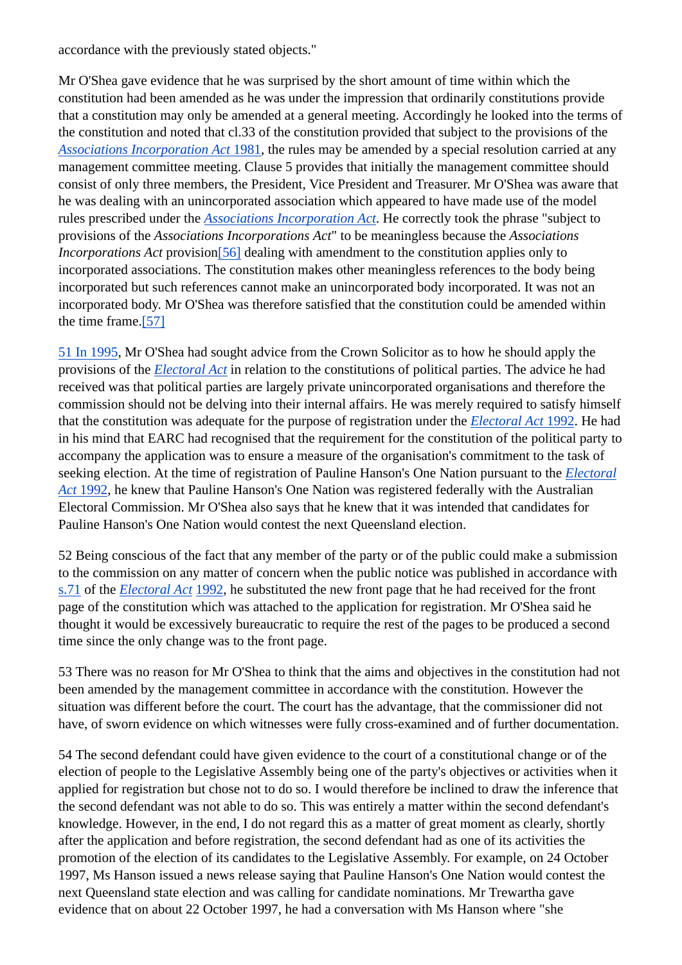accordance with the previously stated objects."

Mr O'Shea gave evidence that he was surprised by the short amount of time within which the constitution had been amended as he was under the impression that ordinarily constitutions provide that a constitution may only be amended at a general meeting. Accordingly he looked into the terms of the constitution and noted that cl.33 of the constitution provided that subject to the provisions of the *Associations Incorporation Act* 1981, the rules may be amended by a special resolution carried at any management committee meeting. Clause 5 provides that initially the management committee should consist of only three members, the President, Vice President and Treasurer. Mr O'Shea was aware that he was dealing with an unincorporated association which appeared to have made use of the model rules prescribed under the *Associations Incorporation Act*. He correctly took the phrase "subject to provisions of the *Associations Incorporations Act*" to be meaningless because the *Associations Incorporations Act* provision [56] dealing with amendment to the constitution applies only to incorporated associations. The constitution makes other meaningless references to the body being incorporated but such references cannot make an unincorporated body incorporated. It was not an incorporated body. Mr O'Shea was therefore satisfied that the constitution could be amended within the time frame.[57]

51 In 1995, Mr O'Shea had sought advice from the Crown Solicitor as to how he should apply the provisions of the *Electoral Act* in relation to the constitutions of political parties. The advice he had received was that political parties are largely private unincorporated organisations and therefore the commission should not be delving into their internal affairs. He was merely required to satisfy himself that the constitution was adequate for the purpose of registration under the *Electoral Act* 1992. He had in his mind that EARC had recognised that the requirement for the constitution of the political party to accompany the application was to ensure a measure of the organisation's commitment to the task of seeking election. At the time of registration of Pauline Hanson's One Nation pursuant to the *Electoral Act* 1992, he knew that Pauline Hanson's One Nation was registered federally with the Australian Electoral Commission. Mr O'Shea also says that he knew that it was intended that candidates for Pauline Hanson's One Nation would contest the next Queensland election.

52 Being conscious of the fact that any member of the party or of the public could make a submission to the commission on any matter of concern when the public notice was published in accordance with s.71 of the *Electoral Act* 1992, he substituted the new front page that he had received for the front page of the constitution which was attached to the application for registration. Mr O'Shea said he thought it would be excessively bureaucratic to require the rest of the pages to be produced a second time since the only change was to the front page.

53 There was no reason for Mr O'Shea to think that the aims and objectives in the constitution had not been amended by the management committee in accordance with the constitution. However the situation was different before the court. The court has the advantage, that the commissioner did not have, of sworn evidence on which witnesses were fully cross-examined and of further documentation.

54 The second defendant could have given evidence to the court of a constitutional change or of the election of people to the Legislative Assembly being one of the party's objectives or activities when it applied for registration but chose not to do so. I would therefore be inclined to draw the inference that the second defendant was not able to do so. This was entirely a matter within the second defendant's knowledge. However, in the end, I do not regard this as a matter of great moment as clearly, shortly after the application and before registration, the second defendant had as one of its activities the promotion of the election of its candidates to the Legislative Assembly. For example, on 24 October 1997, Ms Hanson issued a news release saying that Pauline Hanson's One Nation would contest the next Queensland state election and was calling for candidate nominations. Mr Trewartha gave evidence that on about 22 October 1997, he had a conversation with Ms Hanson where "she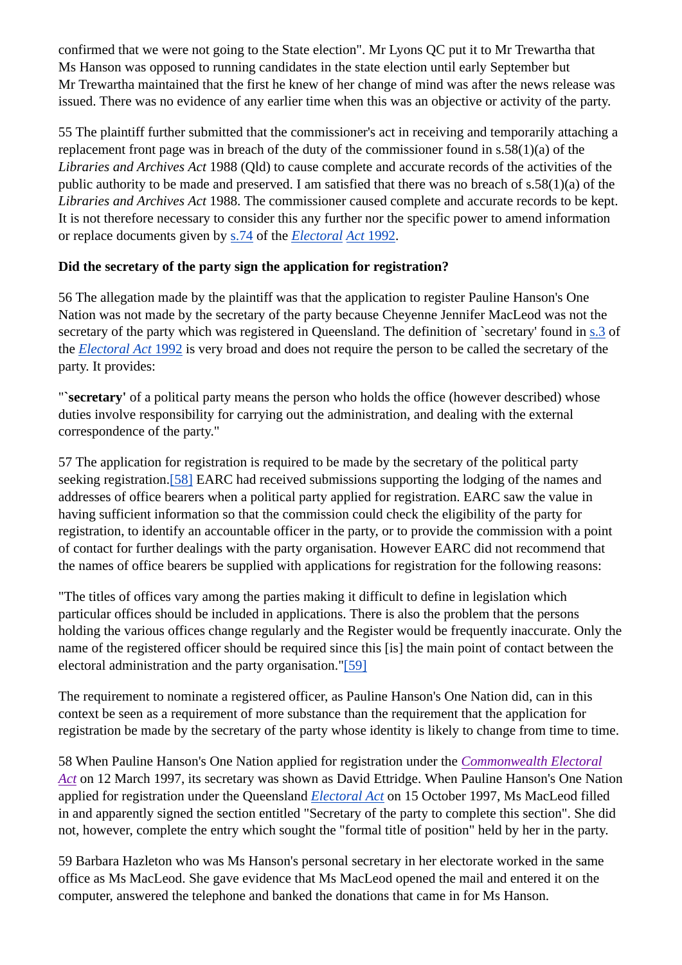confirmed that we were not going to the State election". Mr Lyons QC put it to Mr Trewartha that Ms Hanson was opposed to running candidates in the state election until early September but Mr Trewartha maintained that the first he knew of her change of mind was after the news release was issued. There was no evidence of any earlier time when this was an objective or activity of the party.

55 The plaintiff further submitted that the commissioner's act in receiving and temporarily attaching a replacement front page was in breach of the duty of the commissioner found in s.58(1)(a) of the *Libraries and Archives Act* 1988 (Qld) to cause complete and accurate records of the activities of the public authority to be made and preserved. I am satisfied that there was no breach of s.58(1)(a) of the *Libraries and Archives Act* 1988. The commissioner caused complete and accurate records to be kept. It is not therefore necessary to consider this any further nor the specific power to amend information or replace documents given by s.74 of the *Electoral Act* 1992.

#### **Did the secretary of the party sign the application for registration?**

56 The allegation made by the plaintiff was that the application to register Pauline Hanson's One Nation was not made by the secretary of the party because Cheyenne Jennifer MacLeod was not the secretary of the party which was registered in Queensland. The definition of `secretary' found in s.3 of the *Electoral Act* 1992 is very broad and does not require the person to be called the secretary of the party. It provides:

"**Secretary'** of a political party means the person who holds the office (however described) whose duties involve responsibility for carrying out the administration, and dealing with the external correspondence of the party."

57 The application for registration is required to be made by the secretary of the political party seeking registration.[58] EARC had received submissions supporting the lodging of the names and addresses of office bearers when a political party applied for registration. EARC saw the value in having sufficient information so that the commission could check the eligibility of the party for registration, to identify an accountable officer in the party, or to provide the commission with a point of contact for further dealings with the party organisation. However EARC did not recommend that the names of office bearers be supplied with applications for registration for the following reasons:

"The titles of offices vary among the parties making it difficult to define in legislation which particular offices should be included in applications. There is also the problem that the persons holding the various offices change regularly and the Register would be frequently inaccurate. Only the name of the registered officer should be required since this [is] the main point of contact between the electoral administration and the party organisation."[59]

The requirement to nominate a registered officer, as Pauline Hanson's One Nation did, can in this context be seen as a requirement of more substance than the requirement that the application for registration be made by the secretary of the party whose identity is likely to change from time to time.

58 When Pauline Hanson's One Nation applied for registration under the *Commonwealth Electoral Act* on 12 March 1997, its secretary was shown as David Ettridge. When Pauline Hanson's One Nation applied for registration under the Queensland *Electoral Act* on 15 October 1997, Ms MacLeod filled in and apparently signed the section entitled "Secretary of the party to complete this section". She did not, however, complete the entry which sought the "formal title of position" held by her in the party.

59 Barbara Hazleton who was Ms Hanson's personal secretary in her electorate worked in the same office as Ms MacLeod. She gave evidence that Ms MacLeod opened the mail and entered it on the computer, answered the telephone and banked the donations that came in for Ms Hanson.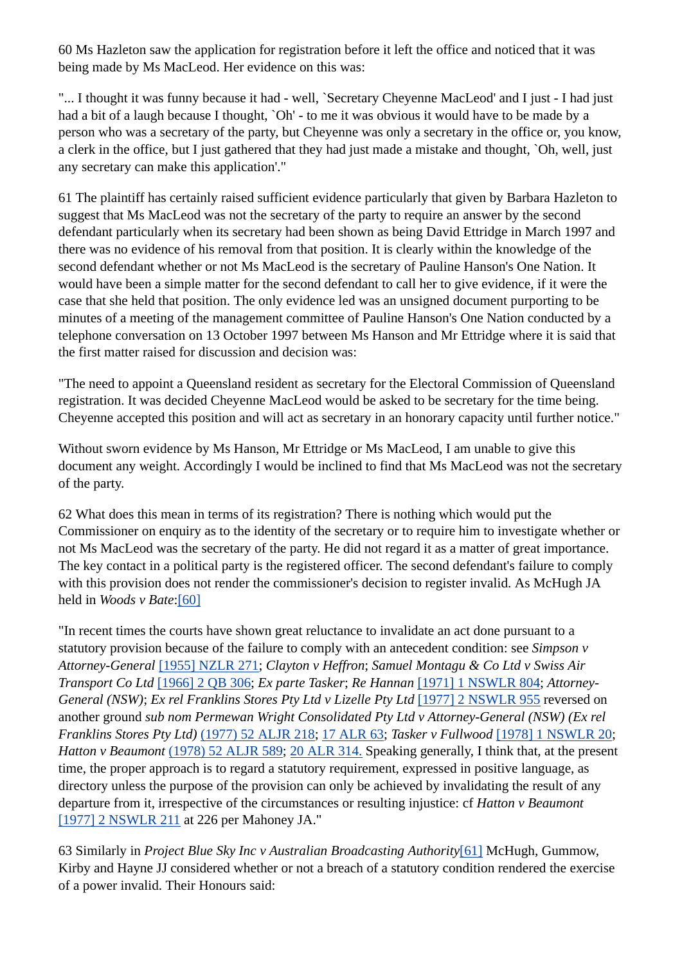60 Ms Hazleton saw the application for registration before it left the office and noticed that it was being made by Ms MacLeod. Her evidence on this was:

"... I thought it was funny because it had - well, `Secretary Cheyenne MacLeod' and I just - I had just had a bit of a laugh because I thought, `Oh' - to me it was obvious it would have to be made by a person who was a secretary of the party, but Cheyenne was only a secretary in the office or, you know, a clerk in the office, but I just gathered that they had just made a mistake and thought, `Oh, well, just any secretary can make this application'."

61 The plaintiff has certainly raised sufficient evidence particularly that given by Barbara Hazleton to suggest that Ms MacLeod was not the secretary of the party to require an answer by the second defendant particularly when its secretary had been shown as being David Ettridge in March 1997 and there was no evidence of his removal from that position. It is clearly within the knowledge of the second defendant whether or not Ms MacLeod is the secretary of Pauline Hanson's One Nation. It would have been a simple matter for the second defendant to call her to give evidence, if it were the case that she held that position. The only evidence led was an unsigned document purporting to be minutes of a meeting of the management committee of Pauline Hanson's One Nation conducted by a telephone conversation on 13 October 1997 between Ms Hanson and Mr Ettridge where it is said that the first matter raised for discussion and decision was:

"The need to appoint a Queensland resident as secretary for the Electoral Commission of Queensland registration. It was decided Cheyenne MacLeod would be asked to be secretary for the time being. Cheyenne accepted this position and will act as secretary in an honorary capacity until further notice."

Without sworn evidence by Ms Hanson, Mr Ettridge or Ms MacLeod, I am unable to give this document any weight. Accordingly I would be inclined to find that Ms MacLeod was not the secretary of the party.

62 What does this mean in terms of its registration? There is nothing which would put the Commissioner on enquiry as to the identity of the secretary or to require him to investigate whether or not Ms MacLeod was the secretary of the party. He did not regard it as a matter of great importance. The key contact in a political party is the registered officer. The second defendant's failure to comply with this provision does not render the commissioner's decision to register invalid. As McHugh JA held in *Woods v Bate*:[60]

"In recent times the courts have shown great reluctance to invalidate an act done pursuant to a statutory provision because of the failure to comply with an antecedent condition: see *Simpson v Attorney-General* [1955] NZLR 271; *Clayton v Heffron*; *Samuel Montagu & Co Ltd v Swiss Air Transport Co Ltd* [1966] 2 QB 306; *Ex parte Tasker*; *Re Hannan* [1971] 1 NSWLR 804; *Attorney-General (NSW)*; *Ex rel Franklins Stores Pty Ltd v Lizelle Pty Ltd* [1977] 2 NSWLR 955 reversed on another ground *sub nom Permewan Wright Consolidated Pty Ltd v Attorney-General (NSW) (Ex rel Franklins Stores Pty Ltd)* (1977) 52 ALJR 218; 17 ALR 63; *Tasker v Fullwood* [1978] 1 NSWLR 20; *Hatton v Beaumont* (1978) 52 ALJR 589; 20 ALR 314. Speaking generally, I think that, at the present time, the proper approach is to regard a statutory requirement, expressed in positive language, as directory unless the purpose of the provision can only be achieved by invalidating the result of any departure from it, irrespective of the circumstances or resulting injustice: cf *Hatton v Beaumont* [1977] 2 NSWLR 211 at 226 per Mahoney JA."

63 Similarly in *Project Blue Sky Inc v Australian Broadcasting Authority*[61] McHugh, Gummow, Kirby and Hayne JJ considered whether or not a breach of a statutory condition rendered the exercise of a power invalid. Their Honours said: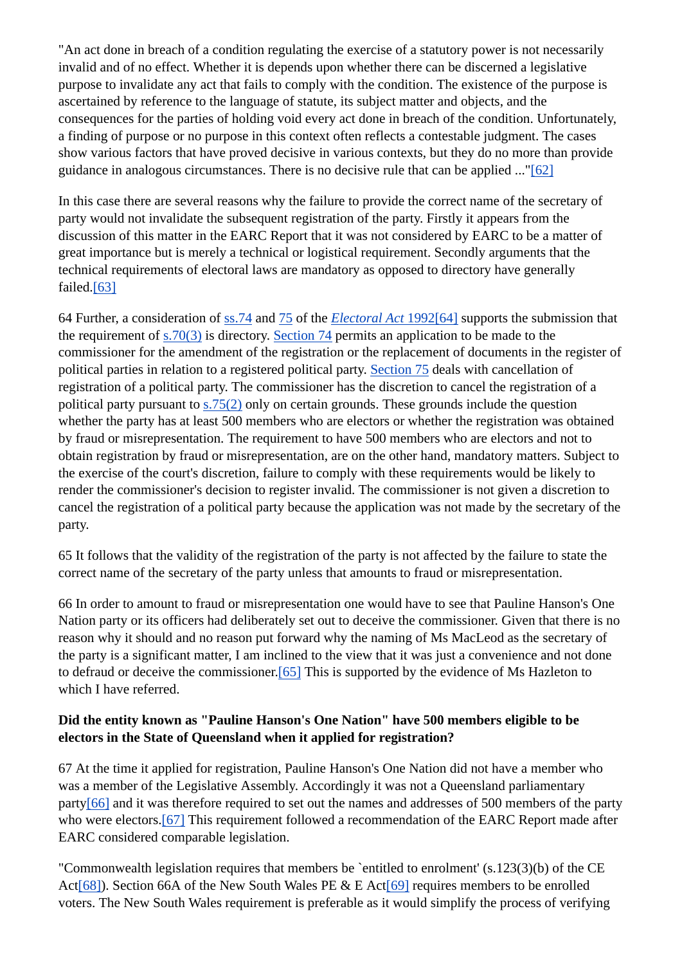"An act done in breach of a condition regulating the exercise of a statutory power is not necessarily invalid and of no effect. Whether it is depends upon whether there can be discerned a legislative purpose to invalidate any act that fails to comply with the condition. The existence of the purpose is ascertained by reference to the language of statute, its subject matter and objects, and the consequences for the parties of holding void every act done in breach of the condition. Unfortunately, a finding of purpose or no purpose in this context often reflects a contestable judgment. The cases show various factors that have proved decisive in various contexts, but they do no more than provide guidance in analogous circumstances. There is no decisive rule that can be applied ..."[62]

In this case there are several reasons why the failure to provide the correct name of the secretary of party would not invalidate the subsequent registration of the party. Firstly it appears from the discussion of this matter in the EARC Report that it was not considered by EARC to be a matter of great importance but is merely a technical or logistical requirement. Secondly arguments that the technical requirements of electoral laws are mandatory as opposed to directory have generally failed.[63]

64 Further, a consideration of ss.74 and 75 of the *Electoral Act* 1992[64] supports the submission that the requirement of s.70(3) is directory. Section 74 permits an application to be made to the commissioner for the amendment of the registration or the replacement of documents in the register of political parties in relation to a registered political party. Section 75 deals with cancellation of registration of a political party. The commissioner has the discretion to cancel the registration of a political party pursuant to s.75(2) only on certain grounds. These grounds include the question whether the party has at least 500 members who are electors or whether the registration was obtained by fraud or misrepresentation. The requirement to have 500 members who are electors and not to obtain registration by fraud or misrepresentation, are on the other hand, mandatory matters. Subject to the exercise of the court's discretion, failure to comply with these requirements would be likely to render the commissioner's decision to register invalid. The commissioner is not given a discretion to cancel the registration of a political party because the application was not made by the secretary of the party.

65 It follows that the validity of the registration of the party is not affected by the failure to state the correct name of the secretary of the party unless that amounts to fraud or misrepresentation.

66 In order to amount to fraud or misrepresentation one would have to see that Pauline Hanson's One Nation party or its officers had deliberately set out to deceive the commissioner. Given that there is no reason why it should and no reason put forward why the naming of Ms MacLeod as the secretary of the party is a significant matter, I am inclined to the view that it was just a convenience and not done to defraud or deceive the commissioner.[65] This is supported by the evidence of Ms Hazleton to which I have referred.

#### **Did the entity known as "Pauline Hanson's One Nation" have 500 members eligible to be electors in the State of Queensland when it applied for registration?**

67 At the time it applied for registration, Pauline Hanson's One Nation did not have a member who was a member of the Legislative Assembly. Accordingly it was not a Queensland parliamentary party[66] and it was therefore required to set out the names and addresses of 500 members of the party who were electors.<sup>[67]</sup> This requirement followed a recommendation of the EARC Report made after EARC considered comparable legislation.

"Commonwealth legislation requires that members be `entitled to enrolment' (s.123(3)(b) of the CE Act<sup>[68]</sup>). Section 66A of the New South Wales PE & E Act<sup>[69]</sup> requires members to be enrolled voters. The New South Wales requirement is preferable as it would simplify the process of verifying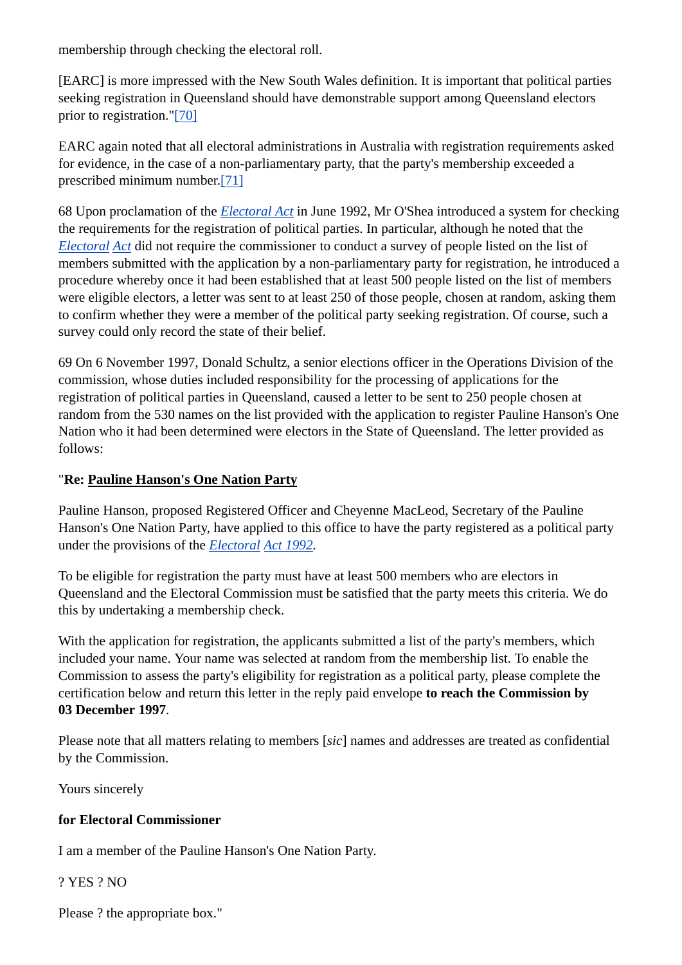membership through checking the electoral roll.

[EARC] is more impressed with the New South Wales definition. It is important that political parties seeking registration in Queensland should have demonstrable support among Queensland electors prior to registration."[70]

EARC again noted that all electoral administrations in Australia with registration requirements asked for evidence, in the case of a non-parliamentary party, that the party's membership exceeded a prescribed minimum number.[71]

68 Upon proclamation of the *Electoral Act* in June 1992, Mr O'Shea introduced a system for checking the requirements for the registration of political parties. In particular, although he noted that the *Electoral Act* did not require the commissioner to conduct a survey of people listed on the list of members submitted with the application by a non-parliamentary party for registration, he introduced a procedure whereby once it had been established that at least 500 people listed on the list of members were eligible electors, a letter was sent to at least 250 of those people, chosen at random, asking them to confirm whether they were a member of the political party seeking registration. Of course, such a survey could only record the state of their belief.

69 On 6 November 1997, Donald Schultz, a senior elections officer in the Operations Division of the commission, whose duties included responsibility for the processing of applications for the registration of political parties in Queensland, caused a letter to be sent to 250 people chosen at random from the 530 names on the list provided with the application to register Pauline Hanson's One Nation who it had been determined were electors in the State of Queensland. The letter provided as follows:

#### "**Re: Pauline Hanson's One Nation Party**

Pauline Hanson, proposed Registered Officer and Cheyenne MacLeod, Secretary of the Pauline Hanson's One Nation Party, have applied to this office to have the party registered as a political party under the provisions of the *Electoral Act 1992.*

To be eligible for registration the party must have at least 500 members who are electors in Queensland and the Electoral Commission must be satisfied that the party meets this criteria. We do this by undertaking a membership check.

With the application for registration, the applicants submitted a list of the party's members, which included your name. Your name was selected at random from the membership list. To enable the Commission to assess the party's eligibility for registration as a political party, please complete the certification below and return this letter in the reply paid envelope **to reach the Commission by 03 December 1997**.

Please note that all matters relating to members [*sic*] names and addresses are treated as confidential by the Commission.

Yours sincerely

#### **for Electoral Commissioner**

I am a member of the Pauline Hanson's One Nation Party.

? YES ? NO

Please ? the appropriate box."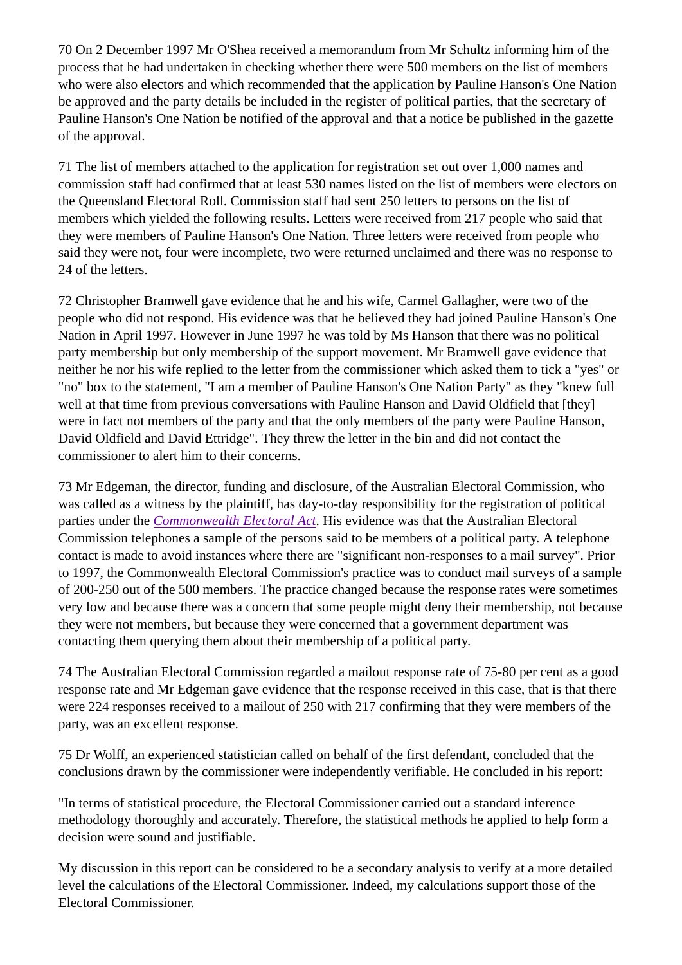70 On 2 December 1997 Mr O'Shea received a memorandum from Mr Schultz informing him of the process that he had undertaken in checking whether there were 500 members on the list of members who were also electors and which recommended that the application by Pauline Hanson's One Nation be approved and the party details be included in the register of political parties, that the secretary of Pauline Hanson's One Nation be notified of the approval and that a notice be published in the gazette of the approval.

71 The list of members attached to the application for registration set out over 1,000 names and commission staff had confirmed that at least 530 names listed on the list of members were electors on the Queensland Electoral Roll. Commission staff had sent 250 letters to persons on the list of members which yielded the following results. Letters were received from 217 people who said that they were members of Pauline Hanson's One Nation. Three letters were received from people who said they were not, four were incomplete, two were returned unclaimed and there was no response to 24 of the letters.

72 Christopher Bramwell gave evidence that he and his wife, Carmel Gallagher, were two of the people who did not respond. His evidence was that he believed they had joined Pauline Hanson's One Nation in April 1997. However in June 1997 he was told by Ms Hanson that there was no political party membership but only membership of the support movement. Mr Bramwell gave evidence that neither he nor his wife replied to the letter from the commissioner which asked them to tick a "yes" or "no" box to the statement, "I am a member of Pauline Hanson's One Nation Party" as they "knew full well at that time from previous conversations with Pauline Hanson and David Oldfield that [they] were in fact not members of the party and that the only members of the party were Pauline Hanson, David Oldfield and David Ettridge". They threw the letter in the bin and did not contact the commissioner to alert him to their concerns.

73 Mr Edgeman, the director, funding and disclosure, of the Australian Electoral Commission, who was called as a witness by the plaintiff, has day-to-day responsibility for the registration of political parties under the *Commonwealth Electoral Act*. His evidence was that the Australian Electoral Commission telephones a sample of the persons said to be members of a political party. A telephone contact is made to avoid instances where there are "significant non-responses to a mail survey". Prior to 1997, the Commonwealth Electoral Commission's practice was to conduct mail surveys of a sample of 200-250 out of the 500 members. The practice changed because the response rates were sometimes very low and because there was a concern that some people might deny their membership, not because they were not members, but because they were concerned that a government department was contacting them querying them about their membership of a political party.

74 The Australian Electoral Commission regarded a mailout response rate of 75-80 per cent as a good response rate and Mr Edgeman gave evidence that the response received in this case, that is that there were 224 responses received to a mailout of 250 with 217 confirming that they were members of the party, was an excellent response.

75 Dr Wolff, an experienced statistician called on behalf of the first defendant, concluded that the conclusions drawn by the commissioner were independently verifiable. He concluded in his report:

"In terms of statistical procedure, the Electoral Commissioner carried out a standard inference methodology thoroughly and accurately. Therefore, the statistical methods he applied to help form a decision were sound and justifiable.

My discussion in this report can be considered to be a secondary analysis to verify at a more detailed level the calculations of the Electoral Commissioner. Indeed, my calculations support those of the Electoral Commissioner.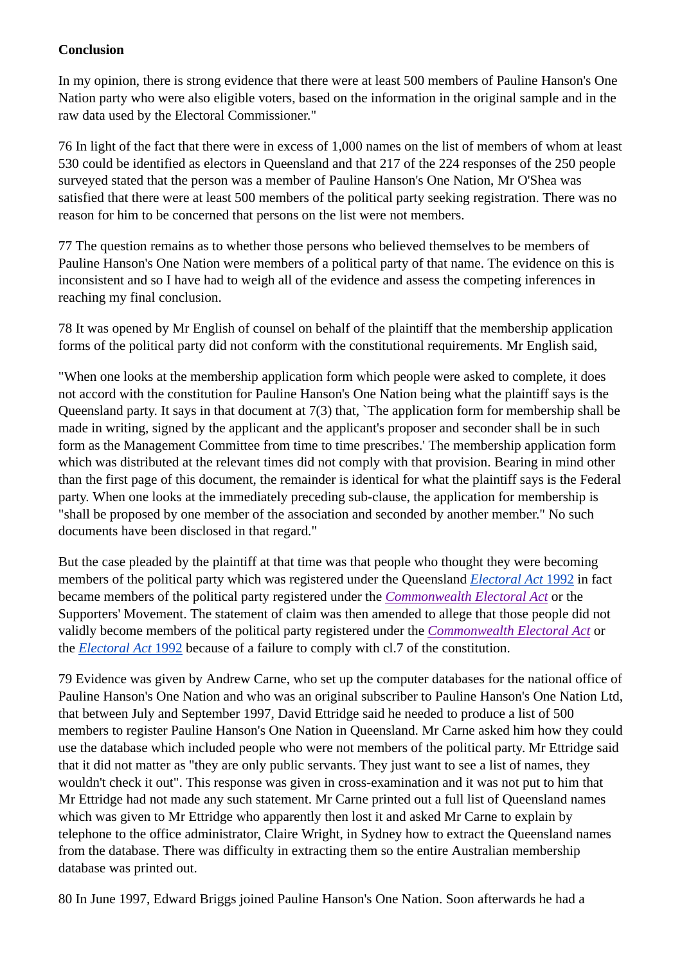#### **Conclusion**

In my opinion, there is strong evidence that there were at least 500 members of Pauline Hanson's One Nation party who were also eligible voters, based on the information in the original sample and in the raw data used by the Electoral Commissioner."

76 In light of the fact that there were in excess of 1,000 names on the list of members of whom at least 530 could be identified as electors in Queensland and that 217 of the 224 responses of the 250 people surveyed stated that the person was a member of Pauline Hanson's One Nation, Mr O'Shea was satisfied that there were at least 500 members of the political party seeking registration. There was no reason for him to be concerned that persons on the list were not members.

77 The question remains as to whether those persons who believed themselves to be members of Pauline Hanson's One Nation were members of a political party of that name. The evidence on this is inconsistent and so I have had to weigh all of the evidence and assess the competing inferences in reaching my final conclusion.

78 It was opened by Mr English of counsel on behalf of the plaintiff that the membership application forms of the political party did not conform with the constitutional requirements. Mr English said,

"When one looks at the membership application form which people were asked to complete, it does not accord with the constitution for Pauline Hanson's One Nation being what the plaintiff says is the Queensland party. It says in that document at 7(3) that, `The application form for membership shall be made in writing, signed by the applicant and the applicant's proposer and seconder shall be in such form as the Management Committee from time to time prescribes.' The membership application form which was distributed at the relevant times did not comply with that provision. Bearing in mind other than the first page of this document, the remainder is identical for what the plaintiff says is the Federal party. When one looks at the immediately preceding sub-clause, the application for membership is "shall be proposed by one member of the association and seconded by another member." No such documents have been disclosed in that regard."

But the case pleaded by the plaintiff at that time was that people who thought they were becoming members of the political party which was registered under the Queensland *Electoral Act* 1992 in fact became members of the political party registered under the *Commonwealth Electoral Act* or the Supporters' Movement. The statement of claim was then amended to allege that those people did not validly become members of the political party registered under the *Commonwealth Electoral Act* or the *Electoral Act* 1992 because of a failure to comply with cl.7 of the constitution.

79 Evidence was given by Andrew Carne, who set up the computer databases for the national office of Pauline Hanson's One Nation and who was an original subscriber to Pauline Hanson's One Nation Ltd, that between July and September 1997, David Ettridge said he needed to produce a list of 500 members to register Pauline Hanson's One Nation in Queensland. Mr Carne asked him how they could use the database which included people who were not members of the political party. Mr Ettridge said that it did not matter as "they are only public servants. They just want to see a list of names, they wouldn't check it out". This response was given in cross-examination and it was not put to him that Mr Ettridge had not made any such statement. Mr Carne printed out a full list of Queensland names which was given to Mr Ettridge who apparently then lost it and asked Mr Carne to explain by telephone to the office administrator, Claire Wright, in Sydney how to extract the Queensland names from the database. There was difficulty in extracting them so the entire Australian membership database was printed out.

80 In June 1997, Edward Briggs joined Pauline Hanson's One Nation. Soon afterwards he had a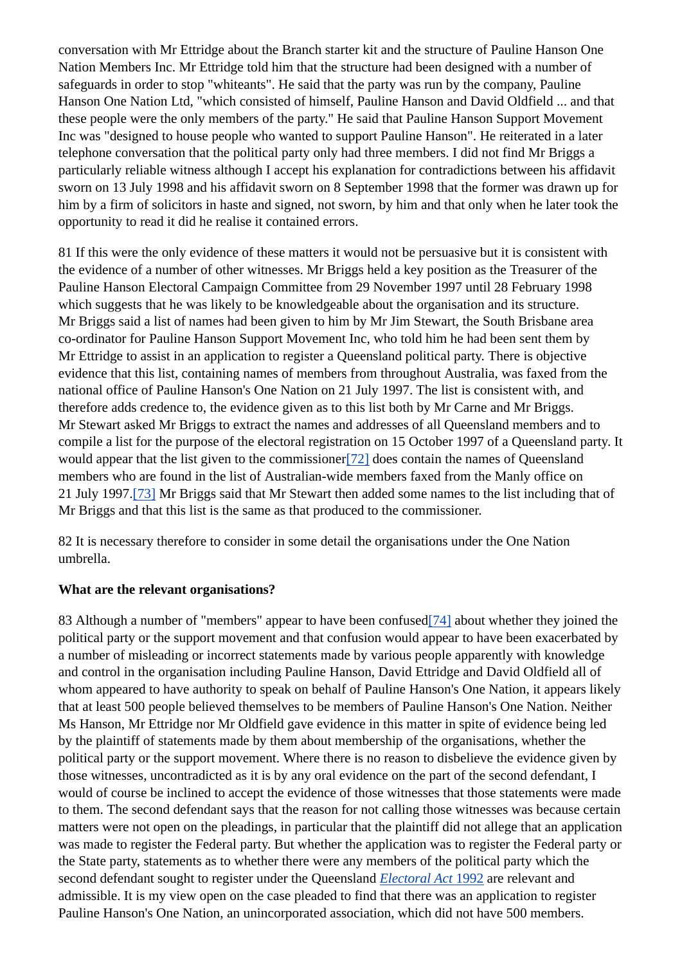conversation with Mr Ettridge about the Branch starter kit and the structure of Pauline Hanson One Nation Members Inc. Mr Ettridge told him that the structure had been designed with a number of safeguards in order to stop "whiteants". He said that the party was run by the company, Pauline Hanson One Nation Ltd, "which consisted of himself, Pauline Hanson and David Oldfield ... and that these people were the only members of the party." He said that Pauline Hanson Support Movement Inc was "designed to house people who wanted to support Pauline Hanson". He reiterated in a later telephone conversation that the political party only had three members. I did not find Mr Briggs a particularly reliable witness although I accept his explanation for contradictions between his affidavit sworn on 13 July 1998 and his affidavit sworn on 8 September 1998 that the former was drawn up for him by a firm of solicitors in haste and signed, not sworn, by him and that only when he later took the opportunity to read it did he realise it contained errors.

81 If this were the only evidence of these matters it would not be persuasive but it is consistent with the evidence of a number of other witnesses. Mr Briggs held a key position as the Treasurer of the Pauline Hanson Electoral Campaign Committee from 29 November 1997 until 28 February 1998 which suggests that he was likely to be knowledgeable about the organisation and its structure. Mr Briggs said a list of names had been given to him by Mr Jim Stewart, the South Brisbane area co-ordinator for Pauline Hanson Support Movement Inc, who told him he had been sent them by Mr Ettridge to assist in an application to register a Queensland political party. There is objective evidence that this list, containing names of members from throughout Australia, was faxed from the national office of Pauline Hanson's One Nation on 21 July 1997. The list is consistent with, and therefore adds credence to, the evidence given as to this list both by Mr Carne and Mr Briggs. Mr Stewart asked Mr Briggs to extract the names and addresses of all Queensland members and to compile a list for the purpose of the electoral registration on 15 October 1997 of a Queensland party. It would appear that the list given to the commissioner<sup>[72]</sup> does contain the names of Queensland members who are found in the list of Australian-wide members faxed from the Manly office on 21 July 1997.[73] Mr Briggs said that Mr Stewart then added some names to the list including that of Mr Briggs and that this list is the same as that produced to the commissioner.

82 It is necessary therefore to consider in some detail the organisations under the One Nation umbrella.

#### **What are the relevant organisations?**

83 Although a number of "members" appear to have been confused[74] about whether they joined the political party or the support movement and that confusion would appear to have been exacerbated by a number of misleading or incorrect statements made by various people apparently with knowledge and control in the organisation including Pauline Hanson, David Ettridge and David Oldfield all of whom appeared to have authority to speak on behalf of Pauline Hanson's One Nation, it appears likely that at least 500 people believed themselves to be members of Pauline Hanson's One Nation. Neither Ms Hanson, Mr Ettridge nor Mr Oldfield gave evidence in this matter in spite of evidence being led by the plaintiff of statements made by them about membership of the organisations, whether the political party or the support movement. Where there is no reason to disbelieve the evidence given by those witnesses, uncontradicted as it is by any oral evidence on the part of the second defendant, I would of course be inclined to accept the evidence of those witnesses that those statements were made to them. The second defendant says that the reason for not calling those witnesses was because certain matters were not open on the pleadings, in particular that the plaintiff did not allege that an application was made to register the Federal party. But whether the application was to register the Federal party or the State party, statements as to whether there were any members of the political party which the second defendant sought to register under the Queensland *Electoral Act* 1992 are relevant and admissible. It is my view open on the case pleaded to find that there was an application to register Pauline Hanson's One Nation, an unincorporated association, which did not have 500 members.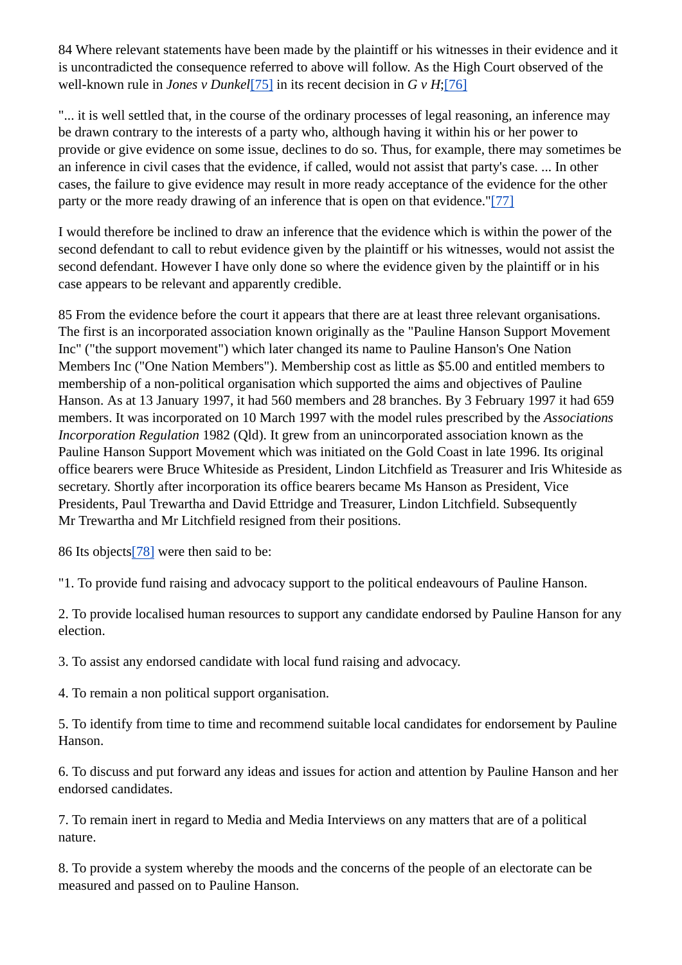84 Where relevant statements have been made by the plaintiff or his witnesses in their evidence and it is uncontradicted the consequence referred to above will follow. As the High Court observed of the well-known rule in *Jones v Dunkel*[75] in its recent decision in *G v H*;[76]

"... it is well settled that, in the course of the ordinary processes of legal reasoning, an inference may be drawn contrary to the interests of a party who, although having it within his or her power to provide or give evidence on some issue, declines to do so. Thus, for example, there may sometimes be an inference in civil cases that the evidence, if called, would not assist that party's case. ... In other cases, the failure to give evidence may result in more ready acceptance of the evidence for the other party or the more ready drawing of an inference that is open on that evidence."[77]

I would therefore be inclined to draw an inference that the evidence which is within the power of the second defendant to call to rebut evidence given by the plaintiff or his witnesses, would not assist the second defendant. However I have only done so where the evidence given by the plaintiff or in his case appears to be relevant and apparently credible.

85 From the evidence before the court it appears that there are at least three relevant organisations. The first is an incorporated association known originally as the "Pauline Hanson Support Movement Inc" ("the support movement") which later changed its name to Pauline Hanson's One Nation Members Inc ("One Nation Members"). Membership cost as little as \$5.00 and entitled members to membership of a non-political organisation which supported the aims and objectives of Pauline Hanson. As at 13 January 1997, it had 560 members and 28 branches. By 3 February 1997 it had 659 members. It was incorporated on 10 March 1997 with the model rules prescribed by the *Associations Incorporation Regulation* 1982 (Qld). It grew from an unincorporated association known as the Pauline Hanson Support Movement which was initiated on the Gold Coast in late 1996. Its original office bearers were Bruce Whiteside as President, Lindon Litchfield as Treasurer and Iris Whiteside as secretary. Shortly after incorporation its office bearers became Ms Hanson as President, Vice Presidents, Paul Trewartha and David Ettridge and Treasurer, Lindon Litchfield. Subsequently Mr Trewartha and Mr Litchfield resigned from their positions.

86 Its objects[78] were then said to be:

"1. To provide fund raising and advocacy support to the political endeavours of Pauline Hanson.

2. To provide localised human resources to support any candidate endorsed by Pauline Hanson for any election.

3. To assist any endorsed candidate with local fund raising and advocacy.

4. To remain a non political support organisation.

5. To identify from time to time and recommend suitable local candidates for endorsement by Pauline Hanson.

6. To discuss and put forward any ideas and issues for action and attention by Pauline Hanson and her endorsed candidates.

7. To remain inert in regard to Media and Media Interviews on any matters that are of a political nature.

8. To provide a system whereby the moods and the concerns of the people of an electorate can be measured and passed on to Pauline Hanson.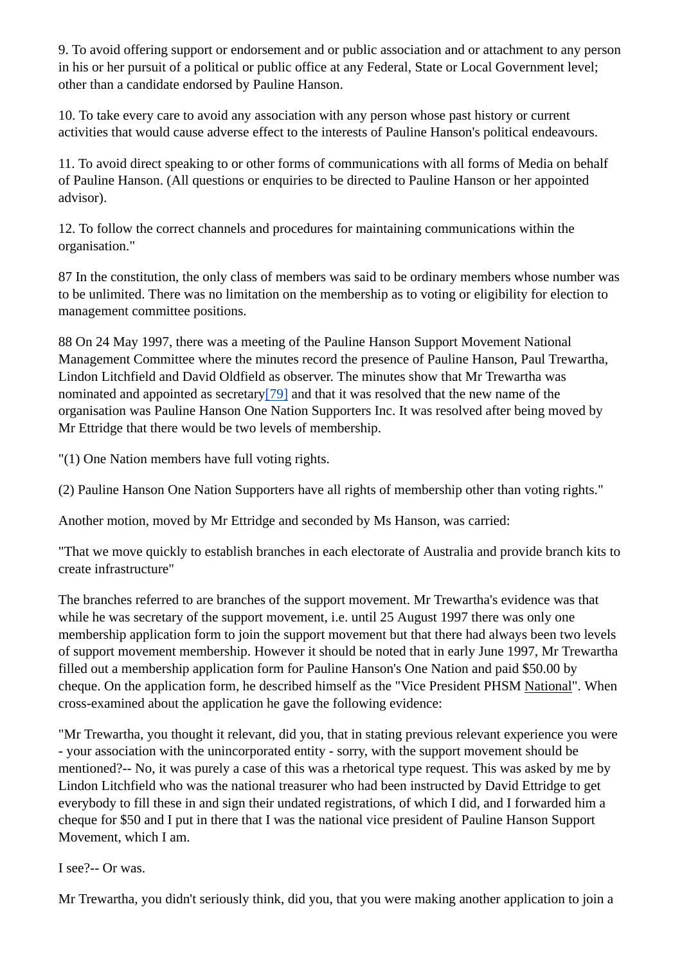9. To avoid offering support or endorsement and or public association and or attachment to any person in his or her pursuit of a political or public office at any Federal, State or Local Government level; other than a candidate endorsed by Pauline Hanson.

10. To take every care to avoid any association with any person whose past history or current activities that would cause adverse effect to the interests of Pauline Hanson's political endeavours.

11. To avoid direct speaking to or other forms of communications with all forms of Media on behalf of Pauline Hanson. (All questions or enquiries to be directed to Pauline Hanson or her appointed advisor).

12. To follow the correct channels and procedures for maintaining communications within the organisation."

87 In the constitution, the only class of members was said to be ordinary members whose number was to be unlimited. There was no limitation on the membership as to voting or eligibility for election to management committee positions.

88 On 24 May 1997, there was a meeting of the Pauline Hanson Support Movement National Management Committee where the minutes record the presence of Pauline Hanson, Paul Trewartha, Lindon Litchfield and David Oldfield as observer. The minutes show that Mr Trewartha was nominated and appointed as secretary<sup>[79]</sup> and that it was resolved that the new name of the organisation was Pauline Hanson One Nation Supporters Inc. It was resolved after being moved by Mr Ettridge that there would be two levels of membership.

"(1) One Nation members have full voting rights.

(2) Pauline Hanson One Nation Supporters have all rights of membership other than voting rights."

Another motion, moved by Mr Ettridge and seconded by Ms Hanson, was carried:

"That we move quickly to establish branches in each electorate of Australia and provide branch kits to create infrastructure"

The branches referred to are branches of the support movement. Mr Trewartha's evidence was that while he was secretary of the support movement, i.e. until 25 August 1997 there was only one membership application form to join the support movement but that there had always been two levels of support movement membership. However it should be noted that in early June 1997, Mr Trewartha filled out a membership application form for Pauline Hanson's One Nation and paid \$50.00 by cheque. On the application form, he described himself as the "Vice President PHSM National". When cross-examined about the application he gave the following evidence:

"Mr Trewartha, you thought it relevant, did you, that in stating previous relevant experience you were - your association with the unincorporated entity - sorry, with the support movement should be mentioned?-- No, it was purely a case of this was a rhetorical type request. This was asked by me by Lindon Litchfield who was the national treasurer who had been instructed by David Ettridge to get everybody to fill these in and sign their undated registrations, of which I did, and I forwarded him a cheque for \$50 and I put in there that I was the national vice president of Pauline Hanson Support Movement, which I am.

I see?-- Or was.

Mr Trewartha, you didn't seriously think, did you, that you were making another application to join a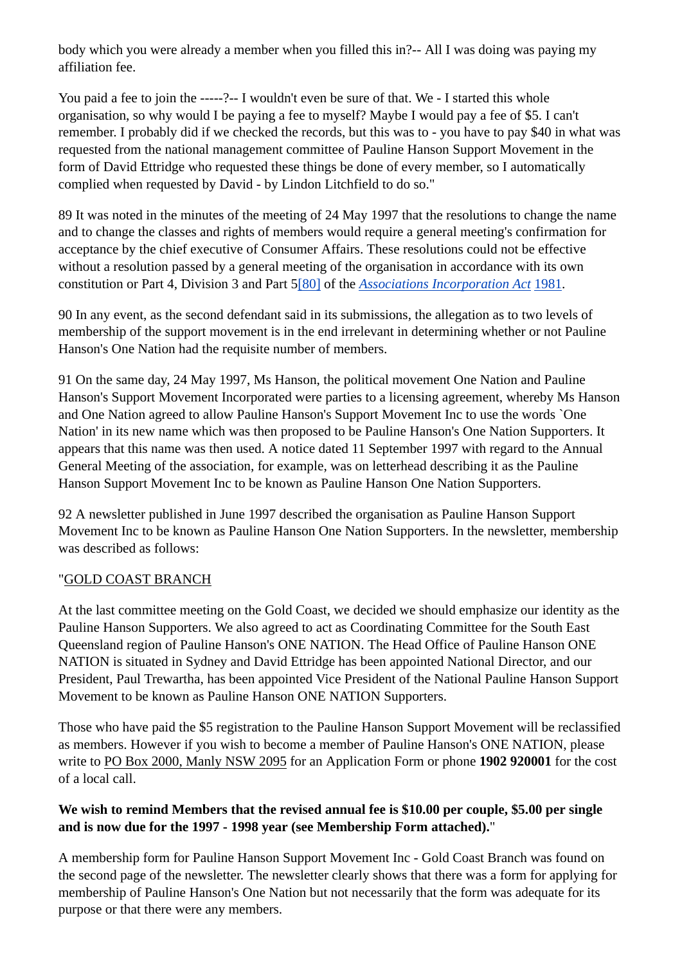body which you were already a member when you filled this in?-- All I was doing was paying my affiliation fee.

You paid a fee to join the -----?-- I wouldn't even be sure of that. We - I started this whole organisation, so why would I be paying a fee to myself? Maybe I would pay a fee of \$5. I can't remember. I probably did if we checked the records, but this was to - you have to pay \$40 in what was requested from the national management committee of Pauline Hanson Support Movement in the form of David Ettridge who requested these things be done of every member, so I automatically complied when requested by David - by Lindon Litchfield to do so."

89 It was noted in the minutes of the meeting of 24 May 1997 that the resolutions to change the name and to change the classes and rights of members would require a general meeting's confirmation for acceptance by the chief executive of Consumer Affairs. These resolutions could not be effective without a resolution passed by a general meeting of the organisation in accordance with its own constitution or Part 4, Division 3 and Part 5[80] of the *Associations Incorporation Act* 1981.

90 In any event, as the second defendant said in its submissions, the allegation as to two levels of membership of the support movement is in the end irrelevant in determining whether or not Pauline Hanson's One Nation had the requisite number of members.

91 On the same day, 24 May 1997, Ms Hanson, the political movement One Nation and Pauline Hanson's Support Movement Incorporated were parties to a licensing agreement, whereby Ms Hanson and One Nation agreed to allow Pauline Hanson's Support Movement Inc to use the words `One Nation' in its new name which was then proposed to be Pauline Hanson's One Nation Supporters. It appears that this name was then used. A notice dated 11 September 1997 with regard to the Annual General Meeting of the association, for example, was on letterhead describing it as the Pauline Hanson Support Movement Inc to be known as Pauline Hanson One Nation Supporters.

92 A newsletter published in June 1997 described the organisation as Pauline Hanson Support Movement Inc to be known as Pauline Hanson One Nation Supporters. In the newsletter, membership was described as follows:

#### "GOLD COAST BRANCH

At the last committee meeting on the Gold Coast, we decided we should emphasize our identity as the Pauline Hanson Supporters. We also agreed to act as Coordinating Committee for the South East Queensland region of Pauline Hanson's ONE NATION. The Head Office of Pauline Hanson ONE NATION is situated in Sydney and David Ettridge has been appointed National Director, and our President, Paul Trewartha, has been appointed Vice President of the National Pauline Hanson Support Movement to be known as Pauline Hanson ONE NATION Supporters.

Those who have paid the \$5 registration to the Pauline Hanson Support Movement will be reclassified as members. However if you wish to become a member of Pauline Hanson's ONE NATION, please write to PO Box 2000, Manly NSW 2095 for an Application Form or phone **1902 920001** for the cost of a local call.

#### **We wish to remind Members that the revised annual fee is \$10.00 per couple, \$5.00 per single and is now due for the 1997 - 1998 year (see Membership Form attached).**"

A membership form for Pauline Hanson Support Movement Inc - Gold Coast Branch was found on the second page of the newsletter. The newsletter clearly shows that there was a form for applying for membership of Pauline Hanson's One Nation but not necessarily that the form was adequate for its purpose or that there were any members.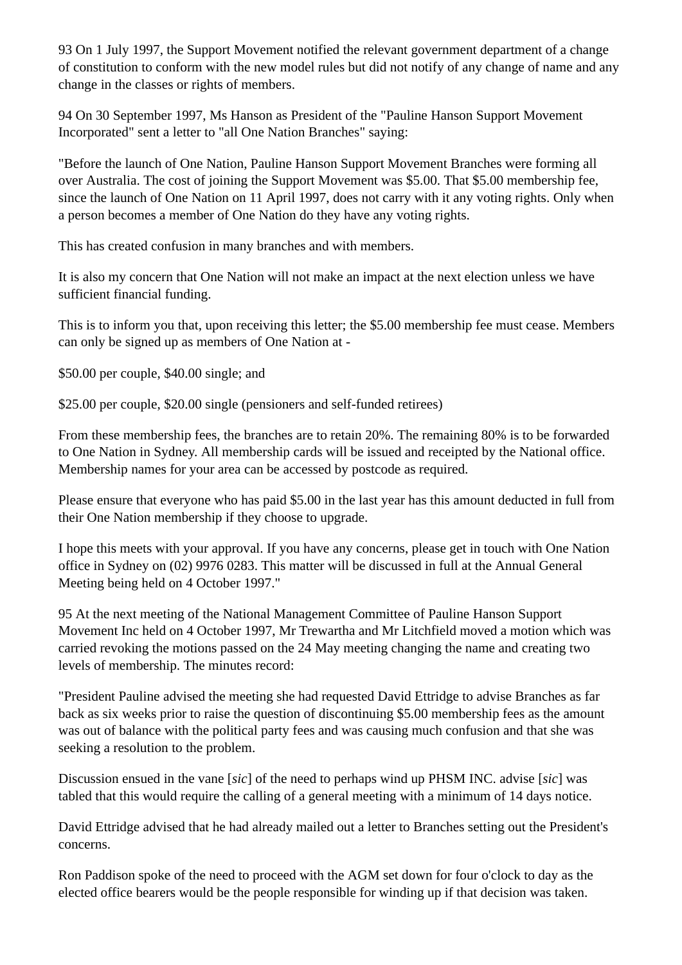93 On 1 July 1997, the Support Movement notified the relevant government department of a change of constitution to conform with the new model rules but did not notify of any change of name and any change in the classes or rights of members.

94 On 30 September 1997, Ms Hanson as President of the "Pauline Hanson Support Movement Incorporated" sent a letter to "all One Nation Branches" saying:

"Before the launch of One Nation, Pauline Hanson Support Movement Branches were forming all over Australia. The cost of joining the Support Movement was \$5.00. That \$5.00 membership fee, since the launch of One Nation on 11 April 1997, does not carry with it any voting rights. Only when a person becomes a member of One Nation do they have any voting rights.

This has created confusion in many branches and with members.

It is also my concern that One Nation will not make an impact at the next election unless we have sufficient financial funding.

This is to inform you that, upon receiving this letter; the \$5.00 membership fee must cease. Members can only be signed up as members of One Nation at -

\$50.00 per couple, \$40.00 single; and

\$25.00 per couple, \$20.00 single (pensioners and self-funded retirees)

From these membership fees, the branches are to retain 20%. The remaining 80% is to be forwarded to One Nation in Sydney. All membership cards will be issued and receipted by the National office. Membership names for your area can be accessed by postcode as required.

Please ensure that everyone who has paid \$5.00 in the last year has this amount deducted in full from their One Nation membership if they choose to upgrade.

I hope this meets with your approval. If you have any concerns, please get in touch with One Nation office in Sydney on (02) 9976 0283. This matter will be discussed in full at the Annual General Meeting being held on 4 October 1997."

95 At the next meeting of the National Management Committee of Pauline Hanson Support Movement Inc held on 4 October 1997, Mr Trewartha and Mr Litchfield moved a motion which was carried revoking the motions passed on the 24 May meeting changing the name and creating two levels of membership. The minutes record:

"President Pauline advised the meeting she had requested David Ettridge to advise Branches as far back as six weeks prior to raise the question of discontinuing \$5.00 membership fees as the amount was out of balance with the political party fees and was causing much confusion and that she was seeking a resolution to the problem.

Discussion ensued in the vane [*sic*] of the need to perhaps wind up PHSM INC. advise [*sic*] was tabled that this would require the calling of a general meeting with a minimum of 14 days notice.

David Ettridge advised that he had already mailed out a letter to Branches setting out the President's concerns.

Ron Paddison spoke of the need to proceed with the AGM set down for four o'clock to day as the elected office bearers would be the people responsible for winding up if that decision was taken.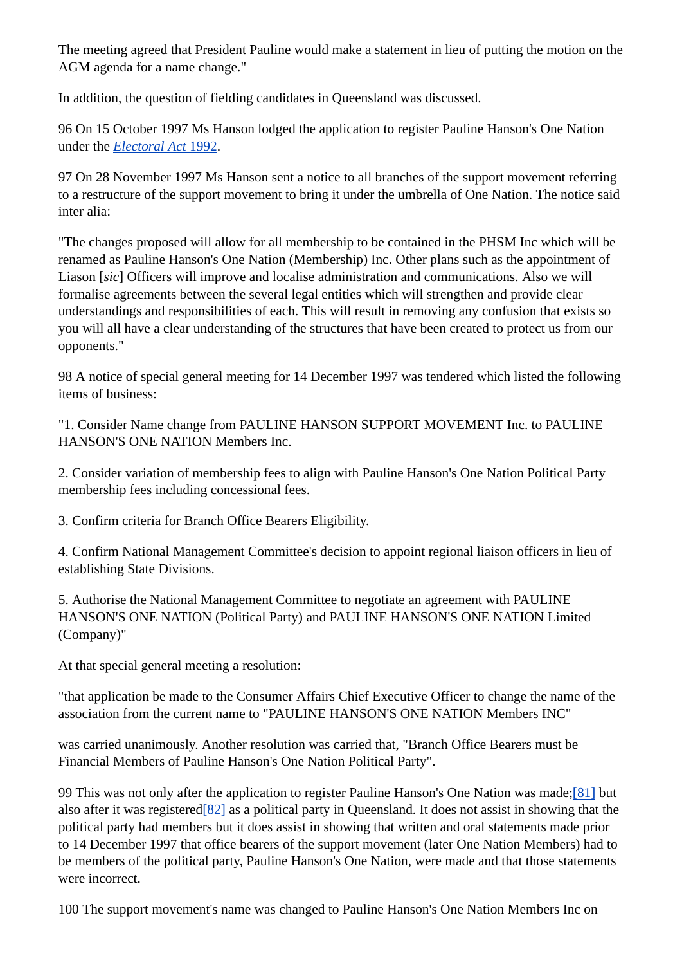The meeting agreed that President Pauline would make a statement in lieu of putting the motion on the AGM agenda for a name change."

In addition, the question of fielding candidates in Queensland was discussed.

96 On 15 October 1997 Ms Hanson lodged the application to register Pauline Hanson's One Nation under the *Electoral Act* 1992.

97 On 28 November 1997 Ms Hanson sent a notice to all branches of the support movement referring to a restructure of the support movement to bring it under the umbrella of One Nation. The notice said inter alia:

"The changes proposed will allow for all membership to be contained in the PHSM Inc which will be renamed as Pauline Hanson's One Nation (Membership) Inc. Other plans such as the appointment of Liason [*sic*] Officers will improve and localise administration and communications. Also we will formalise agreements between the several legal entities which will strengthen and provide clear understandings and responsibilities of each. This will result in removing any confusion that exists so you will all have a clear understanding of the structures that have been created to protect us from our opponents."

98 A notice of special general meeting for 14 December 1997 was tendered which listed the following items of business:

"1. Consider Name change from PAULINE HANSON SUPPORT MOVEMENT Inc. to PAULINE HANSON'S ONE NATION Members Inc.

2. Consider variation of membership fees to align with Pauline Hanson's One Nation Political Party membership fees including concessional fees.

3. Confirm criteria for Branch Office Bearers Eligibility.

4. Confirm National Management Committee's decision to appoint regional liaison officers in lieu of establishing State Divisions.

5. Authorise the National Management Committee to negotiate an agreement with PAULINE HANSON'S ONE NATION (Political Party) and PAULINE HANSON'S ONE NATION Limited (Company)"

At that special general meeting a resolution:

"that application be made to the Consumer Affairs Chief Executive Officer to change the name of the association from the current name to "PAULINE HANSON'S ONE NATION Members INC"

was carried unanimously. Another resolution was carried that, "Branch Office Bearers must be Financial Members of Pauline Hanson's One Nation Political Party".

99 This was not only after the application to register Pauline Hanson's One Nation was made;[81] but also after it was registered[82] as a political party in Queensland. It does not assist in showing that the political party had members but it does assist in showing that written and oral statements made prior to 14 December 1997 that office bearers of the support movement (later One Nation Members) had to be members of the political party, Pauline Hanson's One Nation, were made and that those statements were incorrect.

100 The support movement's name was changed to Pauline Hanson's One Nation Members Inc on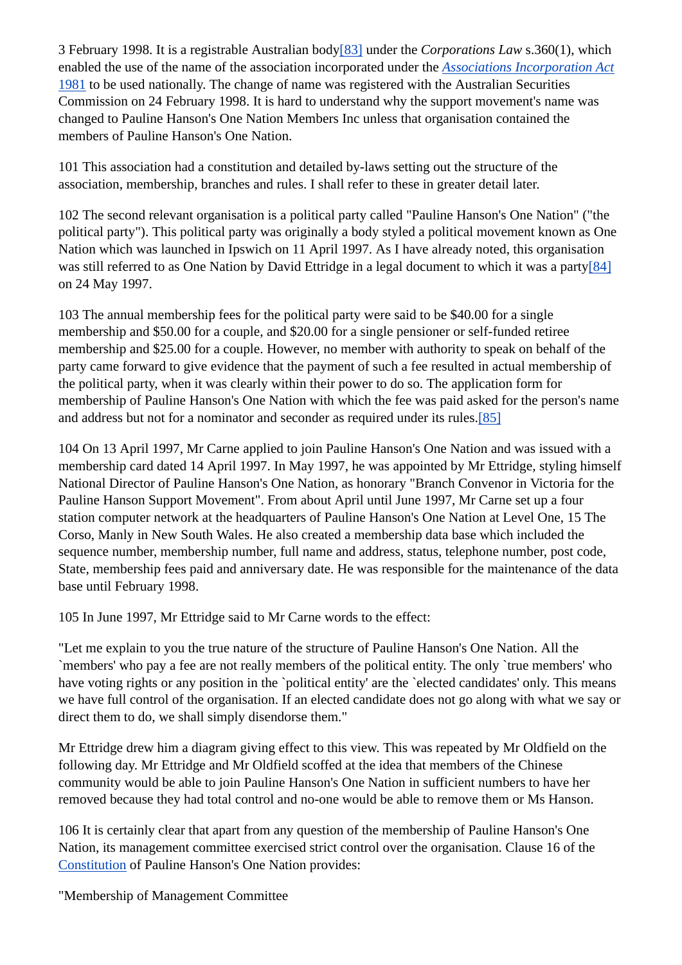3 February 1998. It is a registrable Australian body[83] under the *Corporations Law* s.360(1), which enabled the use of the name of the association incorporated under the *Associations Incorporation Act* 1981 to be used nationally. The change of name was registered with the Australian Securities Commission on 24 February 1998. It is hard to understand why the support movement's name was changed to Pauline Hanson's One Nation Members Inc unless that organisation contained the members of Pauline Hanson's One Nation.

101 This association had a constitution and detailed by-laws setting out the structure of the association, membership, branches and rules. I shall refer to these in greater detail later.

102 The second relevant organisation is a political party called "Pauline Hanson's One Nation" ("the political party"). This political party was originally a body styled a political movement known as One Nation which was launched in Ipswich on 11 April 1997. As I have already noted, this organisation was still referred to as One Nation by David Ettridge in a legal document to which it was a party[84] on 24 May 1997.

103 The annual membership fees for the political party were said to be \$40.00 for a single membership and \$50.00 for a couple, and \$20.00 for a single pensioner or self-funded retiree membership and \$25.00 for a couple. However, no member with authority to speak on behalf of the party came forward to give evidence that the payment of such a fee resulted in actual membership of the political party, when it was clearly within their power to do so. The application form for membership of Pauline Hanson's One Nation with which the fee was paid asked for the person's name and address but not for a nominator and seconder as required under its rules.[85]

104 On 13 April 1997, Mr Carne applied to join Pauline Hanson's One Nation and was issued with a membership card dated 14 April 1997. In May 1997, he was appointed by Mr Ettridge, styling himself National Director of Pauline Hanson's One Nation, as honorary "Branch Convenor in Victoria for the Pauline Hanson Support Movement". From about April until June 1997, Mr Carne set up a four station computer network at the headquarters of Pauline Hanson's One Nation at Level One, 15 The Corso, Manly in New South Wales. He also created a membership data base which included the sequence number, membership number, full name and address, status, telephone number, post code, State, membership fees paid and anniversary date. He was responsible for the maintenance of the data base until February 1998.

105 In June 1997, Mr Ettridge said to Mr Carne words to the effect:

"Let me explain to you the true nature of the structure of Pauline Hanson's One Nation. All the `members' who pay a fee are not really members of the political entity. The only `true members' who have voting rights or any position in the `political entity' are the `elected candidates' only. This means we have full control of the organisation. If an elected candidate does not go along with what we say or direct them to do, we shall simply disendorse them."

Mr Ettridge drew him a diagram giving effect to this view. This was repeated by Mr Oldfield on the following day. Mr Ettridge and Mr Oldfield scoffed at the idea that members of the Chinese community would be able to join Pauline Hanson's One Nation in sufficient numbers to have her removed because they had total control and no-one would be able to remove them or Ms Hanson.

106 It is certainly clear that apart from any question of the membership of Pauline Hanson's One Nation, its management committee exercised strict control over the organisation. Clause 16 of the Constitution of Pauline Hanson's One Nation provides:

"Membership of Management Committee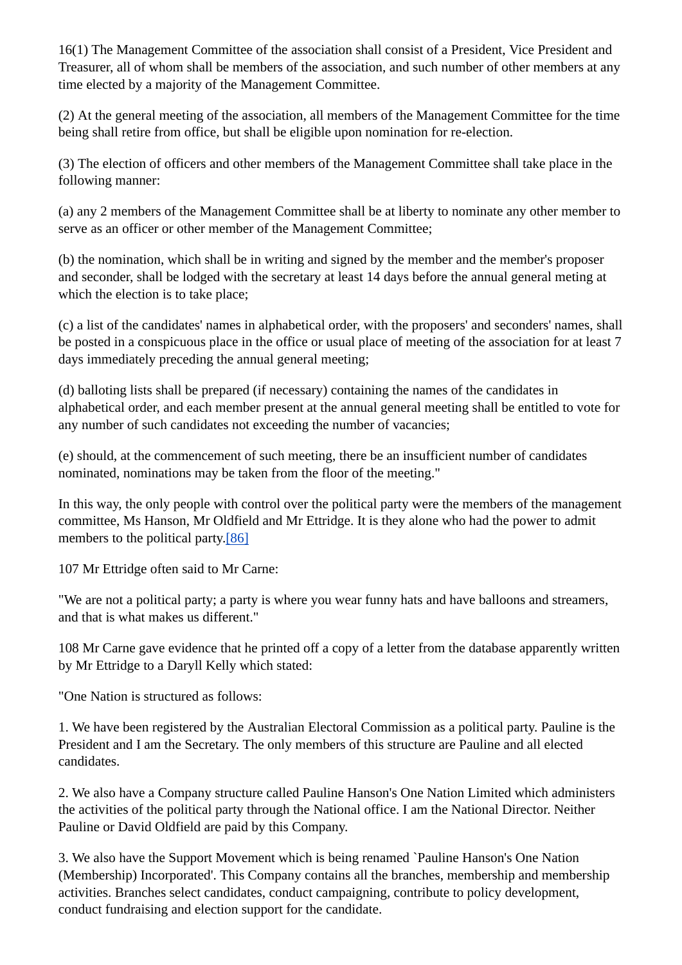16(1) The Management Committee of the association shall consist of a President, Vice President and Treasurer, all of whom shall be members of the association, and such number of other members at any time elected by a majority of the Management Committee.

(2) At the general meeting of the association, all members of the Management Committee for the time being shall retire from office, but shall be eligible upon nomination for re-election.

(3) The election of officers and other members of the Management Committee shall take place in the following manner:

(a) any 2 members of the Management Committee shall be at liberty to nominate any other member to serve as an officer or other member of the Management Committee;

(b) the nomination, which shall be in writing and signed by the member and the member's proposer and seconder, shall be lodged with the secretary at least 14 days before the annual general meting at which the election is to take place;

(c) a list of the candidates' names in alphabetical order, with the proposers' and seconders' names, shall be posted in a conspicuous place in the office or usual place of meeting of the association for at least 7 days immediately preceding the annual general meeting;

(d) balloting lists shall be prepared (if necessary) containing the names of the candidates in alphabetical order, and each member present at the annual general meeting shall be entitled to vote for any number of such candidates not exceeding the number of vacancies;

(e) should, at the commencement of such meeting, there be an insufficient number of candidates nominated, nominations may be taken from the floor of the meeting."

In this way, the only people with control over the political party were the members of the management committee, Ms Hanson, Mr Oldfield and Mr Ettridge. It is they alone who had the power to admit members to the political party.[86]

107 Mr Ettridge often said to Mr Carne:

"We are not a political party; a party is where you wear funny hats and have balloons and streamers, and that is what makes us different."

108 Mr Carne gave evidence that he printed off a copy of a letter from the database apparently written by Mr Ettridge to a Daryll Kelly which stated:

"One Nation is structured as follows:

1. We have been registered by the Australian Electoral Commission as a political party. Pauline is the President and I am the Secretary. The only members of this structure are Pauline and all elected candidates.

2. We also have a Company structure called Pauline Hanson's One Nation Limited which administers the activities of the political party through the National office. I am the National Director. Neither Pauline or David Oldfield are paid by this Company.

3. We also have the Support Movement which is being renamed `Pauline Hanson's One Nation (Membership) Incorporated'. This Company contains all the branches, membership and membership activities. Branches select candidates, conduct campaigning, contribute to policy development, conduct fundraising and election support for the candidate.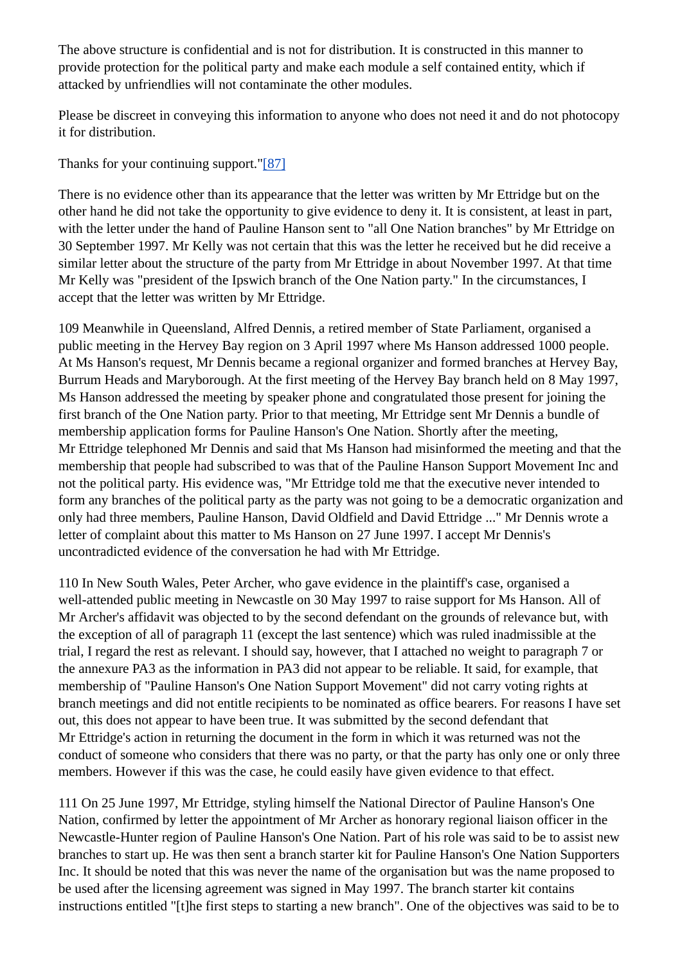The above structure is confidential and is not for distribution. It is constructed in this manner to provide protection for the political party and make each module a self contained entity, which if attacked by unfriendlies will not contaminate the other modules.

Please be discreet in conveying this information to anyone who does not need it and do not photocopy it for distribution.

Thanks for your continuing support."[87]

There is no evidence other than its appearance that the letter was written by Mr Ettridge but on the other hand he did not take the opportunity to give evidence to deny it. It is consistent, at least in part, with the letter under the hand of Pauline Hanson sent to "all One Nation branches" by Mr Ettridge on 30 September 1997. Mr Kelly was not certain that this was the letter he received but he did receive a similar letter about the structure of the party from Mr Ettridge in about November 1997. At that time Mr Kelly was "president of the Ipswich branch of the One Nation party." In the circumstances, I accept that the letter was written by Mr Ettridge.

109 Meanwhile in Queensland, Alfred Dennis, a retired member of State Parliament, organised a public meeting in the Hervey Bay region on 3 April 1997 where Ms Hanson addressed 1000 people. At Ms Hanson's request, Mr Dennis became a regional organizer and formed branches at Hervey Bay, Burrum Heads and Maryborough. At the first meeting of the Hervey Bay branch held on 8 May 1997, Ms Hanson addressed the meeting by speaker phone and congratulated those present for joining the first branch of the One Nation party. Prior to that meeting, Mr Ettridge sent Mr Dennis a bundle of membership application forms for Pauline Hanson's One Nation. Shortly after the meeting, Mr Ettridge telephoned Mr Dennis and said that Ms Hanson had misinformed the meeting and that the membership that people had subscribed to was that of the Pauline Hanson Support Movement Inc and not the political party. His evidence was, "Mr Ettridge told me that the executive never intended to form any branches of the political party as the party was not going to be a democratic organization and only had three members, Pauline Hanson, David Oldfield and David Ettridge ..." Mr Dennis wrote a letter of complaint about this matter to Ms Hanson on 27 June 1997. I accept Mr Dennis's uncontradicted evidence of the conversation he had with Mr Ettridge.

110 In New South Wales, Peter Archer, who gave evidence in the plaintiff's case, organised a well-attended public meeting in Newcastle on 30 May 1997 to raise support for Ms Hanson. All of Mr Archer's affidavit was objected to by the second defendant on the grounds of relevance but, with the exception of all of paragraph 11 (except the last sentence) which was ruled inadmissible at the trial, I regard the rest as relevant. I should say, however, that I attached no weight to paragraph 7 or the annexure PA3 as the information in PA3 did not appear to be reliable. It said, for example, that membership of "Pauline Hanson's One Nation Support Movement" did not carry voting rights at branch meetings and did not entitle recipients to be nominated as office bearers. For reasons I have set out, this does not appear to have been true. It was submitted by the second defendant that Mr Ettridge's action in returning the document in the form in which it was returned was not the conduct of someone who considers that there was no party, or that the party has only one or only three members. However if this was the case, he could easily have given evidence to that effect.

111 On 25 June 1997, Mr Ettridge, styling himself the National Director of Pauline Hanson's One Nation, confirmed by letter the appointment of Mr Archer as honorary regional liaison officer in the Newcastle-Hunter region of Pauline Hanson's One Nation. Part of his role was said to be to assist new branches to start up. He was then sent a branch starter kit for Pauline Hanson's One Nation Supporters Inc. It should be noted that this was never the name of the organisation but was the name proposed to be used after the licensing agreement was signed in May 1997. The branch starter kit contains instructions entitled "[t]he first steps to starting a new branch". One of the objectives was said to be to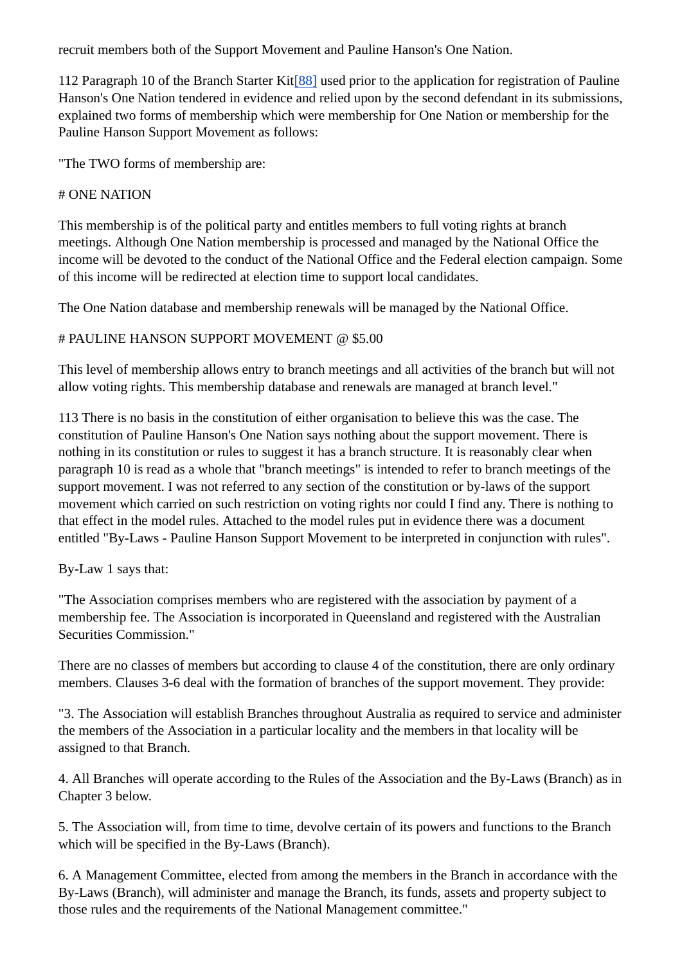recruit members both of the Support Movement and Pauline Hanson's One Nation.

112 Paragraph 10 of the Branch Starter Kit[88] used prior to the application for registration of Pauline Hanson's One Nation tendered in evidence and relied upon by the second defendant in its submissions, explained two forms of membership which were membership for One Nation or membership for the Pauline Hanson Support Movement as follows:

"The TWO forms of membership are:

#### # ONE NATION

This membership is of the political party and entitles members to full voting rights at branch meetings. Although One Nation membership is processed and managed by the National Office the income will be devoted to the conduct of the National Office and the Federal election campaign. Some of this income will be redirected at election time to support local candidates.

The One Nation database and membership renewals will be managed by the National Office.

#### # PAULINE HANSON SUPPORT MOVEMENT @ \$5.00

This level of membership allows entry to branch meetings and all activities of the branch but will not allow voting rights. This membership database and renewals are managed at branch level."

113 There is no basis in the constitution of either organisation to believe this was the case. The constitution of Pauline Hanson's One Nation says nothing about the support movement. There is nothing in its constitution or rules to suggest it has a branch structure. It is reasonably clear when paragraph 10 is read as a whole that "branch meetings" is intended to refer to branch meetings of the support movement. I was not referred to any section of the constitution or by-laws of the support movement which carried on such restriction on voting rights nor could I find any. There is nothing to that effect in the model rules. Attached to the model rules put in evidence there was a document entitled "By-Laws - Pauline Hanson Support Movement to be interpreted in conjunction with rules".

By-Law 1 says that:

"The Association comprises members who are registered with the association by payment of a membership fee. The Association is incorporated in Queensland and registered with the Australian Securities Commission."

There are no classes of members but according to clause 4 of the constitution, there are only ordinary members. Clauses 3-6 deal with the formation of branches of the support movement. They provide:

"3. The Association will establish Branches throughout Australia as required to service and administer the members of the Association in a particular locality and the members in that locality will be assigned to that Branch.

4. All Branches will operate according to the Rules of the Association and the By-Laws (Branch) as in Chapter 3 below.

5. The Association will, from time to time, devolve certain of its powers and functions to the Branch which will be specified in the By-Laws (Branch).

6. A Management Committee, elected from among the members in the Branch in accordance with the By-Laws (Branch), will administer and manage the Branch, its funds, assets and property subject to those rules and the requirements of the National Management committee."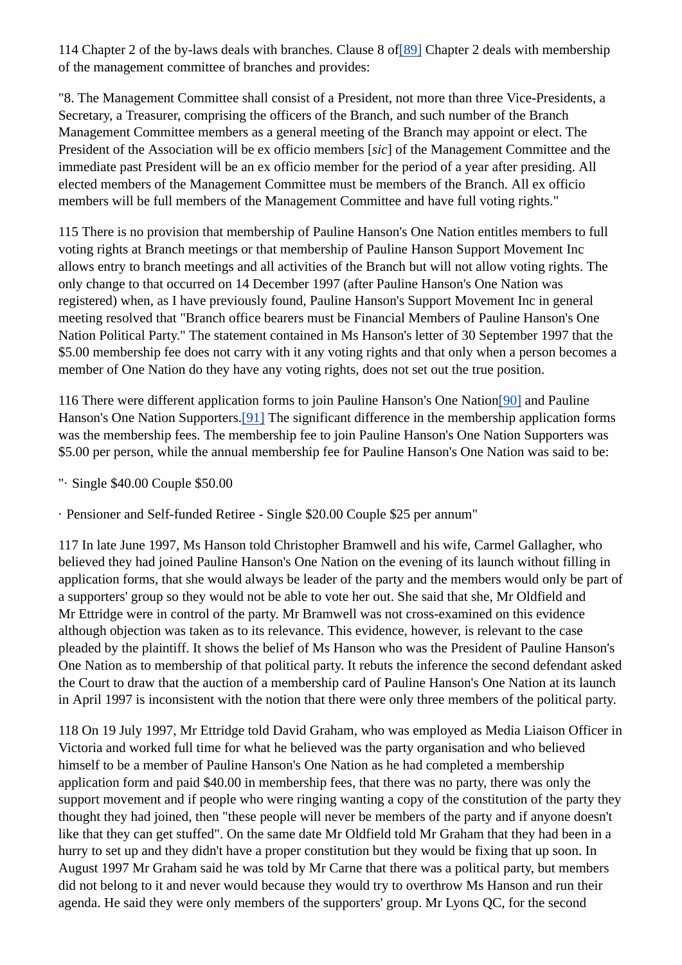114 Chapter 2 of the by-laws deals with branches. Clause 8 of[89] Chapter 2 deals with membership of the management committee of branches and provides:

"8. The Management Committee shall consist of a President, not more than three Vice-Presidents, a Secretary, a Treasurer, comprising the officers of the Branch, and such number of the Branch Management Committee members as a general meeting of the Branch may appoint or elect. The President of the Association will be ex officio members [*sic*] of the Management Committee and the immediate past President will be an ex officio member for the period of a year after presiding. All elected members of the Management Committee must be members of the Branch. All ex officio members will be full members of the Management Committee and have full voting rights."

115 There is no provision that membership of Pauline Hanson's One Nation entitles members to full voting rights at Branch meetings or that membership of Pauline Hanson Support Movement Inc allows entry to branch meetings and all activities of the Branch but will not allow voting rights. The only change to that occurred on 14 December 1997 (after Pauline Hanson's One Nation was registered) when, as I have previously found, Pauline Hanson's Support Movement Inc in general meeting resolved that "Branch office bearers must be Financial Members of Pauline Hanson's One Nation Political Party." The statement contained in Ms Hanson's letter of 30 September 1997 that the \$5.00 membership fee does not carry with it any voting rights and that only when a person becomes a member of One Nation do they have any voting rights, does not set out the true position.

116 There were different application forms to join Pauline Hanson's One Nation[90] and Pauline Hanson's One Nation Supporters.[91] The significant difference in the membership application forms was the membership fees. The membership fee to join Pauline Hanson's One Nation Supporters was \$5.00 per person, while the annual membership fee for Pauline Hanson's One Nation was said to be:

"· Single \$40.00 Couple \$50.00

· Pensioner and Self-funded Retiree - Single \$20.00 Couple \$25 per annum"

117 In late June 1997, Ms Hanson told Christopher Bramwell and his wife, Carmel Gallagher, who believed they had joined Pauline Hanson's One Nation on the evening of its launch without filling in application forms, that she would always be leader of the party and the members would only be part of a supporters' group so they would not be able to vote her out. She said that she, Mr Oldfield and Mr Ettridge were in control of the party. Mr Bramwell was not cross-examined on this evidence although objection was taken as to its relevance. This evidence, however, is relevant to the case pleaded by the plaintiff. It shows the belief of Ms Hanson who was the President of Pauline Hanson's One Nation as to membership of that political party. It rebuts the inference the second defendant asked the Court to draw that the auction of a membership card of Pauline Hanson's One Nation at its launch in April 1997 is inconsistent with the notion that there were only three members of the political party.

118 On 19 July 1997, Mr Ettridge told David Graham, who was employed as Media Liaison Officer in Victoria and worked full time for what he believed was the party organisation and who believed himself to be a member of Pauline Hanson's One Nation as he had completed a membership application form and paid \$40.00 in membership fees, that there was no party, there was only the support movement and if people who were ringing wanting a copy of the constitution of the party they thought they had joined, then "these people will never be members of the party and if anyone doesn't like that they can get stuffed". On the same date Mr Oldfield told Mr Graham that they had been in a hurry to set up and they didn't have a proper constitution but they would be fixing that up soon. In August 1997 Mr Graham said he was told by Mr Carne that there was a political party, but members did not belong to it and never would because they would try to overthrow Ms Hanson and run their agenda. He said they were only members of the supporters' group. Mr Lyons QC, for the second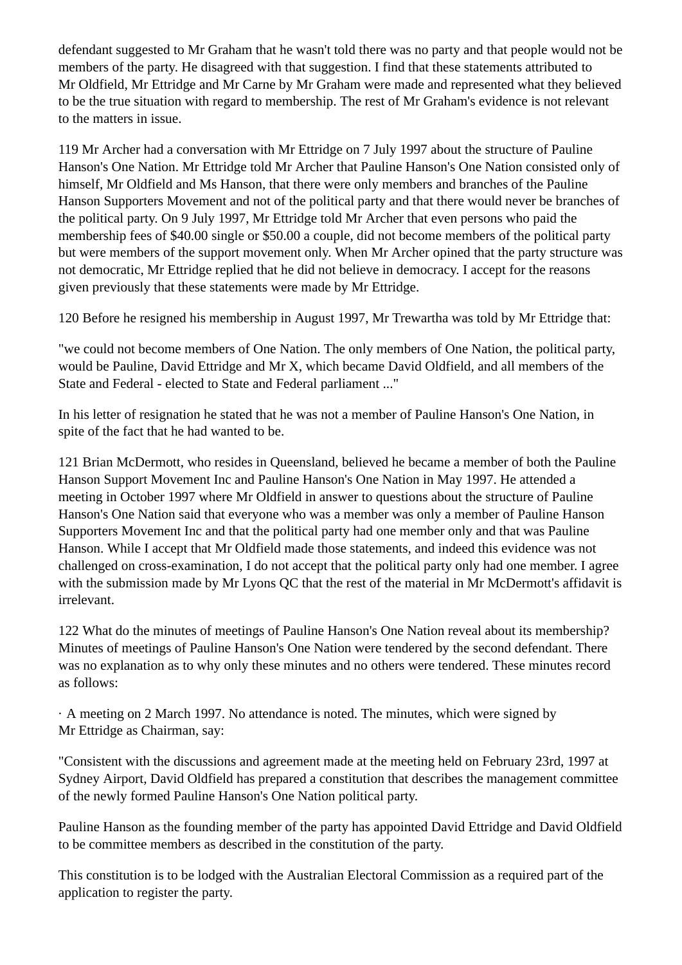defendant suggested to Mr Graham that he wasn't told there was no party and that people would not be members of the party. He disagreed with that suggestion. I find that these statements attributed to Mr Oldfield, Mr Ettridge and Mr Carne by Mr Graham were made and represented what they believed to be the true situation with regard to membership. The rest of Mr Graham's evidence is not relevant to the matters in issue.

119 Mr Archer had a conversation with Mr Ettridge on 7 July 1997 about the structure of Pauline Hanson's One Nation. Mr Ettridge told Mr Archer that Pauline Hanson's One Nation consisted only of himself, Mr Oldfield and Ms Hanson, that there were only members and branches of the Pauline Hanson Supporters Movement and not of the political party and that there would never be branches of the political party. On 9 July 1997, Mr Ettridge told Mr Archer that even persons who paid the membership fees of \$40.00 single or \$50.00 a couple, did not become members of the political party but were members of the support movement only. When Mr Archer opined that the party structure was not democratic, Mr Ettridge replied that he did not believe in democracy. I accept for the reasons given previously that these statements were made by Mr Ettridge.

120 Before he resigned his membership in August 1997, Mr Trewartha was told by Mr Ettridge that:

"we could not become members of One Nation. The only members of One Nation, the political party, would be Pauline, David Ettridge and Mr X, which became David Oldfield, and all members of the State and Federal - elected to State and Federal parliament ..."

In his letter of resignation he stated that he was not a member of Pauline Hanson's One Nation, in spite of the fact that he had wanted to be.

121 Brian McDermott, who resides in Queensland, believed he became a member of both the Pauline Hanson Support Movement Inc and Pauline Hanson's One Nation in May 1997. He attended a meeting in October 1997 where Mr Oldfield in answer to questions about the structure of Pauline Hanson's One Nation said that everyone who was a member was only a member of Pauline Hanson Supporters Movement Inc and that the political party had one member only and that was Pauline Hanson. While I accept that Mr Oldfield made those statements, and indeed this evidence was not challenged on cross-examination, I do not accept that the political party only had one member. I agree with the submission made by Mr Lyons QC that the rest of the material in Mr McDermott's affidavit is irrelevant.

122 What do the minutes of meetings of Pauline Hanson's One Nation reveal about its membership? Minutes of meetings of Pauline Hanson's One Nation were tendered by the second defendant. There was no explanation as to why only these minutes and no others were tendered. These minutes record as follows:

· A meeting on 2 March 1997. No attendance is noted. The minutes, which were signed by Mr Ettridge as Chairman, say:

"Consistent with the discussions and agreement made at the meeting held on February 23rd, 1997 at Sydney Airport, David Oldfield has prepared a constitution that describes the management committee of the newly formed Pauline Hanson's One Nation political party.

Pauline Hanson as the founding member of the party has appointed David Ettridge and David Oldfield to be committee members as described in the constitution of the party.

This constitution is to be lodged with the Australian Electoral Commission as a required part of the application to register the party.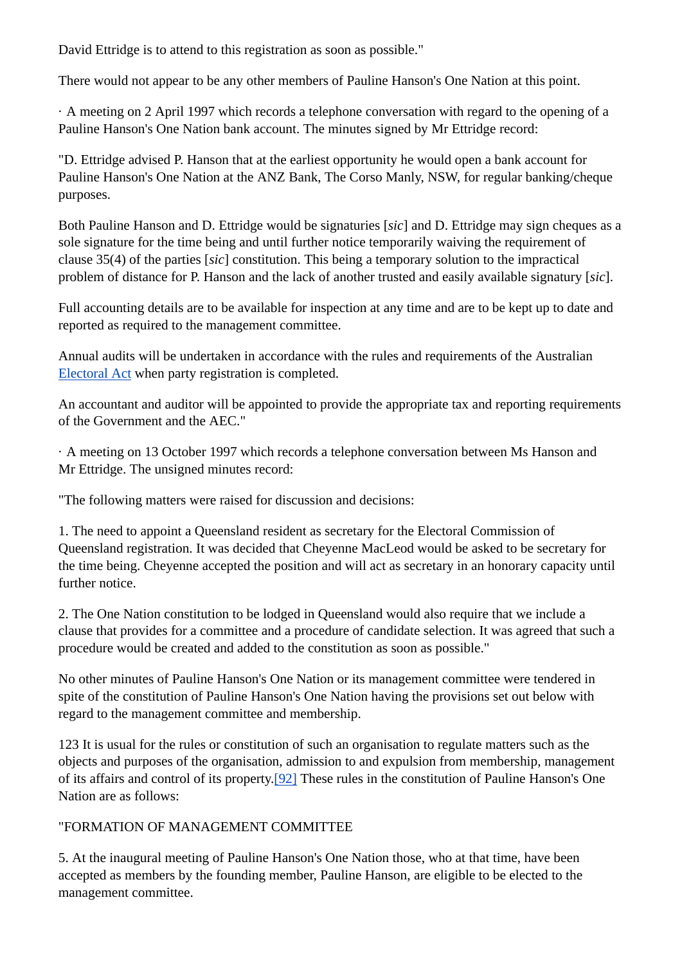David Ettridge is to attend to this registration as soon as possible."

There would not appear to be any other members of Pauline Hanson's One Nation at this point.

· A meeting on 2 April 1997 which records a telephone conversation with regard to the opening of a Pauline Hanson's One Nation bank account. The minutes signed by Mr Ettridge record:

"D. Ettridge advised P. Hanson that at the earliest opportunity he would open a bank account for Pauline Hanson's One Nation at the ANZ Bank, The Corso Manly, NSW, for regular banking/cheque purposes.

Both Pauline Hanson and D. Ettridge would be signaturies [*sic*] and D. Ettridge may sign cheques as a sole signature for the time being and until further notice temporarily waiving the requirement of clause 35(4) of the parties [*sic*] constitution. This being a temporary solution to the impractical problem of distance for P. Hanson and the lack of another trusted and easily available signatury [*sic*].

Full accounting details are to be available for inspection at any time and are to be kept up to date and reported as required to the management committee.

Annual audits will be undertaken in accordance with the rules and requirements of the Australian Electoral Act when party registration is completed.

An accountant and auditor will be appointed to provide the appropriate tax and reporting requirements of the Government and the AEC."

· A meeting on 13 October 1997 which records a telephone conversation between Ms Hanson and Mr Ettridge. The unsigned minutes record:

"The following matters were raised for discussion and decisions:

1. The need to appoint a Queensland resident as secretary for the Electoral Commission of Queensland registration. It was decided that Cheyenne MacLeod would be asked to be secretary for the time being. Cheyenne accepted the position and will act as secretary in an honorary capacity until further notice.

2. The One Nation constitution to be lodged in Queensland would also require that we include a clause that provides for a committee and a procedure of candidate selection. It was agreed that such a procedure would be created and added to the constitution as soon as possible."

No other minutes of Pauline Hanson's One Nation or its management committee were tendered in spite of the constitution of Pauline Hanson's One Nation having the provisions set out below with regard to the management committee and membership.

123 It is usual for the rules or constitution of such an organisation to regulate matters such as the objects and purposes of the organisation, admission to and expulsion from membership, management of its affairs and control of its property.[92] These rules in the constitution of Pauline Hanson's One Nation are as follows:

### "FORMATION OF MANAGEMENT COMMITTEE

5. At the inaugural meeting of Pauline Hanson's One Nation those, who at that time, have been accepted as members by the founding member, Pauline Hanson, are eligible to be elected to the management committee.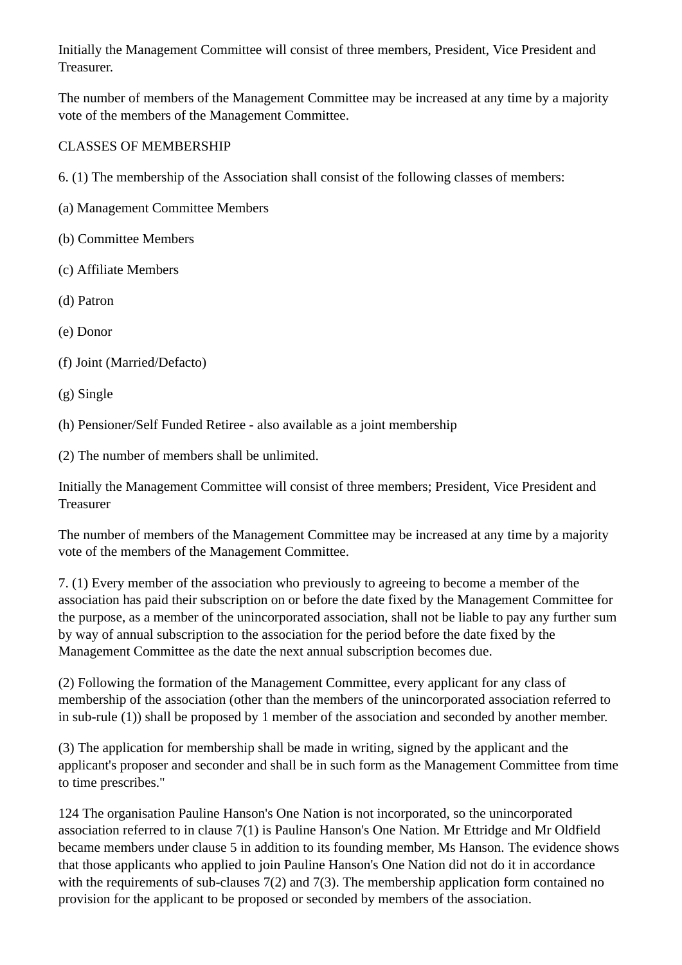Initially the Management Committee will consist of three members, President, Vice President and Treasurer.

The number of members of the Management Committee may be increased at any time by a majority vote of the members of the Management Committee.

#### CLASSES OF MEMBERSHIP

6. (1) The membership of the Association shall consist of the following classes of members:

- (a) Management Committee Members
- (b) Committee Members
- (c) Affiliate Members
- (d) Patron
- (e) Donor
- (f) Joint (Married/Defacto)
- (g) Single

(h) Pensioner/Self Funded Retiree - also available as a joint membership

(2) The number of members shall be unlimited.

Initially the Management Committee will consist of three members; President, Vice President and Treasurer

The number of members of the Management Committee may be increased at any time by a majority vote of the members of the Management Committee.

7. (1) Every member of the association who previously to agreeing to become a member of the association has paid their subscription on or before the date fixed by the Management Committee for the purpose, as a member of the unincorporated association, shall not be liable to pay any further sum by way of annual subscription to the association for the period before the date fixed by the Management Committee as the date the next annual subscription becomes due.

(2) Following the formation of the Management Committee, every applicant for any class of membership of the association (other than the members of the unincorporated association referred to in sub-rule (1)) shall be proposed by 1 member of the association and seconded by another member.

(3) The application for membership shall be made in writing, signed by the applicant and the applicant's proposer and seconder and shall be in such form as the Management Committee from time to time prescribes."

124 The organisation Pauline Hanson's One Nation is not incorporated, so the unincorporated association referred to in clause 7(1) is Pauline Hanson's One Nation. Mr Ettridge and Mr Oldfield became members under clause 5 in addition to its founding member, Ms Hanson. The evidence shows that those applicants who applied to join Pauline Hanson's One Nation did not do it in accordance with the requirements of sub-clauses 7(2) and 7(3). The membership application form contained no provision for the applicant to be proposed or seconded by members of the association.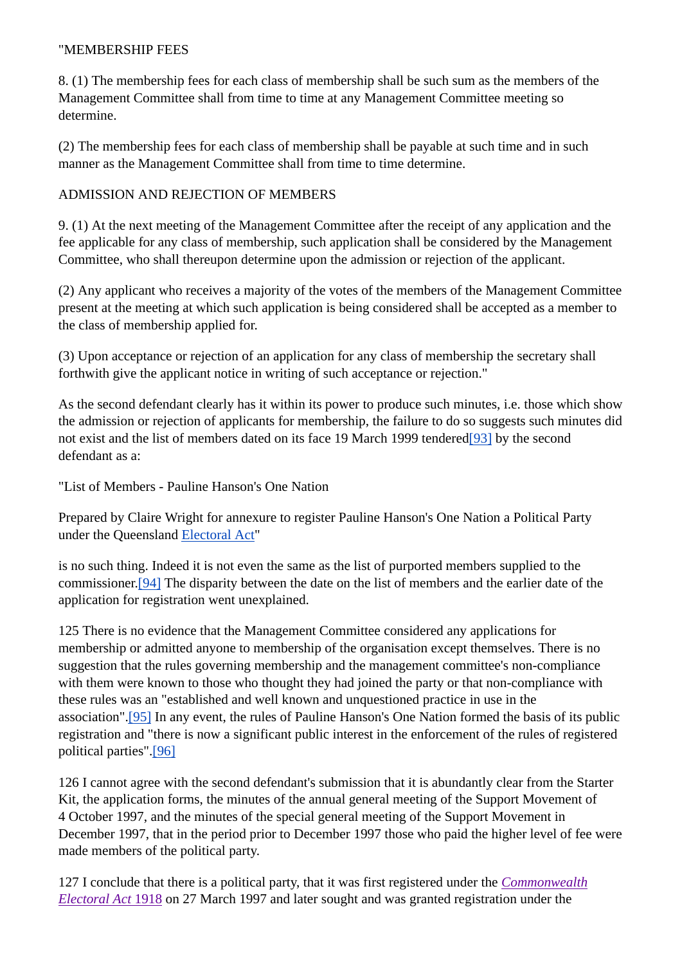#### "MEMBERSHIP FEES

8. (1) The membership fees for each class of membership shall be such sum as the members of the Management Committee shall from time to time at any Management Committee meeting so determine.

(2) The membership fees for each class of membership shall be payable at such time and in such manner as the Management Committee shall from time to time determine.

#### ADMISSION AND REJECTION OF MEMBERS

9. (1) At the next meeting of the Management Committee after the receipt of any application and the fee applicable for any class of membership, such application shall be considered by the Management Committee, who shall thereupon determine upon the admission or rejection of the applicant.

(2) Any applicant who receives a majority of the votes of the members of the Management Committee present at the meeting at which such application is being considered shall be accepted as a member to the class of membership applied for.

(3) Upon acceptance or rejection of an application for any class of membership the secretary shall forthwith give the applicant notice in writing of such acceptance or rejection."

As the second defendant clearly has it within its power to produce such minutes, i.e. those which show the admission or rejection of applicants for membership, the failure to do so suggests such minutes did not exist and the list of members dated on its face 19 March 1999 tendered[93] by the second defendant as a:

"List of Members - Pauline Hanson's One Nation

Prepared by Claire Wright for annexure to register Pauline Hanson's One Nation a Political Party under the Queensland Electoral Act"

is no such thing. Indeed it is not even the same as the list of purported members supplied to the commissioner.[94] The disparity between the date on the list of members and the earlier date of the application for registration went unexplained.

125 There is no evidence that the Management Committee considered any applications for membership or admitted anyone to membership of the organisation except themselves. There is no suggestion that the rules governing membership and the management committee's non-compliance with them were known to those who thought they had joined the party or that non-compliance with these rules was an "established and well known and unquestioned practice in use in the association".[95] In any event, the rules of Pauline Hanson's One Nation formed the basis of its public registration and "there is now a significant public interest in the enforcement of the rules of registered political parties".[96]

126 I cannot agree with the second defendant's submission that it is abundantly clear from the Starter Kit, the application forms, the minutes of the annual general meeting of the Support Movement of 4 October 1997, and the minutes of the special general meeting of the Support Movement in December 1997, that in the period prior to December 1997 those who paid the higher level of fee were made members of the political party.

127 I conclude that there is a political party, that it was first registered under the *Commonwealth Electoral Act* 1918 on 27 March 1997 and later sought and was granted registration under the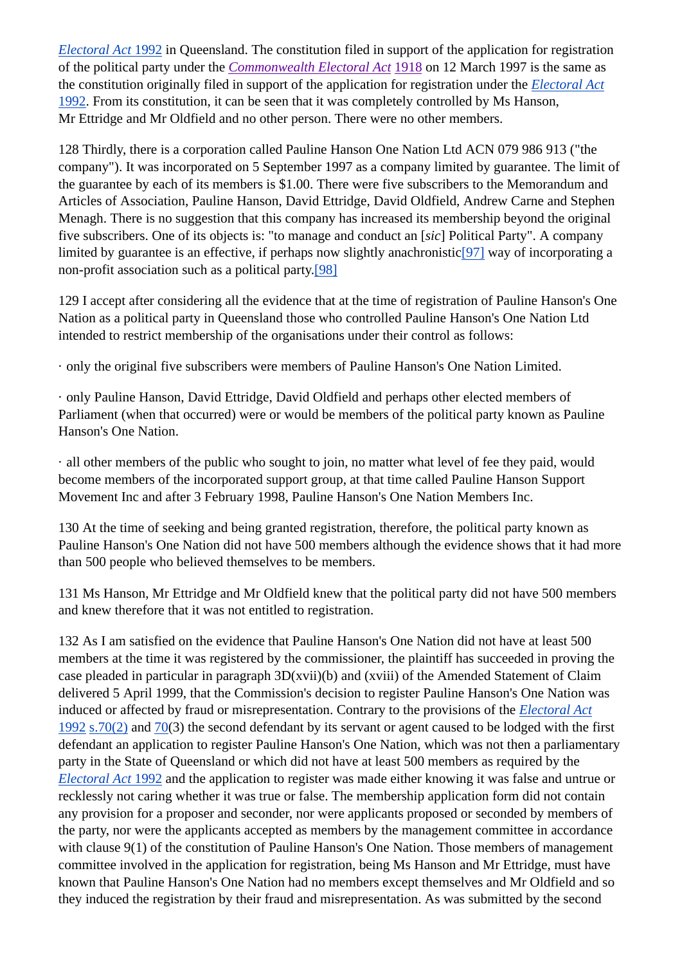*Electoral Act* 1992 in Queensland. The constitution filed in support of the application for registration of the political party under the *Commonwealth Electoral Act* 1918 on 12 March 1997 is the same as the constitution originally filed in support of the application for registration under the *Electoral Act* 1992. From its constitution, it can be seen that it was completely controlled by Ms Hanson, Mr Ettridge and Mr Oldfield and no other person. There were no other members.

128 Thirdly, there is a corporation called Pauline Hanson One Nation Ltd ACN 079 986 913 ("the company"). It was incorporated on 5 September 1997 as a company limited by guarantee. The limit of the guarantee by each of its members is \$1.00. There were five subscribers to the Memorandum and Articles of Association, Pauline Hanson, David Ettridge, David Oldfield, Andrew Carne and Stephen Menagh. There is no suggestion that this company has increased its membership beyond the original five subscribers. One of its objects is: "to manage and conduct an [*sic*] Political Party". A company limited by guarantee is an effective, if perhaps now slightly anachronistic<sup>[97]</sup> way of incorporating a non-profit association such as a political party.[98]

129 I accept after considering all the evidence that at the time of registration of Pauline Hanson's One Nation as a political party in Queensland those who controlled Pauline Hanson's One Nation Ltd intended to restrict membership of the organisations under their control as follows:

· only the original five subscribers were members of Pauline Hanson's One Nation Limited.

· only Pauline Hanson, David Ettridge, David Oldfield and perhaps other elected members of Parliament (when that occurred) were or would be members of the political party known as Pauline Hanson's One Nation.

· all other members of the public who sought to join, no matter what level of fee they paid, would become members of the incorporated support group, at that time called Pauline Hanson Support Movement Inc and after 3 February 1998, Pauline Hanson's One Nation Members Inc.

130 At the time of seeking and being granted registration, therefore, the political party known as Pauline Hanson's One Nation did not have 500 members although the evidence shows that it had more than 500 people who believed themselves to be members.

131 Ms Hanson, Mr Ettridge and Mr Oldfield knew that the political party did not have 500 members and knew therefore that it was not entitled to registration.

132 As I am satisfied on the evidence that Pauline Hanson's One Nation did not have at least 500 members at the time it was registered by the commissioner, the plaintiff has succeeded in proving the case pleaded in particular in paragraph 3D(xvii)(b) and (xviii) of the Amended Statement of Claim delivered 5 April 1999, that the Commission's decision to register Pauline Hanson's One Nation was induced or affected by fraud or misrepresentation. Contrary to the provisions of the *Electoral Act* 1992 s.70(2) and 70(3) the second defendant by its servant or agent caused to be lodged with the first defendant an application to register Pauline Hanson's One Nation, which was not then a parliamentary party in the State of Queensland or which did not have at least 500 members as required by the *Electoral Act* 1992 and the application to register was made either knowing it was false and untrue or recklessly not caring whether it was true or false. The membership application form did not contain any provision for a proposer and seconder, nor were applicants proposed or seconded by members of the party, nor were the applicants accepted as members by the management committee in accordance with clause 9(1) of the constitution of Pauline Hanson's One Nation. Those members of management committee involved in the application for registration, being Ms Hanson and Mr Ettridge, must have known that Pauline Hanson's One Nation had no members except themselves and Mr Oldfield and so they induced the registration by their fraud and misrepresentation. As was submitted by the second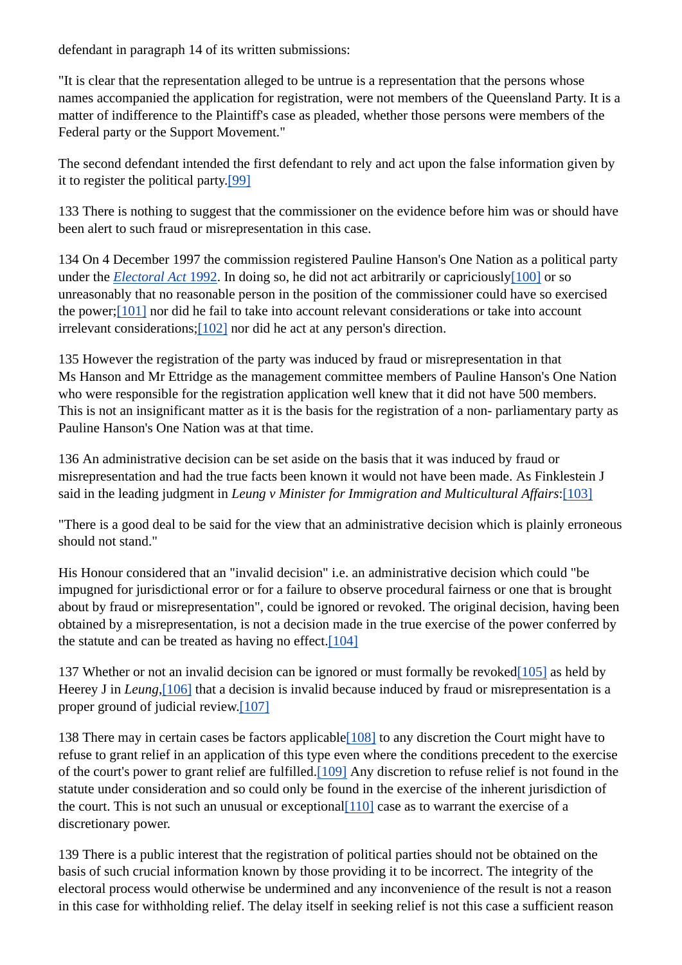defendant in paragraph 14 of its written submissions:

"It is clear that the representation alleged to be untrue is a representation that the persons whose names accompanied the application for registration, were not members of the Queensland Party. It is a matter of indifference to the Plaintiff's case as pleaded, whether those persons were members of the Federal party or the Support Movement."

The second defendant intended the first defendant to rely and act upon the false information given by it to register the political party.[99]

133 There is nothing to suggest that the commissioner on the evidence before him was or should have been alert to such fraud or misrepresentation in this case.

134 On 4 December 1997 the commission registered Pauline Hanson's One Nation as a political party under the *Electoral Act* 1992. In doing so, he did not act arbitrarily or capriciously[100] or so unreasonably that no reasonable person in the position of the commissioner could have so exercised the power;[101] nor did he fail to take into account relevant considerations or take into account irrelevant considerations;[102] nor did he act at any person's direction.

135 However the registration of the party was induced by fraud or misrepresentation in that Ms Hanson and Mr Ettridge as the management committee members of Pauline Hanson's One Nation who were responsible for the registration application well knew that it did not have 500 members. This is not an insignificant matter as it is the basis for the registration of a non- parliamentary party as Pauline Hanson's One Nation was at that time.

136 An administrative decision can be set aside on the basis that it was induced by fraud or misrepresentation and had the true facts been known it would not have been made. As Finklestein J said in the leading judgment in *Leung v Minister for Immigration and Multicultural Affairs*:[103]

"There is a good deal to be said for the view that an administrative decision which is plainly erroneous should not stand."

His Honour considered that an "invalid decision" i.e. an administrative decision which could "be impugned for jurisdictional error or for a failure to observe procedural fairness or one that is brought about by fraud or misrepresentation", could be ignored or revoked. The original decision, having been obtained by a misrepresentation, is not a decision made in the true exercise of the power conferred by the statute and can be treated as having no effect. $[104]$ 

137 Whether or not an invalid decision can be ignored or must formally be revoked $[105]$  as held by Heerey J in *Leung*,[106] that a decision is invalid because induced by fraud or misrepresentation is a proper ground of judicial review.[107]

138 There may in certain cases be factors applicable[108] to any discretion the Court might have to refuse to grant relief in an application of this type even where the conditions precedent to the exercise of the court's power to grant relief are fulfilled.[109] Any discretion to refuse relief is not found in the statute under consideration and so could only be found in the exercise of the inherent jurisdiction of the court. This is not such an unusual or exceptional  $[110]$  case as to warrant the exercise of a discretionary power.

139 There is a public interest that the registration of political parties should not be obtained on the basis of such crucial information known by those providing it to be incorrect. The integrity of the electoral process would otherwise be undermined and any inconvenience of the result is not a reason in this case for withholding relief. The delay itself in seeking relief is not this case a sufficient reason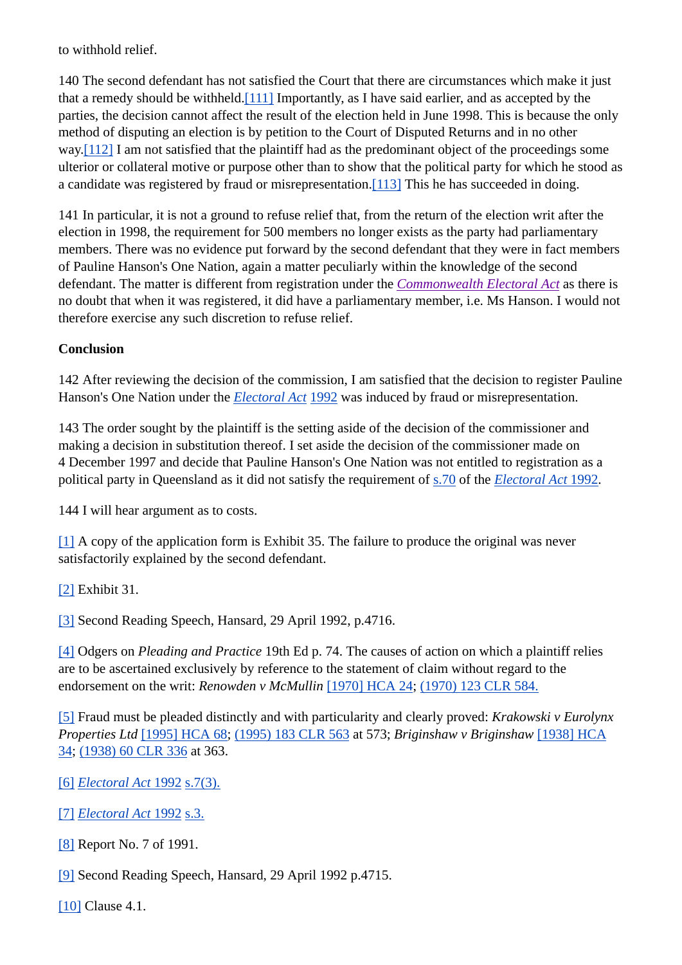to withhold relief.

140 The second defendant has not satisfied the Court that there are circumstances which make it just that a remedy should be withheld.[111] Importantly, as I have said earlier, and as accepted by the parties, the decision cannot affect the result of the election held in June 1998. This is because the only method of disputing an election is by petition to the Court of Disputed Returns and in no other way.<sup>[112]</sup> I am not satisfied that the plaintiff had as the predominant object of the proceedings some ulterior or collateral motive or purpose other than to show that the political party for which he stood as a candidate was registered by fraud or misrepresentation.<sup>[113]</sup> This he has succeeded in doing.

141 In particular, it is not a ground to refuse relief that, from the return of the election writ after the election in 1998, the requirement for 500 members no longer exists as the party had parliamentary members. There was no evidence put forward by the second defendant that they were in fact members of Pauline Hanson's One Nation, again a matter peculiarly within the knowledge of the second defendant. The matter is different from registration under the *Commonwealth Electoral Act* as there is no doubt that when it was registered, it did have a parliamentary member, i.e. Ms Hanson. I would not therefore exercise any such discretion to refuse relief.

#### **Conclusion**

142 After reviewing the decision of the commission, I am satisfied that the decision to register Pauline Hanson's One Nation under the *Electoral Act* 1992 was induced by fraud or misrepresentation.

143 The order sought by the plaintiff is the setting aside of the decision of the commissioner and making a decision in substitution thereof. I set aside the decision of the commissioner made on 4 December 1997 and decide that Pauline Hanson's One Nation was not entitled to registration as a political party in Queensland as it did not satisfy the requirement of s.70 of the *Electoral Act* 1992.

144 I will hear argument as to costs.

[1] A copy of the application form is Exhibit 35. The failure to produce the original was never satisfactorily explained by the second defendant.

[2] Exhibit 31.

[3] Second Reading Speech, Hansard, 29 April 1992, p.4716.

[4] Odgers on *Pleading and Practice* 19th Ed p. 74. The causes of action on which a plaintiff relies are to be ascertained exclusively by reference to the statement of claim without regard to the endorsement on the writ: *Renowden v McMullin* [1970] HCA 24; (1970) 123 CLR 584.

[5] Fraud must be pleaded distinctly and with particularity and clearly proved: *Krakowski v Eurolynx Properties Ltd* [1995] HCA 68; (1995) 183 CLR 563 at 573; *Briginshaw v Briginshaw* [1938] HCA 34; (1938) 60 CLR 336 at 363.

[6] *Electoral Act* 1992 s.7(3).

[7] *Electoral Act* 1992 s.3.

[8] Report No. 7 of 1991.

[9] Second Reading Speech, Hansard, 29 April 1992 p.4715.

[10] Clause 4.1.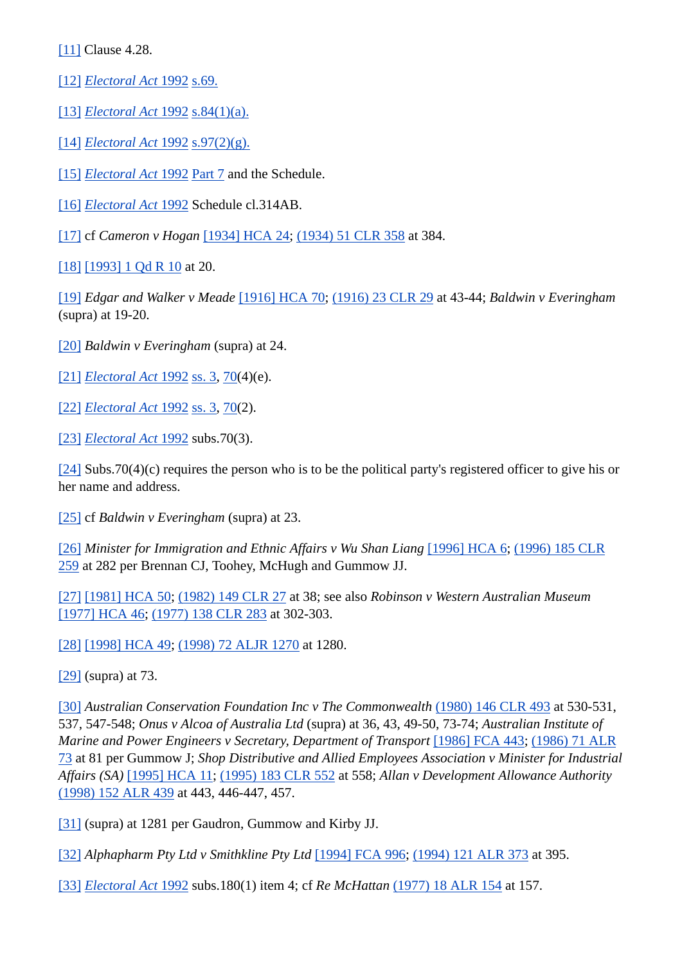[11] Clause 4.28.

[12] *Electoral Act* 1992 s.69.

[13] *Electoral Act* 1992 s.84(1)(a).

[14] *Electoral Act* 1992 s.97(2)(g).

[15] *Electoral Act* 1992 Part 7 and the Schedule.

[16] *Electoral Act* 1992 Schedule cl.314AB.

[17] cf *Cameron v Hogan* [1934] HCA 24; (1934) 51 CLR 358 at 384.

[18] [1993] 1 Qd R 10 at 20.

[19] *Edgar and Walker v Meade* [1916] HCA 70; (1916) 23 CLR 29 at 43-44; *Baldwin v Everingham* (supra) at 19-20.

[20] *Baldwin v Everingham* (supra) at 24.

[21] *Electoral Act* 1992 ss. 3, 70(4)(e).

- [22] *Electoral Act* 1992 ss. 3, 70(2).
- [23] *Electoral Act* 1992 subs.70(3).

 $[24]$  Subs.70(4)(c) requires the person who is to be the political party's registered officer to give his or her name and address.

[25] cf *Baldwin v Everingham* (supra) at 23.

[26] *Minister for Immigration and Ethnic Affairs v Wu Shan Liang* [1996] HCA 6; (1996) 185 CLR 259 at 282 per Brennan CJ, Toohey, McHugh and Gummow JJ.

[27] [1981] HCA 50; (1982) 149 CLR 27 at 38; see also *Robinson v Western Australian Museum* [1977] HCA 46; (1977) 138 CLR 283 at 302-303.

[28] [1998] HCA 49; (1998) 72 ALJR 1270 at 1280.

[29] (supra) at 73.

[30] *Australian Conservation Foundation Inc v The Commonwealth* (1980) 146 CLR 493 at 530-531, 537, 547-548; *Onus v Alcoa of Australia Ltd* (supra) at 36, 43, 49-50, 73-74; *Australian Institute of Marine and Power Engineers v Secretary, Department of Transport* [1986] FCA 443; (1986) 71 ALR 73 at 81 per Gummow J; *Shop Distributive and Allied Employees Association v Minister for Industrial Affairs (SA)* [1995] HCA 11; (1995) 183 CLR 552 at 558; *Allan v Development Allowance Authority* (1998) 152 ALR 439 at 443, 446-447, 457.

[31] (supra) at 1281 per Gaudron, Gummow and Kirby JJ.

[32] *Alphapharm Pty Ltd v Smithkline Pty Ltd* [1994] FCA 996; (1994) 121 ALR 373 at 395.

[33] *Electoral Act* 1992 subs.180(1) item 4; cf *Re McHattan* (1977) 18 ALR 154 at 157.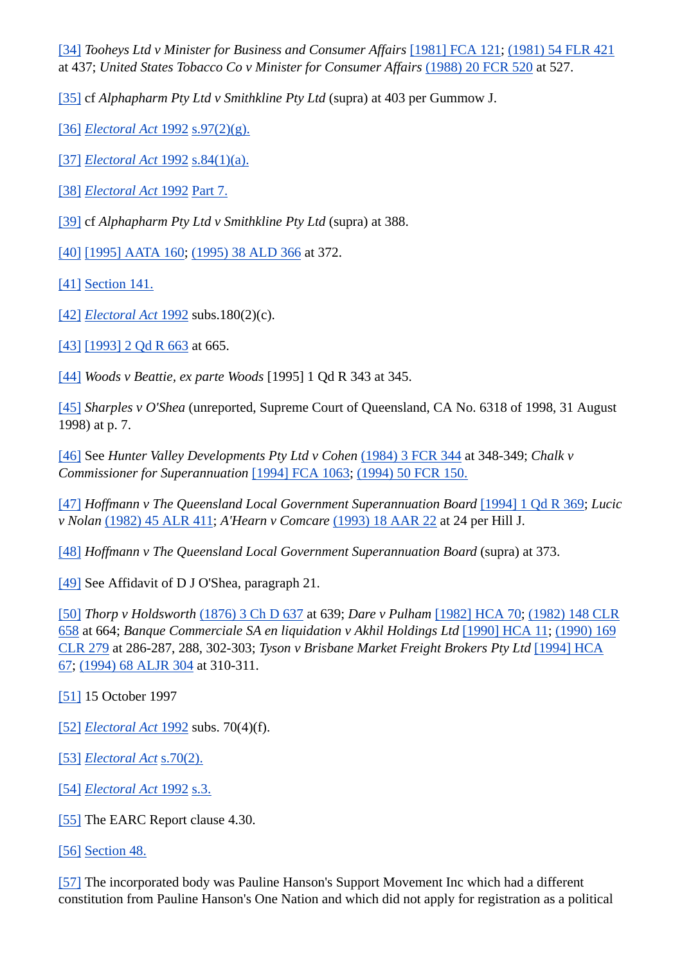[34] *Tooheys Ltd v Minister for Business and Consumer Affairs* [1981] FCA 121; (1981) 54 FLR 421 at 437; *United States Tobacco Co v Minister for Consumer Affairs* (1988) 20 FCR 520 at 527.

[35] cf *Alphapharm Pty Ltd v Smithkline Pty Ltd* (supra) at 403 per Gummow J.

[36] *Electoral Act* 1992 s.97(2)(g).

- [37] *Electoral Act* 1992 s.84(1)(a).
- [38] *Electoral Act* 1992 Part 7.
- [39] cf *Alphapharm Pty Ltd v Smithkline Pty Ltd* (supra) at 388.

[40] [1995] AATA 160; (1995) 38 ALD 366 at 372.

[41] Section 141.

- [42] *Electoral Act* 1992 subs.180(2)(c).
- [43] [1993] 2 Qd R 663 at 665.

[44] *Woods v Beattie, ex parte Woods* [1995] 1 Qd R 343 at 345.

[45] *Sharples v O'Shea* (unreported, Supreme Court of Queensland, CA No. 6318 of 1998, 31 August 1998) at p. 7.

[46] See *Hunter Valley Developments Pty Ltd v Cohen* (1984) 3 FCR 344 at 348-349; *Chalk v Commissioner for Superannuation* [1994] FCA 1063; (1994) 50 FCR 150.

[47] *Hoffmann v The Queensland Local Government Superannuation Board* [1994] 1 Qd R 369; *Lucic v Nolan* (1982) 45 ALR 411; *A'Hearn v Comcare* (1993) 18 AAR 22 at 24 per Hill J.

[48] *Hoffmann v The Queensland Local Government Superannuation Board* (supra) at 373.

[49] See Affidavit of D J O'Shea, paragraph 21.

[50] *Thorp v Holdsworth* (1876) 3 Ch D 637 at 639; *Dare v Pulham* [1982] HCA 70; (1982) 148 CLR 658 at 664; *Banque Commerciale SA en liquidation v Akhil Holdings Ltd* [1990] HCA 11; (1990) 169 CLR 279 at 286-287, 288, 302-303; *Tyson v Brisbane Market Freight Brokers Pty Ltd* [1994] HCA 67; (1994) 68 ALJR 304 at 310-311.

### [51] 15 October 1997

- [52] *Electoral Act* 1992 subs. 70(4)(f).
- [53] *Electoral Act* s.70(2).
- [54] *Electoral Act* 1992 s.3.
- [55] The EARC Report clause 4.30.

[56] Section 48.

[57] The incorporated body was Pauline Hanson's Support Movement Inc which had a different constitution from Pauline Hanson's One Nation and which did not apply for registration as a political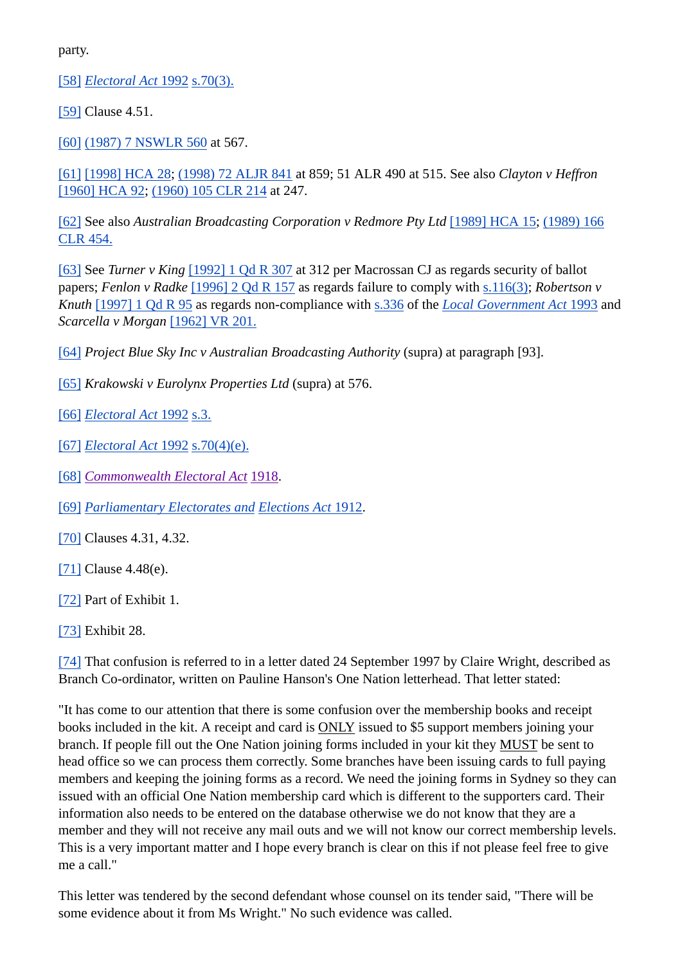party.

[58] *Electoral Act* 1992 s.70(3).

[59] Clause 4.51.

[60] (1987) 7 NSWLR 560 at 567.

[61] [1998] HCA 28; (1998) 72 ALJR 841 at 859; 51 ALR 490 at 515. See also *Clayton v Heffron* [1960] HCA 92; (1960) 105 CLR 214 at 247.

[62] See also *Australian Broadcasting Corporation v Redmore Pty Ltd* [1989] HCA 15; (1989) 166 CLR 454.

[63] See *Turner v King* [1992] 1 Qd R 307 at 312 per Macrossan CJ as regards security of ballot papers; *Fenlon v Radke* [1996] 2 Qd R 157 as regards failure to comply with s.116(3); *Robertson v Knuth* [1997] 1 Qd R 95 as regards non-compliance with s.336 of the *Local Government Act* 1993 and *Scarcella v Morgan* [1962] VR 201.

[64] *Project Blue Sky Inc v Australian Broadcasting Authority* (supra) at paragraph [93].

[65] *Krakowski v Eurolynx Properties Ltd* (supra) at 576.

[66] *Electoral Act* 1992 s.3.

[67] *Electoral Act* 1992 s.70(4)(e).

[68] *Commonwealth Electoral Act* 1918.

[69] *Parliamentary Electorates and Elections Act* 1912.

[70] Clauses 4.31, 4.32.

[71] Clause 4.48(e).

[72] Part of Exhibit 1.

[73] Exhibit 28.

[74] That confusion is referred to in a letter dated 24 September 1997 by Claire Wright, described as Branch Co-ordinator, written on Pauline Hanson's One Nation letterhead. That letter stated:

"It has come to our attention that there is some confusion over the membership books and receipt books included in the kit. A receipt and card is ONLY issued to \$5 support members joining your branch. If people fill out the One Nation joining forms included in your kit they MUST be sent to head office so we can process them correctly. Some branches have been issuing cards to full paying members and keeping the joining forms as a record. We need the joining forms in Sydney so they can issued with an official One Nation membership card which is different to the supporters card. Their information also needs to be entered on the database otherwise we do not know that they are a member and they will not receive any mail outs and we will not know our correct membership levels. This is a very important matter and I hope every branch is clear on this if not please feel free to give me a call."

This letter was tendered by the second defendant whose counsel on its tender said, "There will be some evidence about it from Ms Wright." No such evidence was called.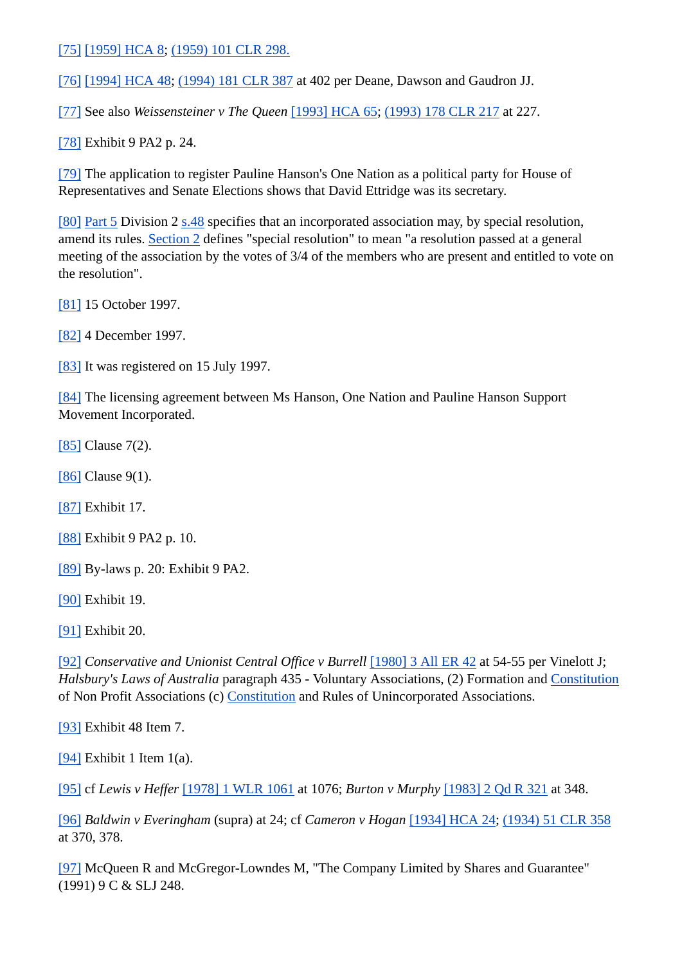[75] [1959] HCA 8; (1959) 101 CLR 298.

[76] [1994] HCA 48; (1994) 181 CLR 387 at 402 per Deane, Dawson and Gaudron JJ.

[77] See also *Weissensteiner v The Queen* [1993] HCA 65; (1993) 178 CLR 217 at 227.

[78] Exhibit 9 PA2 p. 24.

[79] The application to register Pauline Hanson's One Nation as a political party for House of Representatives and Senate Elections shows that David Ettridge was its secretary.

[80] Part 5 Division 2 s.48 specifies that an incorporated association may, by special resolution, amend its rules. Section 2 defines "special resolution" to mean "a resolution passed at a general meeting of the association by the votes of 3/4 of the members who are present and entitled to vote on the resolution".

[81] 15 October 1997.

[82] 4 December 1997.

[83] It was registered on 15 July 1997.

[84] The licensing agreement between Ms Hanson, One Nation and Pauline Hanson Support Movement Incorporated.

[85] Clause 7(2).

[86] Clause 9(1).

[87] Exhibit 17.

[88] Exhibit 9 PA2 p. 10.

[89] By-laws p. 20: Exhibit 9 PA2.

[90] Exhibit 19.

[91] Exhibit 20.

[92] *Conservative and Unionist Central Office v Burrell* [1980] 3 All ER 42 at 54-55 per Vinelott J; *Halsbury's Laws of Australia* paragraph 435 - Voluntary Associations, (2) Formation and Constitution of Non Profit Associations (c) Constitution and Rules of Unincorporated Associations.

[93] Exhibit 48 Item 7.

[94] Exhibit 1 Item  $1(a)$ .

[95] cf *Lewis v Heffer* [1978] 1 WLR 1061 at 1076; *Burton v Murphy* [1983] 2 Qd R 321 at 348.

[96] *Baldwin v Everingham* (supra) at 24; cf *Cameron v Hogan* [1934] HCA 24; (1934) 51 CLR 358 at 370, 378.

[97] McQueen R and McGregor-Lowndes M, "The Company Limited by Shares and Guarantee" (1991) 9 C & SLJ 248.